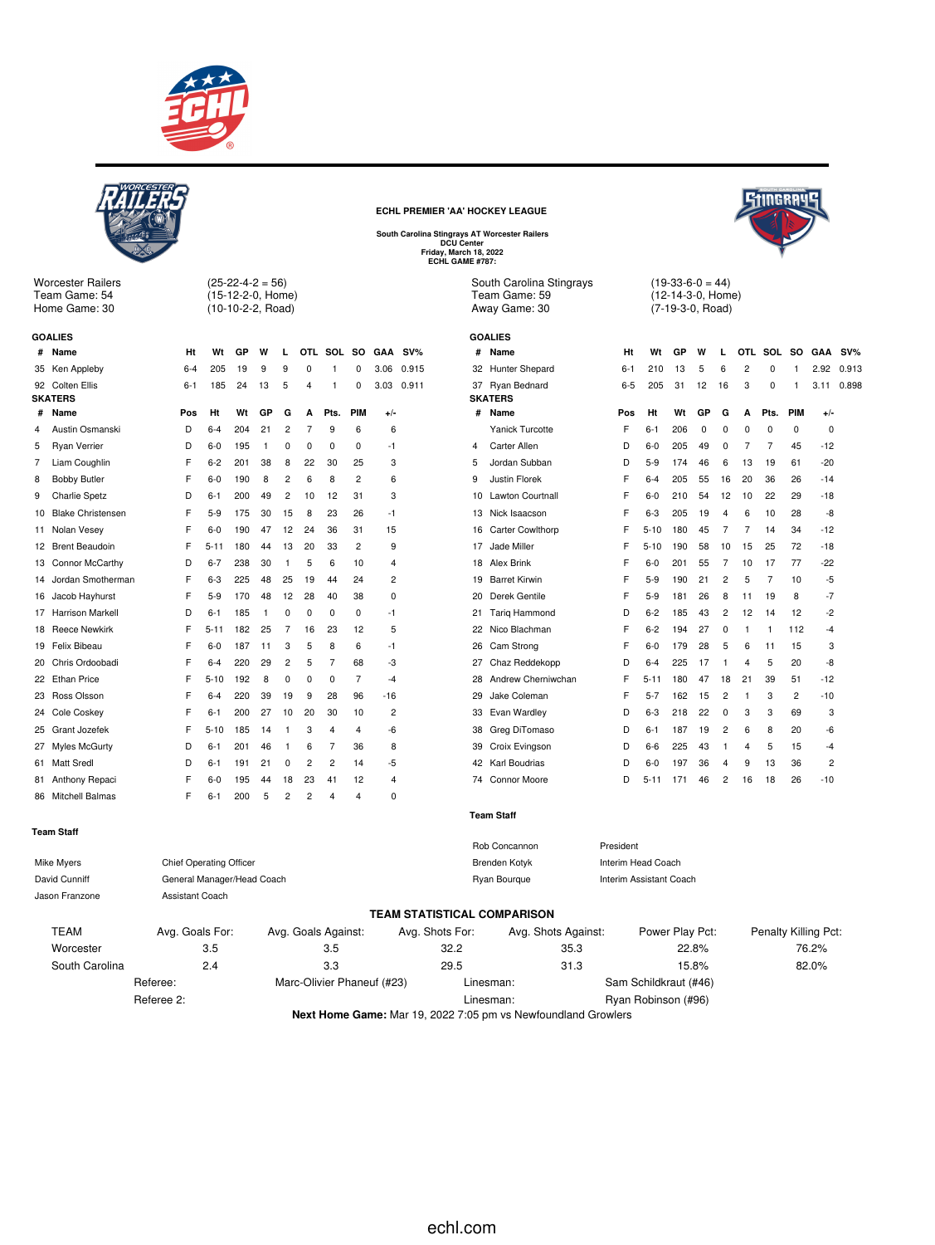



Worcester Railers Team Game: 54 Home Game: 30

(25-22-4-2 = 56) (15-12-2-0, Home) (10-10-2-2, Road)

|    | <b>GOALIES</b>           |         |          |     |    |                |    |                |          |                |        |
|----|--------------------------|---------|----------|-----|----|----------------|----|----------------|----------|----------------|--------|
| #  | Name                     | Ht      | Wt       | GP  | w  | L              |    | OTL SOL SO     |          | GAA            | $SV\%$ |
| 35 | Ken Appleby              | $6 - 4$ | 205      | 19  | 9  | 9              | 0  | 1              | $\Omega$ | 3.06           | 0.915  |
| 92 | Colten Ellis             | 6-1     | 185      | 24  | 13 | 5              | 4  | 1              | $\Omega$ | 3.03           | 0.911  |
|    | <b>SKATERS</b>           |         |          |     |    |                |    |                |          |                |        |
| #  | Name                     | Pos     | Ht       | Wt  | GP | G              | A  | Pts.           | PIM      | $+/-$          |        |
| 4  | Austin Osmanski          | D       | $6 - 4$  | 204 | 21 | $\overline{2}$ | 7  | 9              | 6        | 6              |        |
| 5  | <b>Ryan Verrier</b>      | D       | $6-0$    | 195 | 1  | 0              | 0  | 0              | 0        | -1             |        |
| 7  | Liam Coughlin            | F       | $6 - 2$  | 201 | 38 | 8              | 22 | 30             | 25       | 3              |        |
| 8  | <b>Bobby Butler</b>      | F       | $6-0$    | 190 | 8  | 2              | 6  | 8              | 2        | 6              |        |
| 9  | <b>Charlie Spetz</b>     | D       | $6 - 1$  | 200 | 49 | $\overline{2}$ | 10 | 12             | 31       | 3              |        |
| 10 | <b>Blake Christensen</b> | F       | $5-9$    | 175 | 30 | 15             | 8  | 23             | 26       | -1             |        |
| 11 | Nolan Vesey              | F       | $6-0$    | 190 | 47 | 12             | 24 | 36             | 31       | 15             |        |
| 12 | <b>Brent Beaudoin</b>    | F       | 5-11     | 180 | 44 | 13             | 20 | 33             | 2        | 9              |        |
| 13 | Connor McCarthy          | D       | $6 - 7$  | 238 | 30 | 1              | 5  | 6              | 10       | 4              |        |
| 14 | Jordan Smotherman        | F       | $6-3$    | 225 | 48 | 25             | 19 | 44             | 24       | $\overline{2}$ |        |
| 16 | Jacob Hayhurst           | F       | $5-9$    | 170 | 48 | 12             | 28 | 40             | 38       | 0              |        |
| 17 | <b>Harrison Markell</b>  | D       | $6 - 1$  | 185 | 1  | 0              | 0  | 0              | 0        | $-1$           |        |
| 18 | <b>Reece Newkirk</b>     | F       | 5-11     | 182 | 25 | 7              | 16 | 23             | 12       | 5              |        |
| 19 | Felix Bibeau             | F       | 6-0      | 187 | 11 | 3              | 5  | 8              | 6        | -1             |        |
| 20 | Chris Ordoobadi          | F       | $6 - 4$  | 220 | 29 | $\overline{2}$ | 5  | 7              | 68       | -3             |        |
| 22 | <b>Ethan Price</b>       | F       | $5 - 10$ | 192 | 8  | $\Omega$       | 0  | $\Omega$       | 7        | -4             |        |
| 23 | Ross Olsson              | F       | $6 - 4$  | 220 | 39 | 19             | 9  | 28             | 96       | $-16$          |        |
| 24 | Cole Coskey              | F       | 6-1      | 200 | 27 | 10             | 20 | 30             | 10       | 2              |        |
| 25 | Grant Jozefek            | F       | $5 - 10$ | 185 | 14 | 1              | 3  | 4              | 4        | -6             |        |
| 27 | <b>Myles McGurty</b>     | D       | 6-1      | 201 | 46 | 1              | 6  | 7              | 36       | 8              |        |
| 61 | <b>Matt Sredl</b>        | D       | $6 - 1$  | 191 | 21 | $\Omega$       | 2  | $\overline{c}$ | 14       | -5             |        |
| 81 | Anthony Repaci           | F       | $6-0$    | 195 | 44 | 18             | 23 | 41             | 12       | 4              |        |
| 86 | Mitchell Balmas          | F       | $6 - 1$  | 200 | 5  | 2              | 2  | 4              | 4        | 0              |        |
|    |                          |         |          |     |    |                |    |                |          |                |        |

## **ECHL PREMIER 'AA' HOCKEY LEAGUE**



**South Carolina Stingrays AT Worcester Railers DCU Center Friday, March 18, 2022 ECHL GAME #787:**

South Carolina Stingrays Team Game: 59 Away Game: 30

|    | <b>GOALIES</b>          |         |          |     |          |                |                |                |           |                |        |
|----|-------------------------|---------|----------|-----|----------|----------------|----------------|----------------|-----------|----------------|--------|
| #  | Name                    | Ht      | Wt       | GP  | W        | L              | OTL            | SOL            | <b>SO</b> | <b>GAA</b>     | $SV\%$ |
| 32 | Hunter Shepard          | $6 - 1$ | 210      | 13  | 5        | 6              | $\overline{c}$ | $\mathbf 0$    | 1         | 2.92           | 0.913  |
| 37 | Ryan Bednard            | $6 - 5$ | 205      | 31  | 12       | 16             | 3              | 0              | 1         | 3.11           | 0.898  |
|    | <b>SKATERS</b>          |         |          |     |          |                |                |                |           |                |        |
| #  | Name                    | Pos     | Ht       | Wt  | GP       | G              | A              | Pts.           | PIM       | +/-            |        |
|    | Yanick Turcotte         | F       | $6 - 1$  | 206 | $\Omega$ | 0              | 0              | 0              | 0         | $\Omega$       |        |
| 4  | Carter Allen            | D       | $6-0$    | 205 | 49       | 0              | 7              | 7              | 45        | $-12$          |        |
| 5  | Jordan Subban           | D       | $5-9$    | 174 | 46       | 6              | 13             | 19             | 61        | $-20$          |        |
| 9  | Justin Florek           | F       | $6 - 4$  | 205 | 55       | 16             | 20             | 36             | 26        | $-14$          |        |
| 10 | <b>Lawton Courtnall</b> | F       | $6 - 0$  | 210 | 54       | 12             | 10             | 22             | 29        | $-18$          |        |
| 13 | Nick Isaacson           | F       | $6 - 3$  | 205 | 19       | 4              | 6              | 10             | 28        | -8             |        |
| 16 | <b>Carter Cowlthorp</b> | F       | $5 - 10$ | 180 | 45       | 7              | 7              | 14             | 34        | $-12$          |        |
| 17 | Jade Miller             | F       | $5 - 10$ | 190 | 58       | 10             | 15             | 25             | 72        | $-18$          |        |
| 18 | Alex Brink              | F       | $6-0$    | 201 | 55       | 7              | 10             | 17             | 77        | $-22$          |        |
| 19 | <b>Barret Kirwin</b>    | F       | $5-9$    | 190 | 21       | $\overline{c}$ | 5              | $\overline{7}$ | 10        | -5             |        |
| 20 | Derek Gentile           | F       | $5-9$    | 181 | 26       | 8              | 11             | 19             | 8         | $-7$           |        |
| 21 | Tariq Hammond           | D       | $6 - 2$  | 185 | 43       | $\overline{c}$ | 12             | 14             | 12        | -2             |        |
| 22 | Nico Blachman           | F       | $6 - 2$  | 194 | 27       | 0              | 1              | 1              | 112       | -4             |        |
| 26 | Cam Strong              | F       | $6 - 0$  | 179 | 28       | 5              | 6              | 11             | 15        | 3              |        |
| 27 | Chaz Reddekopp          | D       | $6 - 4$  | 225 | 17       | 1              | 4              | 5              | 20        | -8             |        |
| 28 | Andrew Cherniwchan      | F       | $5 - 11$ | 180 | 47       | 18             | 21             | 39             | 51        | $-12$          |        |
| 29 | Jake Coleman            | F       | $5 - 7$  | 162 | 15       | $\overline{c}$ | 1              | 3              | 2         | $-10$          |        |
| 33 | Evan Wardley            | D       | $6 - 3$  | 218 | 22       | 0              | 3              | 3              | 69        | 3              |        |
| 38 | Greg DiTomaso           | D       | $6 - 1$  | 187 | 19       | $\overline{c}$ | 6              | 8              | 20        | -6             |        |
| 39 | Croix Evingson          | D       | 6-6      | 225 | 43       | 1              | 4              | 5              | 15        | -4             |        |
| 42 | Karl Boudrias           | D       | $6 - 0$  | 197 | 36       | 4              | 9              | 13             | 36        | $\overline{2}$ |        |
| 74 | Connor Moore            | D       | $5 - 11$ | 171 | 46       | $\overline{c}$ | 16             | 18             | 26        | $-10$          |        |
|    |                         |         |          |     |          |                |                |                |           |                |        |

 $(19-33-6-0 = 44)$ (12-14-3-0, Home) (7-19-3-0, Road)

#### **Team Staff**

| Team Staff     |                                |                            |                                    |                            |                         |                      |
|----------------|--------------------------------|----------------------------|------------------------------------|----------------------------|-------------------------|----------------------|
|                |                                |                            |                                    | Rob Concannon<br>President |                         |                      |
| Mike Myers     | <b>Chief Operating Officer</b> |                            |                                    | <b>Brenden Kotyk</b>       | Interim Head Coach      |                      |
| David Cunniff  | General Manager/Head Coach     |                            |                                    | Ryan Bourgue               | Interim Assistant Coach |                      |
| Jason Franzone | Assistant Coach                |                            |                                    |                            |                         |                      |
|                |                                |                            | <b>TEAM STATISTICAL COMPARISON</b> |                            |                         |                      |
| <b>TEAM</b>    | Avg. Goals For:                | Avg. Goals Against:        | Avg. Shots For:                    | Avg. Shots Against:        | Power Play Pct:         | Penalty Killing Pct: |
| Worcester      | 3.5                            | 3.5                        | 32.2                               | 35.3                       | 22.8%                   | 76.2%                |
| South Carolina | 2.4                            | 3.3                        | 29.5                               | 31.3                       | 15.8%                   | 82.0%                |
|                | Referee:                       | Marc-Olivier Phaneuf (#23) | Linesman:                          |                            | Sam Schildkraut (#46)   |                      |
|                | Referee 2:                     |                            | Linesman:                          |                            | Ryan Robinson (#96)     |                      |

**Next Home Game:** Mar 19, 2022 7:05 pm vs Newfoundland Growlers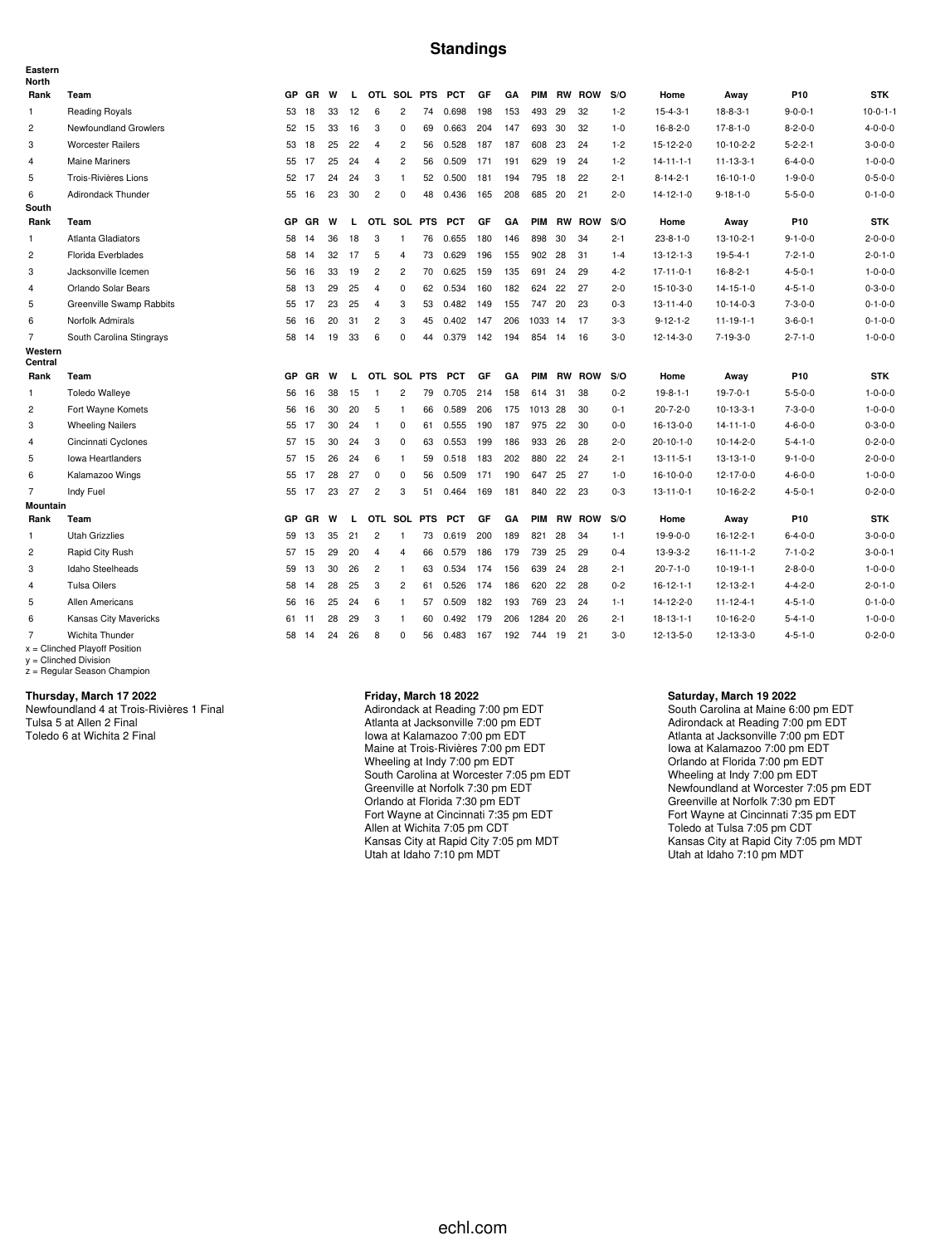#### **Standings**

| Eastern<br><b>North</b> |                                                    |       |           |    |    |                |                |    |            |     |     |            |    |               |         |                   |                   |                 |                 |
|-------------------------|----------------------------------------------------|-------|-----------|----|----|----------------|----------------|----|------------|-----|-----|------------|----|---------------|---------|-------------------|-------------------|-----------------|-----------------|
| Rank                    | Team                                               | GP.   | GR        | W  | L  |                | OTL SOL PTS    |    | <b>PCT</b> | GF  | GA  | <b>PIM</b> |    | <b>RW ROW</b> | S/O     | Home              | Away              | P <sub>10</sub> | <b>STK</b>      |
| 1                       | <b>Reading Royals</b>                              | 53    | 18        | 33 | 12 | 6              | 2              | 74 | 0.698      | 198 | 153 | 493        | 29 | 32            | $1 - 2$ | $15 - 4 - 3 - 1$  | $18-8-3-1$        | $9 - 0 - 0 - 1$ | $10-0-1-1$      |
| 2                       | Newfoundland Growlers                              | 52 15 |           | 33 | 16 | 3              | $\Omega$       | 69 | 0.663      | 204 | 147 | 693        | 30 | 32            | $1 - 0$ | $16 - 8 - 2 - 0$  | $17 - 8 - 1 - 0$  | $8 - 2 - 0 - 0$ | $4 - 0 - 0 - 0$ |
| 3                       | <b>Worcester Railers</b>                           | 53 18 |           | 25 | 22 | 4              | $\overline{c}$ | 56 | 0.528      | 187 | 187 | 608        | 23 | 24            | $1 - 2$ | 15-12-2-0         | $10-10-2-2$       | $5 - 2 - 2 - 1$ | $3 - 0 - 0 - 0$ |
| 4                       | <b>Maine Mariners</b>                              | 55 17 |           | 25 | 24 | $\overline{4}$ | 2              | 56 | 0.509      | 171 | 191 | 629        | 19 | 24            | $1 - 2$ | $14 - 11 - 1 - 1$ | $11 - 13 - 3 - 1$ | $6 - 4 - 0 - 0$ | $1 - 0 - 0 - 0$ |
| 5                       | Trois-Rivières Lions                               | 52 17 |           | 24 | 24 | 3              | $\mathbf{1}$   | 52 | 0.500      | 181 | 194 | 795        | 18 | 22            | $2 - 1$ | $8 - 14 - 2 - 1$  | $16 - 10 - 1 - 0$ | $1 - 9 - 0 - 0$ | $0 - 5 - 0 - 0$ |
| 6                       | Adirondack Thunder                                 | 55 16 |           | 23 | 30 | $\overline{c}$ | 0              | 48 | 0.436      | 165 | 208 | 685        | 20 | 21            | $2 - 0$ | $14 - 12 - 1 - 0$ | $9 - 18 - 1 - 0$  | $5 - 5 - 0 - 0$ | $0 - 1 - 0 - 0$ |
| South                   |                                                    |       |           |    |    |                |                |    |            |     |     |            |    |               |         |                   |                   |                 |                 |
| Rank                    | Team                                               | GP.   | GR        | W  | L  |                | OTL SOL PTS    |    | <b>PCT</b> | GF  | GA  | PIM        |    | <b>RW ROW</b> | S/O     | Home              | Away              | P10             | <b>STK</b>      |
| $\mathbf{1}$            | Atlanta Gladiators                                 | 58    | 14        | 36 | 18 | 3              |                | 76 | 0.655      | 180 | 146 | 898        | 30 | 34            | $2 - 1$ | $23 - 8 - 1 - 0$  | $13 - 10 - 2 - 1$ | $9 - 1 - 0 - 0$ | $2 - 0 - 0 - 0$ |
| $\overline{c}$          | Florida Everblades                                 | 58    | 14        | 32 | 17 | 5              | $\overline{4}$ | 73 | 0.629      | 196 | 155 | 902        | 28 | 31            | $1 - 4$ | $13 - 12 - 1 - 3$ | $19 - 5 - 4 - 1$  | $7 - 2 - 1 - 0$ | $2 - 0 - 1 - 0$ |
| 3                       | Jacksonville Icemen                                | 56 16 |           | 33 | 19 | $\overline{2}$ | $\overline{2}$ | 70 | 0.625      | 159 | 135 | 691        | 24 | 29            | $4 - 2$ | $17 - 11 - 0 - 1$ | $16 - 8 - 2 - 1$  | $4 - 5 - 0 - 1$ | $1 - 0 - 0 - 0$ |
| 4                       | Orlando Solar Bears                                | 58    | 13        | 29 | 25 | $\overline{4}$ | $\mathbf 0$    | 62 | 0.534      | 160 | 182 | 624        | 22 | 27            | $2 - 0$ | $15 - 10 - 3 - 0$ | $14 - 15 - 1 - 0$ | $4 - 5 - 1 - 0$ | $0 - 3 - 0 - 0$ |
| 5                       | Greenville Swamp Rabbits                           | 55 17 |           | 23 | 25 | $\overline{4}$ | 3              | 53 | 0.482      | 149 | 155 | 747        | 20 | 23            | $0 - 3$ | $13 - 11 - 4 - 0$ | $10-14-0-3$       | $7 - 3 - 0 - 0$ | $0 - 1 - 0 - 0$ |
| 6                       | Norfolk Admirals                                   | 56    | 16        | 20 | 31 | 2              | 3              | 45 | 0.402      | 147 | 206 | 1033       | 14 | -17           | $3-3$   | $9 - 12 - 1 - 2$  | $11 - 19 - 1 - 1$ | $3 - 6 - 0 - 1$ | $0 - 1 - 0 - 0$ |
| $\overline{7}$          | South Carolina Stingrays                           | 58    | 14        | 19 | 33 | 6              | $\Omega$       | 44 | 0.379      | 142 | 194 | 854        | 14 | 16            | $3-0$   | $12 - 14 - 3 - 0$ | $7 - 19 - 3 - 0$  | $2 - 7 - 1 - 0$ | $1 - 0 - 0 - 0$ |
| Western<br>Central      |                                                    |       |           |    |    |                |                |    |            |     |     |            |    |               |         |                   |                   |                 |                 |
| Rank                    | Team                                               | GP    | GR        | W  | L  |                | OTL SOL PTS    |    | <b>PCT</b> | GF  | GA  | <b>PIM</b> |    | <b>RW ROW</b> | S/O     | Home              | Away              | P <sub>10</sub> | <b>STK</b>      |
| 1                       | <b>Toledo Walleye</b>                              | 56    | 16        | 38 | 15 | $\overline{1}$ | 2              | 79 | 0.705      | 214 | 158 | 614        | 31 | 38            | $0 - 2$ | $19 - 8 - 1 - 1$  | $19 - 7 - 0 - 1$  | $5 - 5 - 0 - 0$ | $1 - 0 - 0 - 0$ |
| $\overline{c}$          | Fort Wayne Komets                                  | 56    | 16        | 30 | 20 | 5              | $\mathbf{1}$   | 66 | 0.589      | 206 | 175 | 1013 28    |    | 30            | $0 - 1$ | $20 - 7 - 2 - 0$  | $10-13-3-1$       | $7 - 3 - 0 - 0$ | $1 - 0 - 0 - 0$ |
| 3                       | <b>Wheeling Nailers</b>                            | 55 17 |           | 30 | 24 | $\mathbf{1}$   | 0              | 61 | 0.555      | 190 | 187 | 975        | 22 | 30            | $0 - 0$ | 16-13-0-0         | $14 - 11 - 1 - 0$ | $4 - 6 - 0 - 0$ | $0 - 3 - 0 - 0$ |
| $\overline{4}$          | Cincinnati Cyclones                                | 57 15 |           | 30 | 24 | 3              | 0              | 63 | 0.553      | 199 | 186 | 933        | 26 | 28            | $2 - 0$ | $20 - 10 - 1 - 0$ | $10-14-2-0$       | $5 - 4 - 1 - 0$ | $0 - 2 - 0 - 0$ |
| 5                       | Iowa Heartlanders                                  | 57 15 |           | 26 | 24 | 6              | $\mathbf{1}$   | 59 | 0.518      | 183 | 202 | 880        | 22 | 24            | $2 - 1$ | $13 - 11 - 5 - 1$ | $13 - 13 - 1 - 0$ | $9 - 1 - 0 - 0$ | $2 - 0 - 0 - 0$ |
| 6                       | Kalamazoo Wings                                    | 55 17 |           | 28 | 27 | 0              | 0              | 56 | 0.509      | 171 | 190 | 647        | 25 | 27            | $1 - 0$ | $16 - 10 - 0 - 0$ | 12-17-0-0         | $4 - 6 - 0 - 0$ | $1 - 0 - 0 - 0$ |
| $\overline{7}$          | Indy Fuel                                          | 55 17 |           | 23 | 27 | 2              | 3              | 51 | 0.464      | 169 | 181 | 840 22     |    | 23            | $0 - 3$ | $13 - 11 - 0 - 1$ | 10-16-2-2         | $4 - 5 - 0 - 1$ | $0 - 2 - 0 - 0$ |
| <b>Mountain</b>         |                                                    |       |           |    |    |                |                |    |            |     |     |            |    |               |         |                   |                   |                 |                 |
| Rank                    | Team                                               | GP.   | <b>GR</b> | W  | L  | OTL            | SOL PTS        |    | <b>PCT</b> | GF  | GA  | <b>PIM</b> |    | <b>RW ROW</b> | S/O     | Home              | Away              | P <sub>10</sub> | <b>STK</b>      |
| 1                       | <b>Utah Grizzlies</b>                              | 59    | 13        | 35 | 21 | 2              | -1             | 73 | 0.619      | 200 | 189 | 821        | 28 | 34            | $1 - 1$ | $19-9-0-0$        | $16 - 12 - 2 - 1$ | $6 - 4 - 0 - 0$ | $3 - 0 - 0 - 0$ |
| 2                       | Rapid City Rush                                    | 57 15 |           | 29 | 20 | $\overline{4}$ | $\overline{4}$ | 66 | 0.579      | 186 | 179 | 739        | 25 | 29            | $0 - 4$ | 13-9-3-2          | $16 - 11 - 1 - 2$ | $7 - 1 - 0 - 2$ | $3 - 0 - 0 - 1$ |
| 3                       | Idaho Steelheads                                   | 59 13 |           | 30 | 26 | $\overline{c}$ | -1             | 63 | 0.534      | 174 | 156 | 639        | 24 | 28            | $2 - 1$ | $20 - 7 - 1 - 0$  | $10-19-1-1$       | $2 - 8 - 0 - 0$ | $1 - 0 - 0 - 0$ |
| 4                       | <b>Tulsa Oilers</b>                                | 58 14 |           | 28 | 25 | 3              | 2              | 61 | 0.526      | 174 | 186 | 620        | 22 | 28            | $0 - 2$ | $16 - 12 - 1 - 1$ | $12 - 13 - 2 - 1$ | $4 - 4 - 2 - 0$ | $2 - 0 - 1 - 0$ |
| 5                       | <b>Allen Americans</b>                             | 56    | 16        | 25 | 24 | 6              | $\mathbf{1}$   | 57 | 0.509      | 182 | 193 | 769        | 23 | 24            | $1 - 1$ | $14 - 12 - 2 - 0$ | $11 - 12 - 4 - 1$ | $4 - 5 - 1 - 0$ | $0 - 1 - 0 - 0$ |
| 6                       | Kansas City Mavericks                              | 61    | 11        | 28 | 29 | 3              | $\mathbf{1}$   | 60 | 0.492      | 179 | 206 | 1284       | 20 | 26            | $2 - 1$ | $18 - 13 - 1 - 1$ | $10-16-2-0$       | $5 - 4 - 1 - 0$ | $1 - 0 - 0 - 0$ |
| $\overline{7}$          | Wichita Thunder<br>$x =$ Clinched Playoff Position | 58    | 14        | 24 | 26 | 8              | 0              | 56 | 0.483      | 167 | 192 | 744 19     |    | 21            | $3-0$   | $12 - 13 - 5 - 0$ | 12-13-3-0         | $4 - 5 - 1 - 0$ | $0 - 2 - 0 - 0$ |

x = Clinched Playoff Position y = Clinched Division z = Regular Season Champion

#### **Thursday, March 17 2022**

Newfoundland 4 at Trois-Rivières 1 Final Tulsa 5 at Allen 2 Final Toledo 6 at Wichita 2 Final

#### **Friday, March 18 2022**

Adirondack at Reading 7:00 pm EDT Atlanta at Jacksonville 7:00 pm EDT Iowa at Kalamazoo 7:00 pm EDT Maine at Trois-Rivières 7:00 pm EDT Wheeling at Indy 7:00 pm EDT South Carolina at Worcester 7:05 pm EDT Greenville at Norfolk 7:30 pm EDT Orlando at Florida 7:30 pm EDT Fort Wayne at Cincinnati 7:35 pm EDT Allen at Wichita 7:05 pm CDT Kansas City at Rapid City 7:05 pm MDT Utah at Idaho 7:10 pm MDT

#### **Saturday, March 19 2022**

South Carolina at Maine 6:00 pm EDT Adirondack at Reading 7:00 pm EDT Atlanta at Jacksonville 7:00 pm EDT Iowa at Kalamazoo 7:00 pm EDT Orlando at Florida 7:00 pm EDT Wheeling at Indy 7:00 pm EDT Newfoundland at Worcester 7:05 pm EDT Greenville at Norfolk 7:30 pm EDT Fort Wayne at Cincinnati 7:35 pm EDT Toledo at Tulsa 7:05 pm CDT Kansas City at Rapid City 7:05 pm MDT Utah at Idaho 7:10 pm MDT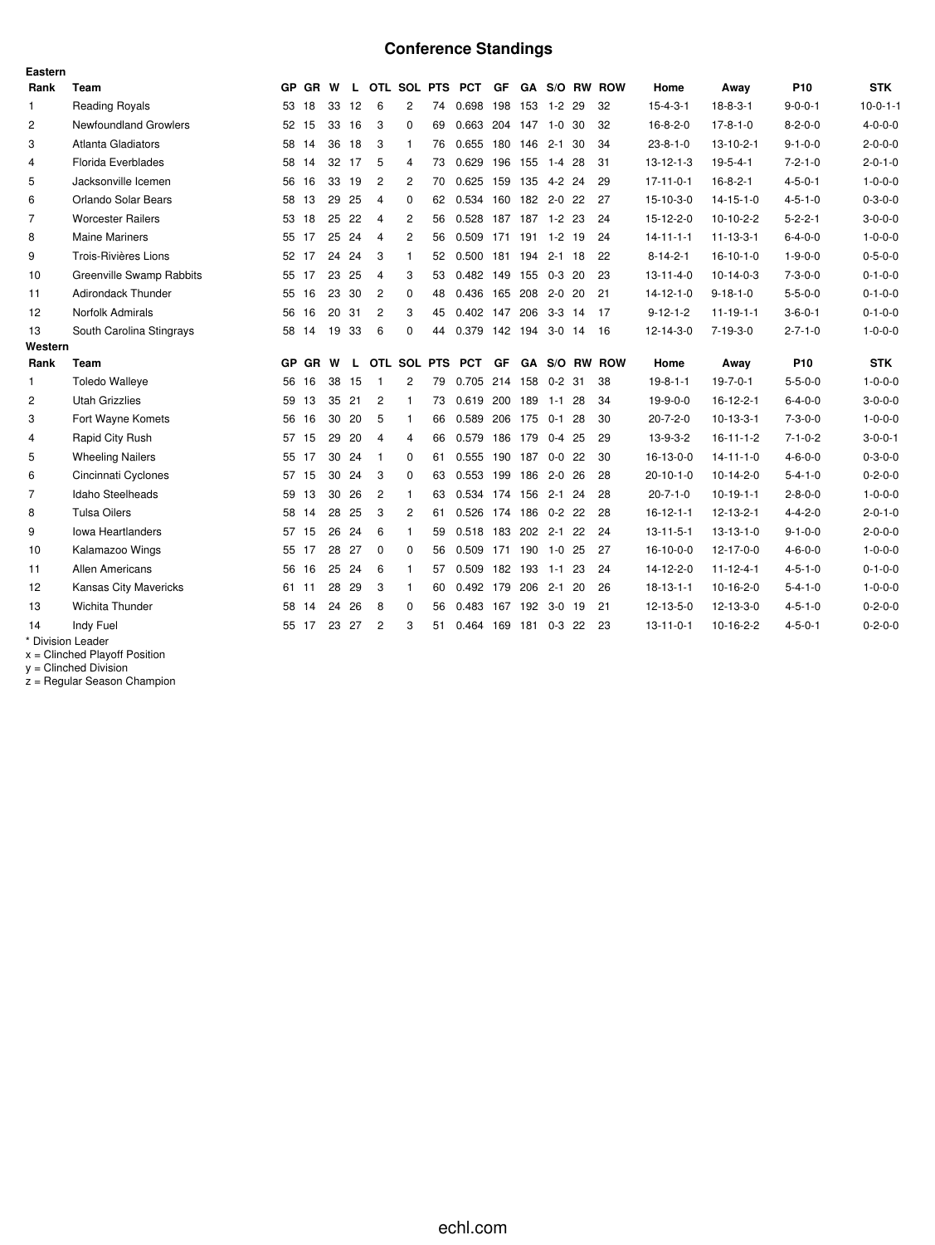# **Conference Standings**

| Eastern        |                                 |     |           |    |              |                |                |    |                      |                |              |            |     |               |                   |                   |                 |                 |
|----------------|---------------------------------|-----|-----------|----|--------------|----------------|----------------|----|----------------------|----------------|--------------|------------|-----|---------------|-------------------|-------------------|-----------------|-----------------|
| Rank           | Team                            | GP. | GR W      |    | $\mathbf{L}$ |                |                |    | OTL SOL PTS PCT      | GF.            |              |            |     | GA S/O RW ROW | Home              | Away              | P <sub>10</sub> | <b>STK</b>      |
| 1              | <b>Reading Royals</b>           | 53  | 18        | 33 | 12           | 6              | $\overline{2}$ | 74 | 0.698                | 198            | 153 1-2 29   |            |     | 32            | $15 - 4 - 3 - 1$  | $18 - 8 - 3 - 1$  | $9 - 0 - 0 - 1$ | $10-0-1-1$      |
| $\overline{c}$ | <b>Newfoundland Growlers</b>    |     | 52 15     |    | 33 16        | 3              | $\Omega$       | 69 | 0.663 204 147 1-0 30 |                |              |            |     | 32            | $16 - 8 - 2 - 0$  | $17 - 8 - 1 - 0$  | $8 - 2 - 0 - 0$ | $4 - 0 - 0 - 0$ |
| 3              | Atlanta Gladiators              |     | 58 14     | 36 | 18           | 3              | 1              | 76 | 0.655 180 146        |                |              | $2 - 1$ 30 |     | 34            | $23 - 8 - 1 - 0$  | $13 - 10 - 2 - 1$ | $9 - 1 - 0 - 0$ | $2 - 0 - 0 - 0$ |
| 4              | Florida Everblades              |     | 58 14     |    | 32 17        | 5              | 4              | 73 | 0.629 196 155 1-4 28 |                |              |            |     | 31            | $13 - 12 - 1 - 3$ | $19-5-4-1$        | $7 - 2 - 1 - 0$ | $2 - 0 - 1 - 0$ |
| 5              | Jacksonville Icemen             | 56  | 16        | 33 | 19           | $\overline{c}$ | 2              | 70 | 0.625                | 159            | 135  4-2  24 |            |     | 29            | $17 - 11 - 0 - 1$ | $16 - 8 - 2 - 1$  | $4 - 5 - 0 - 1$ | $1 - 0 - 0 - 0$ |
| 6              | Orlando Solar Bears             | 58  | 13        | 29 | 25           | 4              | 0              | 62 | 0.534 160 182 2-0 22 |                |              |            |     | 27            | 15-10-3-0         | $14 - 15 - 1 - 0$ | $4 - 5 - 1 - 0$ | $0 - 3 - 0 - 0$ |
| $\overline{7}$ | <b>Worcester Railers</b>        | 53  | 18        |    | 25 22        | 4              | $\overline{2}$ | 56 | 0.528 187 187 1-2 23 |                |              |            |     | 24            | 15-12-2-0         | $10-10-2-2$       | $5 - 2 - 2 - 1$ | $3 - 0 - 0 - 0$ |
| 8              | <b>Maine Mariners</b>           | 55  | 17        | 25 | 24           | 4              | $\overline{2}$ | 56 | 0.509                | 171 191 1-2 19 |              |            |     | 24            | $14 - 11 - 1 - 1$ | $11 - 13 - 3 - 1$ | $6 - 4 - 0 - 0$ | $1 - 0 - 0 - 0$ |
| 9              | <b>Trois-Rivières Lions</b>     |     | 52 17     | 24 | 24           | 3              | 1              | 52 | 0.500 181 194 2-1 18 |                |              |            |     | 22            | $8 - 14 - 2 - 1$  | $16-10-1-0$       | $1 - 9 - 0 - 0$ | $0 - 5 - 0 - 0$ |
| 10             | <b>Greenville Swamp Rabbits</b> | 55  | 17        | 23 | -25          | 4              | 3              | 53 | 0.482 149            |                | 155          | $0-3$ 20   |     | 23            | $13 - 11 - 4 - 0$ | $10-14-0-3$       | $7 - 3 - 0 - 0$ | $0 - 1 - 0 - 0$ |
| 11             | <b>Adirondack Thunder</b>       | 55  | 16        | 23 | -30          | $\overline{c}$ | 0              | 48 | 0.436                | 165            | 208          | $2-0$ 20   |     | 21            | $14 - 12 - 1 - 0$ | $9 - 18 - 1 - 0$  | $5 - 5 - 0 - 0$ | $0 - 1 - 0 - 0$ |
| 12             | Norfolk Admirals                | 56  | 16        |    | 20 31        | $\overline{c}$ | 3              | 45 | 0.402 147 206 3-3 14 |                |              |            |     | 17            | $9 - 12 - 1 - 2$  | $11 - 19 - 1 - 1$ | $3 - 6 - 0 - 1$ | $0 - 1 - 0 - 0$ |
| 13             | South Carolina Stingrays        | 58  | 14        | 19 | 33           | 6              | $\Omega$       | 44 | 0.379 142 194 3-0 14 |                |              |            |     | - 16          | 12-14-3-0         | $7 - 19 - 3 - 0$  | $2 - 7 - 1 - 0$ | $1 - 0 - 0 - 0$ |
| Western        |                                 |     |           |    |              |                |                |    |                      |                |              |            |     |               |                   |                   |                 |                 |
| Rank           | Team                            | GP  | <b>GR</b> | W  | L            |                | OTL SOL PTS    |    | <b>PCT</b>           | GF             |              |            |     | GA S/O RW ROW | Home              | Away              | P <sub>10</sub> | <b>STK</b>      |
| $\mathbf{1}$   | <b>Toledo Walleye</b>           | 56  | 16        | 38 | 15           | -1             | $\overline{2}$ | 79 | 0.705 214 158        |                |              | $0 - 2$ 31 |     | 38            | $19-8-1-1$        | $19 - 7 - 0 - 1$  | $5 - 5 - 0 - 0$ | $1 - 0 - 0 - 0$ |
| 2              | <b>Utah Grizzlies</b>           | 59  | 13        | 35 | 21           | $\overline{c}$ | $\mathbf{1}$   | 73 | 0.619                | 200 189        |              | $1 - 1$    | -28 | 34            | $19-9-0-0$        | $16 - 12 - 2 - 1$ | $6 - 4 - 0 - 0$ | $3 - 0 - 0 - 0$ |
| 3              | Fort Wayne Komets               | 56  | 16        | 30 | 20           | 5              | $\mathbf{1}$   | 66 | 0.589 206 175        |                |              | $0-1$ 28   |     | 30            | $20 - 7 - 2 - 0$  | $10-13-3-1$       | $7 - 3 - 0 - 0$ | $1 - 0 - 0 - 0$ |
| 4              | Rapid City Rush                 | 57  | 15        | 29 | 20           | 4              | 4              | 66 | 0.579 186 179        |                |              | $0-4$ 25   |     | 29            | 13-9-3-2          | $16 - 11 - 1 - 2$ | $7 - 1 - 0 - 2$ | $3 - 0 - 0 - 1$ |
| 5              | <b>Wheeling Nailers</b>         | 55  | 17        | 30 | 24           | $\mathbf{1}$   | 0              | 61 | 0.555 190 187        |                |              | $0-0$ 22   |     | 30            | 16-13-0-0         | $14 - 11 - 1 - 0$ | $4 - 6 - 0 - 0$ | $0 - 3 - 0 - 0$ |
| 6              |                                 |     |           |    |              |                |                |    |                      |                |              |            |     |               |                   |                   |                 | $0 - 2 - 0 - 0$ |
|                | Cincinnati Cyclones             |     | 57 15     | 30 | 24           | 3              | 0              | 63 | 0.553 199            |                | 186          | $2 - 0$ 26 |     | 28            | $20 - 10 - 1 - 0$ | $10-14-2-0$       | $5 - 4 - 1 - 0$ |                 |
| 7              | Idaho Steelheads                | 59  | 13        | 30 | 26           | $\overline{c}$ | 1              | 63 | 0.534 174            |                | 156          | $2 - 1$    | -24 | 28            | $20 - 7 - 1 - 0$  | $10-19-1-1$       | $2 - 8 - 0 - 0$ | $1 - 0 - 0 - 0$ |
| 8              | <b>Tulsa Oilers</b>             | 58  | 14        | 28 | 25           | 3              | 2              | 61 | 0.526 174 186 0-2 22 |                |              |            |     | 28            | $16 - 12 - 1 - 1$ | $12 - 13 - 2 - 1$ | $4 - 4 - 2 - 0$ | $2 - 0 - 1 - 0$ |
| 9              | <b>Iowa Heartlanders</b>        |     | 57 15     | 26 | 24           | 6              | $\mathbf{1}$   | 59 | 0.518 183            |                | 202          | $2 - 1$ 22 |     | 24            | $13 - 11 - 5 - 1$ | $13 - 13 - 1 - 0$ | $9 - 1 - 0 - 0$ | $2 - 0 - 0 - 0$ |
| 10             | Kalamazoo Wings                 | 55  | 17        | 28 | 27           | $\Omega$       | $\Omega$       | 56 | 0.509 171 190        |                |              | $1-0$ 25   |     | 27            | $16-10-0-0$       | $12 - 17 - 0 - 0$ | $4 - 6 - 0 - 0$ | $1 - 0 - 0 - 0$ |
| 11             | <b>Allen Americans</b>          | 56  | 16        |    | 25 24        | 6              | 1              | 57 | 0.509 182 193        |                |              | $1-1$ 23   |     | 24            | 14-12-2-0         | $11 - 12 - 4 - 1$ | $4 - 5 - 1 - 0$ | $0 - 1 - 0 - 0$ |
| 12             | <b>Kansas City Mavericks</b>    | 61  | -11       | 28 | 29           | 3              | $\mathbf{1}$   | 60 | 0.492 179            |                | 206          | $2 - 1$    | -20 | 26            | $18 - 13 - 1 - 1$ | $10-16-2-0$       | $5 - 4 - 1 - 0$ | $1 - 0 - 0 - 0$ |
| 13             | Wichita Thunder                 | 58  | 14        | 24 | 26           | 8              | 0              | 56 | 0.483 167 192 3-0 19 |                |              |            |     | 21            | 12-13-5-0         | 12-13-3-0         | $4 - 5 - 1 - 0$ | $0 - 2 - 0 - 0$ |
| 14             | Indy Fuel<br>* Division Loader  |     | 55 17     |    | 23 27        | 2              | 3              | 51 | 0.464 169            |                | 181 0-3 22   |            |     | 23            | $13 - 11 - 0 - 1$ | $10-16-2-2$       | $4 - 5 - 0 - 1$ | $0 - 2 - 0 - 0$ |

\* Division Leader

x = Clinched Playoff Position y = Clinched Division

z = Regular Season Champion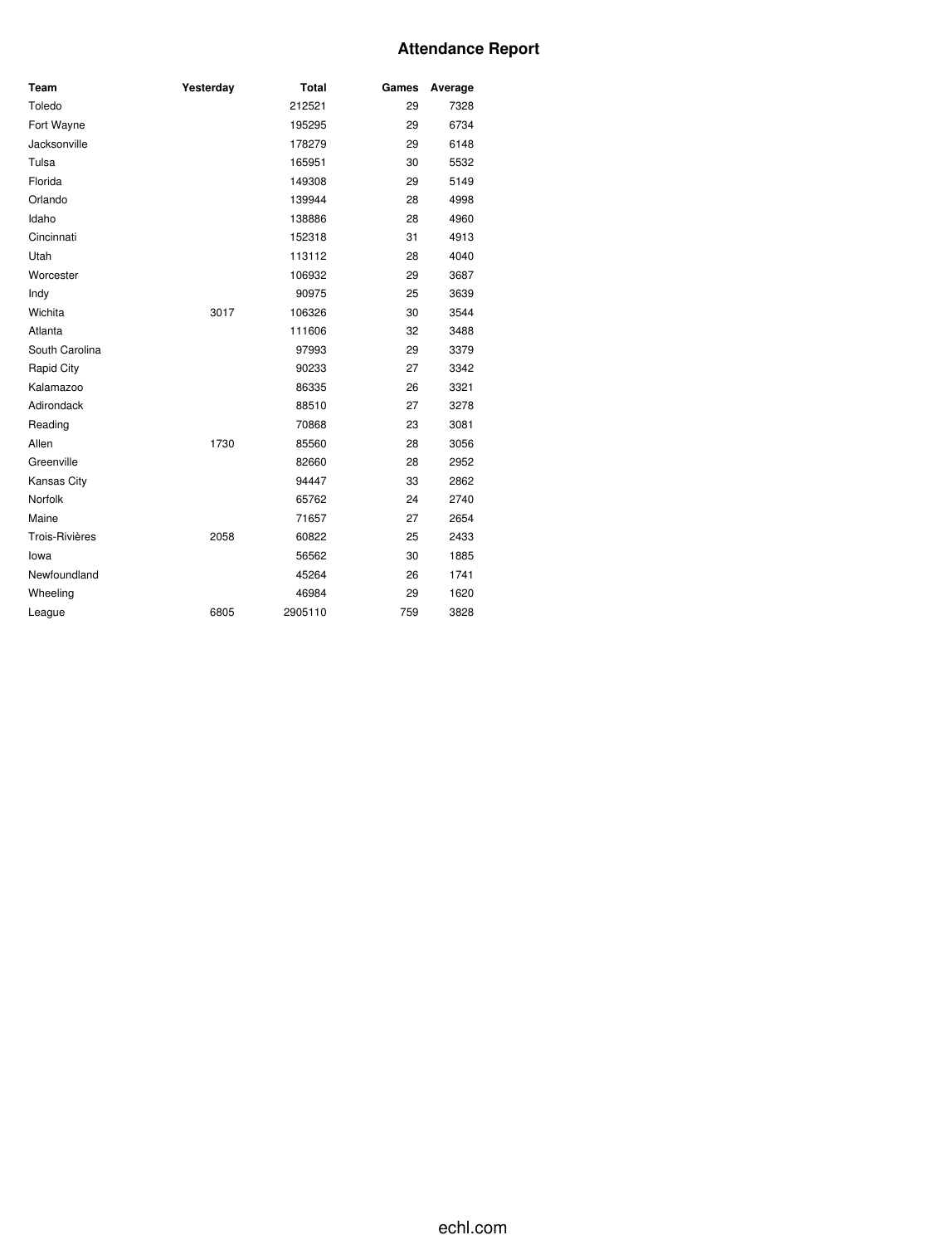## **Attendance Report**

| Team                  | Yesterday | <b>Total</b> | Games | Average |
|-----------------------|-----------|--------------|-------|---------|
| Toledo                |           | 212521       | 29    | 7328    |
| Fort Wayne            |           | 195295       | 29    | 6734    |
| Jacksonville          |           | 178279       | 29    | 6148    |
| Tulsa                 |           | 165951       | 30    | 5532    |
| Florida               |           | 149308       | 29    | 5149    |
| Orlando               |           | 139944       | 28    | 4998    |
| Idaho                 |           | 138886       | 28    | 4960    |
| Cincinnati            |           | 152318       | 31    | 4913    |
| Utah                  |           | 113112       | 28    | 4040    |
| Worcester             |           | 106932       | 29    | 3687    |
| Indy                  |           | 90975        | 25    | 3639    |
| Wichita               | 3017      | 106326       | 30    | 3544    |
| Atlanta               |           | 111606       | 32    | 3488    |
| South Carolina        |           | 97993        | 29    | 3379    |
| Rapid City            |           | 90233        | 27    | 3342    |
| Kalamazoo             |           | 86335        | 26    | 3321    |
| Adirondack            |           | 88510        | 27    | 3278    |
| Reading               |           | 70868        | 23    | 3081    |
| Allen                 | 1730      | 85560        | 28    | 3056    |
| Greenville            |           | 82660        | 28    | 2952    |
| Kansas City           |           | 94447        | 33    | 2862    |
| Norfolk               |           | 65762        | 24    | 2740    |
| Maine                 |           | 71657        | 27    | 2654    |
| <b>Trois-Rivières</b> | 2058      | 60822        | 25    | 2433    |
| lowa                  |           | 56562        | 30    | 1885    |
| Newfoundland          |           | 45264        | 26    | 1741    |
| Wheeling              |           | 46984        | 29    | 1620    |
| League                | 6805      | 2905110      | 759   | 3828    |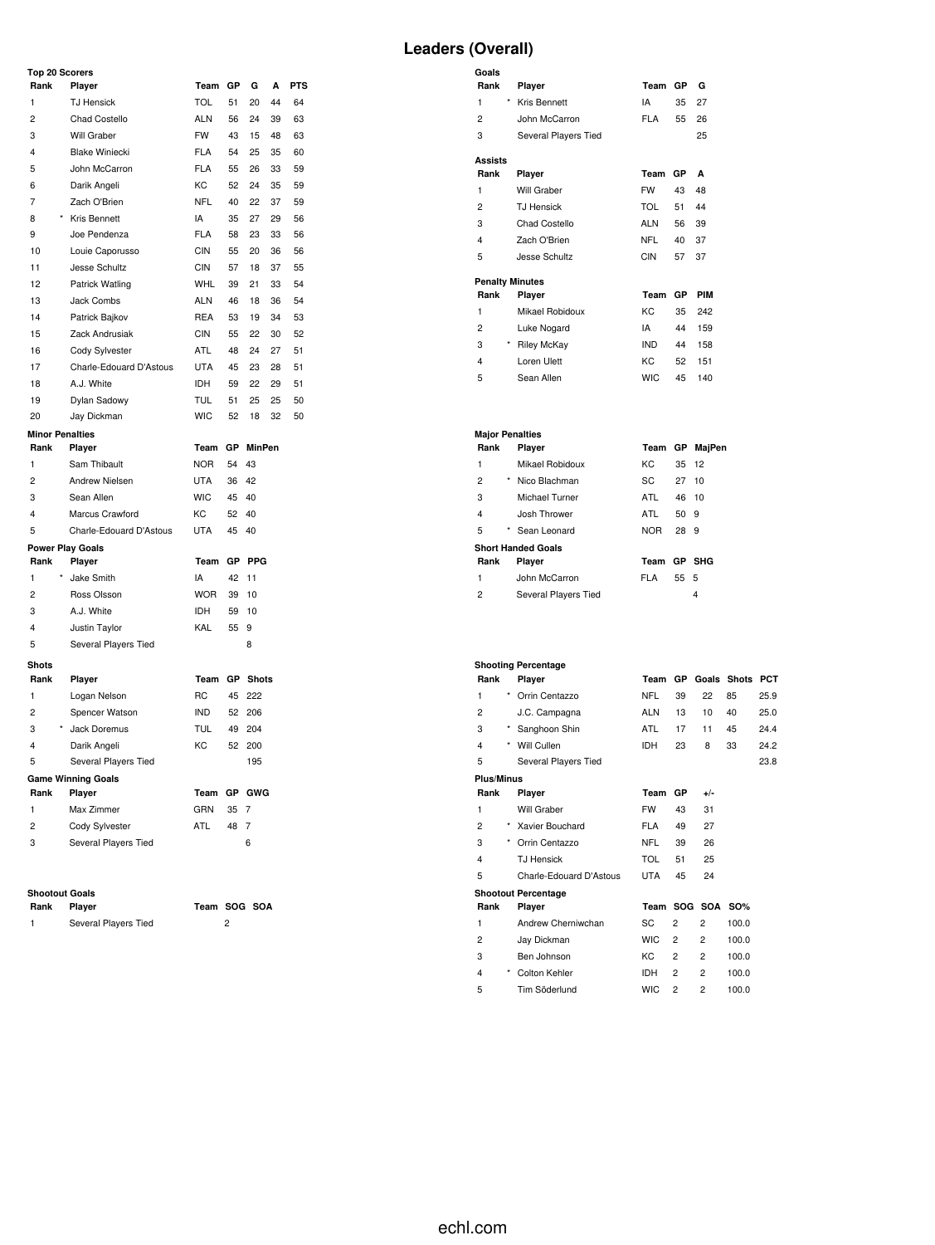#### **Top 20 Scorers**

| Rank                    | Player                    | Team       | GP | G               | А  | <b>PTS</b> |
|-------------------------|---------------------------|------------|----|-----------------|----|------------|
| 1                       | <b>TJ Hensick</b>         | <b>TOL</b> | 51 | 20              | 44 | 64         |
| $\overline{2}$          | Chad Costello             | <b>ALN</b> | 56 | 24              | 39 | 63         |
| 3                       | Will Graber               | <b>FW</b>  | 43 | 15              | 48 | 63         |
| $\overline{\mathbf{4}}$ | <b>Blake Winiecki</b>     | <b>FLA</b> | 54 | 25              | 35 | 60         |
| 5                       | John McCarron             | <b>FLA</b> | 55 | 26              | 33 | 59         |
| 6                       | Darik Angeli              | KC         | 52 | 24              | 35 | 59         |
| 7                       | Zach O'Brien              | <b>NFL</b> | 40 | 22              | 37 | 59         |
| 8                       | Kris Bennett              | IA         | 35 | 27              | 29 | 56         |
| 9                       | Joe Pendenza              | <b>FLA</b> | 58 | 23              | 33 | 56         |
| 10                      | Louie Caporusso           | <b>CIN</b> | 55 | 20              | 36 | 56         |
| 11                      | Jesse Schultz             | <b>CIN</b> | 57 | 18              | 37 | 55         |
| 12                      | Patrick Watling           | <b>WHL</b> | 39 | 21              | 33 | 54         |
| 13                      | Jack Combs                | <b>ALN</b> | 46 | 18              | 36 | 54         |
| 14                      | Patrick Bajkov            | <b>REA</b> | 53 | 19              | 34 | 53         |
| 15                      | Zack Andrusiak            | <b>CIN</b> | 55 | 22              | 30 | 52         |
| 16                      | Cody Sylvester            | ATL        | 48 | 24              | 27 | 51         |
| 17                      | Charle-Edouard D'Astous   | <b>UTA</b> | 45 | 23              | 28 | 51         |
| 18                      | A.J. White                | IDH        | 59 | 22              | 29 | 51         |
| 19                      | Dylan Sadowy              | <b>TUL</b> | 51 | 25              | 25 | 50         |
| 20                      | Jay Dickman               | <b>WIC</b> | 52 | 18              | 32 | 50         |
| <b>Minor Penalties</b>  |                           |            |    |                 |    |            |
| Rank                    | Player                    | Team       | GР | <b>MinPen</b>   |    |            |
| $\mathbf{1}$            | Sam Thibault              | <b>NOR</b> | 54 | 43              |    |            |
| $\overline{2}$          | Andrew Nielsen            | <b>UTA</b> | 36 | 42              |    |            |
| 3                       | Sean Allen                | <b>WIC</b> | 45 | 40              |    |            |
| $\overline{4}$          | Marcus Crawford           | KC         | 52 | 40              |    |            |
| 5                       | Charle-Edouard D'Astous   | <b>UTA</b> | 45 | 40              |    |            |
|                         | <b>Power Play Goals</b>   |            |    |                 |    |            |
| Rank                    | Player                    | Team       | GP | <b>PPG</b>      |    |            |
| $\mathbf{1}$            | Jake Smith                | IA         | 42 | 11              |    |            |
| $\overline{c}$          | Ross Olsson               | <b>WOR</b> | 39 | 10              |    |            |
| 3                       | A.J. White                | <b>IDH</b> | 59 | 10              |    |            |
| 4                       | Justin Taylor             | KAL        | 55 | 9               |    |            |
| 5                       | Several Players Tied      |            |    | 8               |    |            |
| <b>Shots</b>            |                           |            |    |                 |    |            |
| Rank                    | Player                    | Team       |    | <b>GP</b> Shots |    |            |
| $\mathbf{1}$            | Logan Nelson              | <b>RC</b>  | 45 | 222             |    |            |
| $\overline{2}$          | Spencer Watson            | <b>IND</b> | 52 | 206             |    |            |
| 3                       | Jack Doremus              | <b>TUL</b> | 49 | 204             |    |            |
| 4                       | Darik Angeli              | KC         | 52 | 200             |    |            |
| 5                       | Several Players Tied      |            |    | 195             |    |            |
|                         | <b>Game Winning Goals</b> |            |    |                 |    |            |
| Rank                    | Player                    | Team       | GP | GWG             |    |            |
| 1                       | Max Zimmer                | GRN        | 35 | 7               |    |            |
| $\overline{2}$          | Cody Sylvester            | <b>ATL</b> | 48 | 7               |    |            |
| 3                       | Several Players Tied      |            |    | 6               |    |            |

# **Shootout Goals**

| . | .                    | . | -- |
|---|----------------------|---|----|
|   | Several Players Tied |   |    |

**Rank Player Team SOG SOA**

## **Leaders (Overall)**

| Goals                  |                      |            |    |     |
|------------------------|----------------------|------------|----|-----|
| Rank                   | Player               | Team       | GP | G   |
| *<br>1                 | Kris Bennett         | IA         | 35 | 27  |
| 2                      | John McCarron        | <b>FLA</b> | 55 | 26  |
| 3                      | Several Players Tied |            |    | 25  |
| <b>Assists</b>         |                      |            |    |     |
| Rank                   | Player               | Team       | GP | A   |
| 1                      | Will Graber          | <b>FW</b>  | 43 | 48  |
| $\overline{2}$         | <b>TJ</b> Hensick    | TOL        | 51 | 44  |
| 3                      | Chad Costello        | <b>ALN</b> | 56 | 39  |
| 4                      | Zach O'Brien         | <b>NFL</b> | 40 | 37  |
| 5                      | Jesse Schultz        | CIN        | 57 | 37  |
| <b>Penalty Minutes</b> |                      |            |    |     |
| Rank                   | Player               | Team       | GP | PIM |
| 1                      | Mikael Robidoux      | KC         | 35 | 242 |
| 2                      | Luke Nogard          | IA         | 44 | 159 |
| $\star$<br>3           | <b>Riley McKay</b>   | IND.       | 44 | 158 |
| 4                      | Loren Ulett          | KC         | 52 | 151 |
| 5                      | Sean Allen           | <b>WIC</b> | 45 | 140 |

#### **Major Penalties Rank Player Team GP MajPen** Mikael Robidoux KC 35 12 2 \* Nico Blachman SC 27 10 Michael Turner ATL 46 10 Josh Thrower ATL 50 9

| 5            | * Sean Leonard            | NOR.        | 28 9 |  |
|--------------|---------------------------|-------------|------|--|
|              | <b>Short Handed Goals</b> |             |      |  |
| Rank         | Player                    | Team GP SHG |      |  |
| $\mathbf{1}$ | John McCarron             | FI A        | 55 5 |  |
| 2            | Several Players Tied      |             |      |  |

## **Shooting Percentage**

| Rank              |            | Player                     | Team       | <b>GP</b>      | Goals          | <b>Shots</b> | PCT  |
|-------------------|------------|----------------------------|------------|----------------|----------------|--------------|------|
| 1                 | $\star$    | Orrin Centazzo             | <b>NFL</b> | 39             | 22             | 85           | 25.9 |
| $\overline{2}$    |            | J.C. Campagna              | <b>ALN</b> | 13             | 10             | 40           | 25.0 |
| 3                 | $^{\star}$ | Sanghoon Shin              | <b>ATL</b> | 17             | 11             | 45           | 24.4 |
| 4                 | $\star$    | Will Cullen                | <b>IDH</b> | 23             | 8              | 33           | 24.2 |
| 5                 |            | Several Players Tied       |            |                |                |              | 23.8 |
| <b>Plus/Minus</b> |            |                            |            |                |                |              |      |
| Rank              |            | Player                     | Team       | <b>GP</b>      | $+/-$          |              |      |
| 1                 |            | Will Graber                | <b>FW</b>  | 43             | 31             |              |      |
| $\overline{2}$    | $\star$    | Xavier Bouchard            | <b>FLA</b> | 49             | 27             |              |      |
| 3                 | *          | Orrin Centazzo             | <b>NFL</b> | 39             | 26             |              |      |
| 4                 |            | <b>TJ Hensick</b>          | <b>TOL</b> | 51             | 25             |              |      |
| 5                 |            | Charle-Edouard D'Astous    | <b>UTA</b> | 45             | 24             |              |      |
|                   |            | <b>Shootout Percentage</b> |            |                |                |              |      |
| Rank              |            | Player                     | Team       |                | SOG SOA SO%    |              |      |
| 1                 |            | Andrew Cherniwchan         | SC         | $\overline{2}$ | $\overline{2}$ | 100.0        |      |
| 2                 |            | Jay Dickman                | <b>WIC</b> | $\overline{2}$ | $\overline{2}$ | 100.0        |      |
| 3                 |            | Ben Johnson                | КC         | $\overline{2}$ | $\overline{2}$ | 100.0        |      |
| 4                 | $\star$    | Colton Kehler              | <b>IDH</b> | $\overline{2}$ | $\overline{2}$ | 100.0        |      |
| 5                 |            | Tim Söderlund              | <b>WIC</b> | $\overline{2}$ | $\overline{2}$ | 100.0        |      |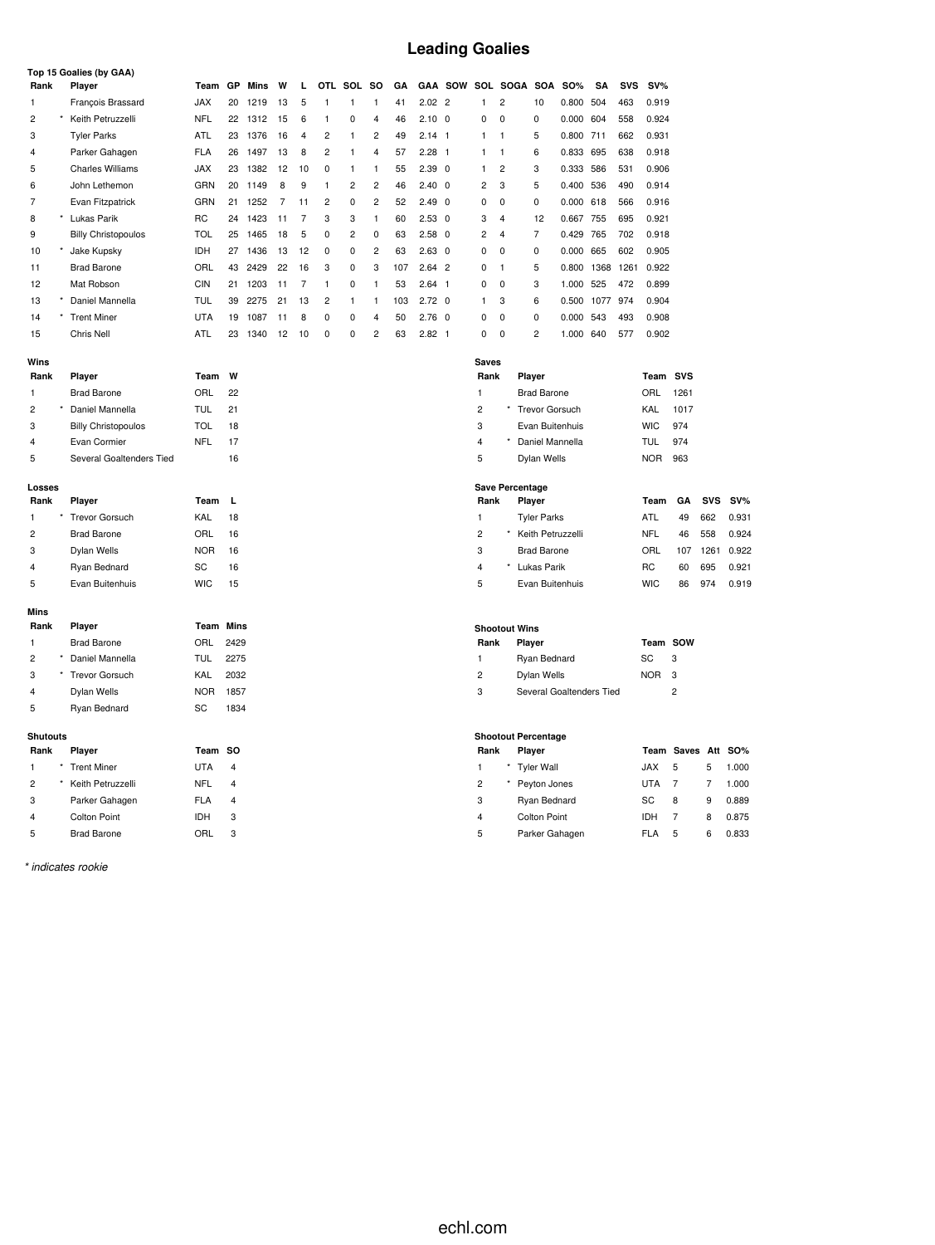# **Leading Goalies**

|                |                 | Top 15 Goalies (by GAA)    |                  |                         |      |    |                |                         |                         |                         |     |                |     |                         |                      |                            |             |      |            |            |                |            |            |
|----------------|-----------------|----------------------------|------------------|-------------------------|------|----|----------------|-------------------------|-------------------------|-------------------------|-----|----------------|-----|-------------------------|----------------------|----------------------------|-------------|------|------------|------------|----------------|------------|------------|
| Rank           |                 | Player                     | Team GP          |                         | Mins | W  | г              |                         | OTL SOL                 | so                      | GΑ  |                |     |                         |                      | GAA SOW SOL SOGA SOA       | <b>SO%</b>  | SA   | <b>SVS</b> | $SV\%$     |                |            |            |
| 1              |                 | <b>Francois Brassard</b>   | <b>JAX</b>       | 20                      | 1219 | 13 | 5              | 1                       | 1                       | $\mathbf{1}$            | 41  | $2.02$ 2       |     | 1                       | $\overline{c}$       | 10                         | 0.800 504   |      | 463        | 0.919      |                |            |            |
| $\overline{2}$ |                 | Keith Petruzzelli          | <b>NFL</b>       | 22                      | 1312 | 15 | 6              | $\mathbf{1}$            | 0                       | $\overline{4}$          | 46  | $2.10 \quad 0$ |     | 0                       | 0                    | 0                          | 0.000 604   |      | 558        | 0.924      |                |            |            |
| 3              |                 | <b>Tyler Parks</b>         | ATL              | 23                      | 1376 | 16 | 4              | $\overline{\mathbf{c}}$ | 1                       | $\overline{\mathbf{c}}$ | 49  | $2.14$ 1       |     | 1                       | $\mathbf{1}$         | 5                          | 0.800 711   |      | 662        | 0.931      |                |            |            |
| 4              |                 | Parker Gahagen             | <b>FLA</b>       | 26                      | 1497 | 13 | 8              | $\overline{2}$          | 1                       | $\overline{4}$          | 57  | 2.28           | - 1 | 1                       | $\mathbf{1}$         | 6                          | 0.833 695   |      | 638        | 0.918      |                |            |            |
| 5              |                 | <b>Charles Williams</b>    | <b>JAX</b>       | 23                      | 1382 | 12 | 10             | 0                       | 1                       | 1                       | 55  | $2.39$ 0       |     | 1                       | $\overline{c}$       | 3                          | 0.333 586   |      | 531        | 0.906      |                |            |            |
| 6              |                 | John Lethemon              | GRN              | 20                      | 1149 | 8  | 9              | $\mathbf{1}$            | $\overline{\mathbf{c}}$ | 2                       | 46  | $2.40 \quad 0$ |     | $\overline{\mathbf{c}}$ | 3                    | 5                          | 0.400 536   |      | 490        | 0.914      |                |            |            |
| $\overline{7}$ |                 | Evan Fitzpatrick           | GRN              | 21                      | 1252 | 7  | 11             | $\overline{c}$          | 0                       | $\overline{\mathbf{c}}$ | 52  | $2.49$ 0       |     | 0                       | $\mathbf 0$          | 0                          | $0.000$ 618 |      | 566        | 0.916      |                |            |            |
| 8              |                 | * Lukas Parik              | RC               | 24                      | 1423 | 11 | $\overline{7}$ | 3                       | 3                       | $\mathbf{1}$            | 60  | $2.53$ 0       |     | 3                       | $\overline{4}$       | 12                         | 0.667 755   |      | 695        | 0.921      |                |            |            |
| 9              |                 | <b>Billy Christopoulos</b> | <b>TOL</b>       | 25                      | 1465 | 18 | 5              | $\mathbf 0$             | $\overline{\mathbf{c}}$ | 0                       | 63  | $2.58$ 0       |     | $\overline{\mathbf{c}}$ | $\overline{4}$       | $\overline{7}$             | 0.429 765   |      | 702        | 0.918      |                |            |            |
| 10             |                 | Jake Kupsky                | <b>IDH</b>       | 27                      | 1436 | 13 | 12             | 0                       | 0                       | $\overline{c}$          | 63  | $2.63$ 0       |     | 0                       | 0                    | $\mathbf 0$                | 0.000 665   |      | 602        | 0.905      |                |            |            |
| 11             |                 | <b>Brad Barone</b>         | ORL              | 43                      | 2429 | 22 | 16             | 3                       | 0                       | 3                       | 107 | $2.64$ 2       |     | 0                       | $\mathbf{1}$         | 5                          | 0.800 1368  |      | 1261       | 0.922      |                |            |            |
| 12             |                 | Mat Robson                 | CIN              | 21                      | 1203 | 11 | $\overline{7}$ | $\mathbf{1}$            | 0                       | 1                       | 53  | $2.64$ 1       |     | 0                       | 0                    | 3                          | 1.000 525   |      | 472        | 0.899      |                |            |            |
| 13             |                 | Daniel Mannella            | TUL              | 39                      | 2275 | 21 | 13             | 2                       | 1                       | 1                       | 103 | $2.72 \quad 0$ |     | 1                       | 3                    | 6                          | 0.500       | 1077 | 974        | 0.904      |                |            |            |
| 14             |                 | * Trent Miner              | <b>UTA</b>       | 19                      | 1087 | 11 | 8              | $\mathbf 0$             | 0                       | $\overline{4}$          | 50  | $2.76 \quad 0$ |     | 0                       | $\mathbf 0$          | 0                          | 0.000       | 543  | 493        | 0.908      |                |            |            |
| 15             |                 | Chris Nell                 | ATL              | 23                      | 1340 | 12 | 10             | $\mathbf 0$             | 0                       | $\overline{\mathbf{c}}$ | 63  | $2.82$ 1       |     | 0                       | 0                    | $\overline{\mathbf{c}}$    | 1.000 640   |      | 577        | 0.902      |                |            |            |
|                |                 |                            |                  |                         |      |    |                |                         |                         |                         |     |                |     |                         |                      |                            |             |      |            |            |                |            |            |
| Wins<br>Rank   |                 | Player                     | Team             | W                       |      |    |                |                         |                         |                         |     |                |     | <b>Saves</b><br>Rank    |                      | Player                     |             |      |            | Team SVS   |                |            |            |
| 1              |                 | <b>Brad Barone</b>         | ORL              | 22                      |      |    |                |                         |                         |                         |     |                |     | 1                       |                      | <b>Brad Barone</b>         |             |      |            | ORL        | 1261           |            |            |
| $\overline{c}$ |                 | Daniel Mannella            | <b>TUL</b>       | 21                      |      |    |                |                         |                         |                         |     |                |     | $\overline{\mathbf{c}}$ |                      | <b>Trevor Gorsuch</b>      |             |      |            | KAL        | 1017           |            |            |
| 3              |                 | <b>Billy Christopoulos</b> | <b>TOL</b>       | 18                      |      |    |                |                         |                         |                         |     |                |     | 3                       |                      | Evan Buitenhuis            |             |      |            | <b>WIC</b> | 974            |            |            |
| 4              |                 | Evan Cormier               | <b>NFL</b>       | 17                      |      |    |                |                         |                         |                         |     |                |     | $\overline{4}$          |                      | Daniel Mannella            |             |      |            | TUL        | 974            |            |            |
| 5              |                 | Several Goaltenders Tied   |                  | 16                      |      |    |                |                         |                         |                         |     |                |     | 5                       |                      | Dylan Wells                |             |      |            | <b>NOR</b> | 963            |            |            |
|                |                 |                            |                  |                         |      |    |                |                         |                         |                         |     |                |     |                         |                      |                            |             |      |            |            |                |            |            |
| Losses         |                 |                            |                  |                         |      |    |                |                         |                         |                         |     |                |     |                         |                      | <b>Save Percentage</b>     |             |      |            |            |                |            |            |
| Rank           |                 | Player                     | Team             | L                       |      |    |                |                         |                         |                         |     |                |     | Rank                    |                      | Player                     |             |      |            | Team       | GA             | <b>SVS</b> | $SV\%$     |
| 1              |                 | <b>Trevor Gorsuch</b>      | KAL              | 18                      |      |    |                |                         |                         |                         |     |                |     | 1                       |                      | <b>Tyler Parks</b>         |             |      |            | ATL        | 49             | 662        | 0.931      |
| $\overline{c}$ |                 | <b>Brad Barone</b>         | ORL              | 16                      |      |    |                |                         |                         |                         |     |                |     | $\overline{c}$          |                      | Keith Petruzzelli          |             |      |            | <b>NFL</b> | 46             | 558        | 0.924      |
| 3              |                 | Dylan Wells                | <b>NOR</b>       | 16                      |      |    |                |                         |                         |                         |     |                |     | 3                       |                      | <b>Brad Barone</b>         |             |      |            | ORL        | 107            | 1261       | 0.922      |
| 4              |                 | Ryan Bednard               | SC               | 16                      |      |    |                |                         |                         |                         |     |                |     | $\overline{4}$          |                      | * Lukas Parik              |             |      |            | <b>RC</b>  | 60             | 695        | 0.921      |
| 5              |                 | Evan Buitenhuis            | <b>WIC</b>       | 15                      |      |    |                |                         |                         |                         |     |                |     | 5                       |                      | Evan Buitenhuis            |             |      |            | <b>WIC</b> | 86             | 974        | 0.919      |
| <b>Mins</b>    |                 |                            |                  |                         |      |    |                |                         |                         |                         |     |                |     |                         |                      |                            |             |      |            |            |                |            |            |
| Rank           |                 | Player                     | <b>Team Mins</b> |                         |      |    |                |                         |                         |                         |     |                |     |                         | <b>Shootout Wins</b> |                            |             |      |            |            |                |            |            |
| 1              |                 | <b>Brad Barone</b>         | ORL              | 2429                    |      |    |                |                         |                         |                         |     |                |     | Rank                    |                      | Player                     |             |      |            | Team SOW   |                |            |            |
| $\overline{c}$ |                 | Daniel Mannella            | <b>TUL</b>       | 2275                    |      |    |                |                         |                         |                         |     |                |     | 1                       |                      | Ryan Bednard               |             |      |            | SC         | 3              |            |            |
| 3              |                 | <b>Trevor Gorsuch</b>      | KAL              | 2032                    |      |    |                |                         |                         |                         |     |                |     | $\overline{c}$          |                      | Dylan Wells                |             |      |            | <b>NOR</b> | 3              |            |            |
| 4              |                 | Dylan Wells                | <b>NOR</b>       | 1857                    |      |    |                |                         |                         |                         |     |                |     | 3                       |                      | Several Goaltenders Tied   |             |      |            |            | $\overline{2}$ |            |            |
| 5              |                 | Ryan Bednard               | SC               | 1834                    |      |    |                |                         |                         |                         |     |                |     |                         |                      |                            |             |      |            |            |                |            |            |
|                |                 |                            |                  |                         |      |    |                |                         |                         |                         |     |                |     |                         |                      |                            |             |      |            |            |                |            |            |
|                | <b>Shutouts</b> |                            |                  |                         |      |    |                |                         |                         |                         |     |                |     |                         |                      | <b>Shootout Percentage</b> |             |      |            |            |                |            |            |
| Rank           |                 | Player                     | Team             | <b>SO</b>               |      |    |                |                         |                         |                         |     |                |     | Rank                    |                      | Player                     |             |      |            |            | Team Saves Att |            | <b>SO%</b> |
| 1              |                 | <b>Trent Miner</b>         | <b>UTA</b>       | 4                       |      |    |                |                         |                         |                         |     |                |     | $\mathbf{1}$            |                      | <b>Tyler Wall</b>          |             |      |            | JAX        | 5              | 5          | 1.000      |
| $\overline{2}$ |                 | Keith Petruzzelli          | <b>NFL</b>       | $\overline{4}$          |      |    |                |                         |                         |                         |     |                |     | $\overline{c}$          |                      | Peyton Jones               |             |      |            | UTA        | $\overline{7}$ | 7          | 1.000      |
| 3              |                 | Parker Gahagen             | <b>FLA</b>       | $\overline{\mathbf{4}}$ |      |    |                |                         |                         |                         |     |                |     | 3                       |                      | Ryan Bednard               |             |      |            | SC         | 8              | 9          | 0.889      |
| 4              |                 | <b>Colton Point</b>        | <b>IDH</b>       | 3                       |      |    |                |                         |                         |                         |     |                |     | $\overline{4}$          |                      | <b>Colton Point</b>        |             |      |            | IDH        | $\overline{7}$ | 8          | 0.875      |
| 5              |                 | <b>Brad Barone</b>         | ORL              | 3                       |      |    |                |                         |                         |                         |     |                |     | 5                       |                      | Parker Gahagen             |             |      |            | <b>FLA</b> | 5              | 6          | 0.833      |

*\* indicates rookie*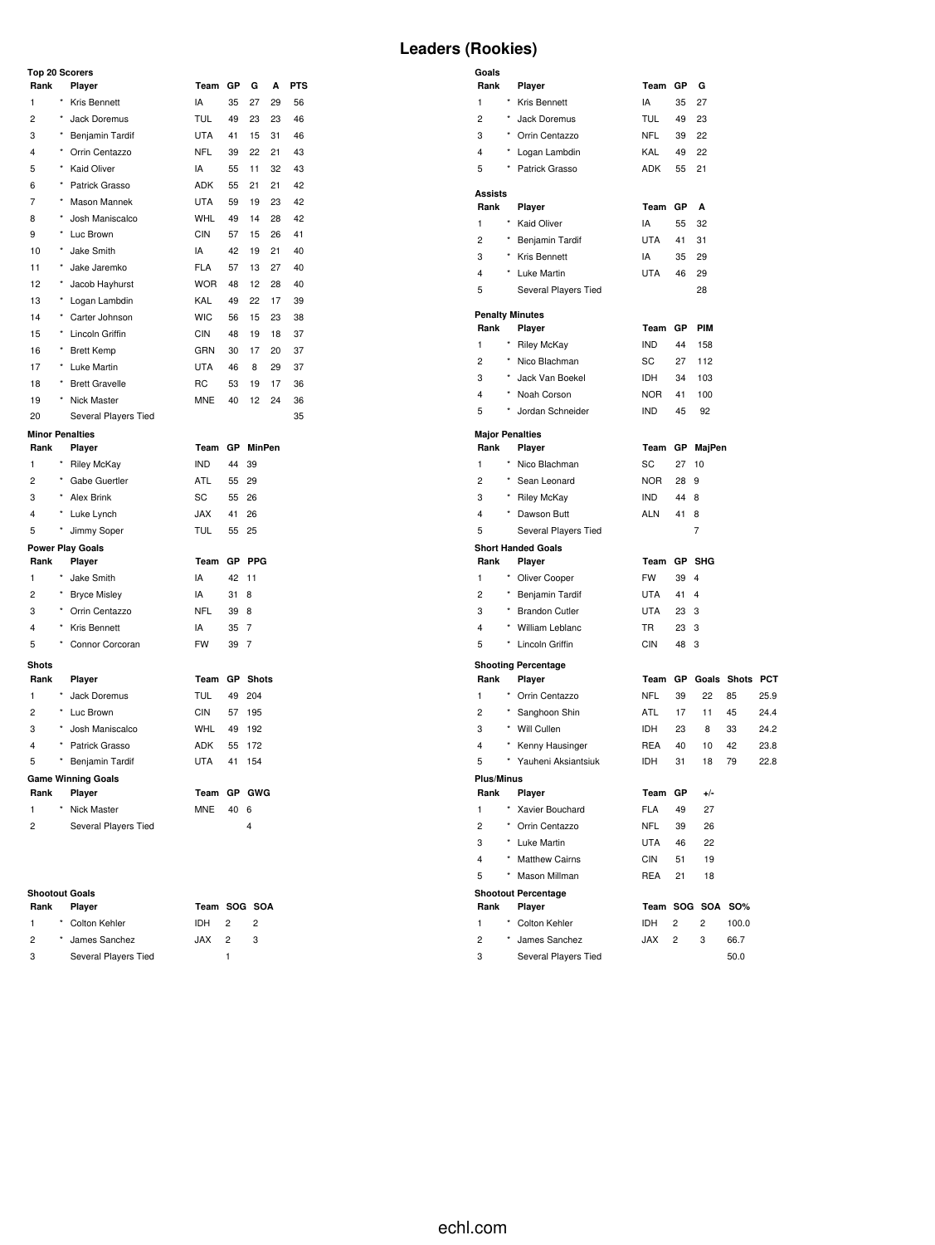## **Top 20 Scorers**

| <b>Leaders (Rookies)</b> |  |
|--------------------------|--|
|--------------------------|--|

| Rank                   |            | Player                              | Team            | GР       | G                   | A  | PTS |
|------------------------|------------|-------------------------------------|-----------------|----------|---------------------|----|-----|
| 1                      | ×          | Kris Bennett                        | IA              | 35       | 27                  | 29 | 56  |
| $\overline{c}$         | $\star$    | Jack Doremus                        | <b>TUL</b>      | 49       | 23                  | 23 | 46  |
| 3                      | ×          | Benjamin Tardif                     | <b>UTA</b>      | 41       | 15                  | 31 | 46  |
| 4                      | $^{\star}$ | Orrin Centazzo                      | <b>NFL</b>      | 39       | 22                  | 21 | 43  |
| 5                      | $\star$    | Kaid Oliver                         | IA              | 55       | 11                  | 32 | 43  |
| 6                      | $^{\star}$ | Patrick Grasso                      | <b>ADK</b>      | 55       | 21                  | 21 | 42  |
| 7                      |            | <b>Mason Mannek</b>                 | <b>UTA</b>      | 59       | 19                  | 23 | 42  |
| 8                      | $^{\star}$ | Josh Maniscalco                     | <b>WHL</b>      | 49       | 14                  | 28 | 42  |
| 9                      | $^{\star}$ | Luc Brown                           | <b>CIN</b>      | 57       | 15                  | 26 | 41  |
| 10                     |            | Jake Smith                          | IA              | 42       | 19                  | 21 | 40  |
| 11                     | $\star$    | Jake Jaremko                        | <b>FLA</b>      | 57       | 13                  | 27 | 40  |
| 12                     | *          | Jacob Hayhurst                      | <b>WOR</b>      | 48       | 12                  | 28 | 40  |
| 13                     |            | Logan Lambdin                       | KAL             | 49       | 22                  | 17 | 39  |
| 14                     | $\star$    | Carter Johnson                      | <b>WIC</b>      | 56       | 15                  | 23 | 38  |
| 15                     | $\star$    | Lincoln Griffin                     | <b>CIN</b>      | 48       | 19                  | 18 | 37  |
| 16                     | $\star$    | <b>Brett Kemp</b>                   | GRN             | 30       | 17                  | 20 | 37  |
| 17                     | $^{\star}$ | Luke Martin                         | <b>UTA</b>      | 46       | 8                   | 29 | 37  |
| 18                     | $\star$    | <b>Brett Gravelle</b>               | <b>RC</b>       | 53       | 19                  | 17 | 36  |
| 19                     |            | <b>Nick Master</b>                  | <b>MNE</b>      | 40       | 12                  | 24 | 36  |
| 20                     |            | Several Players Tied                |                 |          |                     |    | 35  |
| <b>Minor Penalties</b> |            |                                     |                 |          |                     |    |     |
| Rank                   |            | Player                              | Team            | GP       | <b>MinPen</b>       |    |     |
| 1                      | ×          | <b>Riley McKay</b>                  | <b>IND</b>      | 44       | 39                  |    |     |
| $\overline{c}$         | $\star$    | Gabe Guertler                       | ATL             | 55       | 29                  |    |     |
| 3                      | $\star$    | Alex Brink                          | SC              | 55       | 26                  |    |     |
| $\overline{4}$         | *          | Luke Lynch                          | <b>JAX</b>      | 41       | 26                  |    |     |
| 5                      | $^{\star}$ | Jimmy Soper                         | TUL             | 55       | 25                  |    |     |
|                        |            | <b>Power Play Goals</b>             |                 |          |                     |    |     |
| Rank                   | *          | Player                              | Team            | GP       | <b>PPG</b>          |    |     |
| 1<br>$\overline{c}$    | ×          | Jake Smith                          | IA<br>IA        | 42       | 11                  |    |     |
|                        | $\star$    | <b>Bryce Misley</b>                 |                 | 31       | 8                   |    |     |
| 3<br>4                 | $\star$    | Orrin Centazzo                      | <b>NFL</b>      | 39       | 8                   |    |     |
| 5                      |            | Kris Bennett<br>Connor Corcoran     | IA<br><b>FW</b> | 35<br>39 | 7<br>$\overline{7}$ |    |     |
|                        |            |                                     |                 |          |                     |    |     |
| <b>Shots</b>           |            |                                     |                 |          |                     |    |     |
| Rank                   |            | Player                              | Team            | GР       | <b>Shots</b>        |    |     |
| $\mathbf{1}$           | ×          | Jack Doremus                        | TUL             | 49       | 204                 |    |     |
| $\overline{2}$         | $\star$    | Luc Brown                           | <b>CIN</b>      | 57       | 195                 |    |     |
| 3                      | $\star$    | Josh Maniscalco                     | WHL             | 49       | 192                 |    |     |
| $\overline{4}$         | ×          | Patrick Grasso                      | ADK             | 55       | 172                 |    |     |
| 5                      |            | Benjamin Tardif                     | <b>UTA</b>      | 41       | 154                 |    |     |
| Rank                   |            | <b>Game Winning Goals</b><br>Player | Team            | GР       | GWG                 |    |     |
| $\mathbf{1}$           |            | Nick Master                         | <b>MNE</b>      | 40       | 6                   |    |     |
| $\overline{c}$         |            | Several Players Tied                |                 |          | 4                   |    |     |
|                        |            |                                     |                 |          |                     |    |     |

#### **Shootout Goals**

| Rank          | <b>Plaver</b>        | Team SOG SOA |                |   |
|---------------|----------------------|--------------|----------------|---|
| 1             | * Colton Kehler      | IDH          | $\overline{2}$ | 2 |
| $\mathcal{P}$ | * James Sanchez      | $JAX$ 2      |                | 3 |
| 3             | Several Players Tied |              |                |   |

| Team SOG : |   |   |
|------------|---|---|
| IDH        | 2 | ؛ |
| JAX        | 2 | í |
|            |   |   |

| Goals                  |            |                            |             |           |                  |           |      |
|------------------------|------------|----------------------------|-------------|-----------|------------------|-----------|------|
| Rank                   |            | Player                     | Team GP     |           | G                |           |      |
| 1                      |            | * Kris Bennett             | IA          | 35        | 27               |           |      |
| $\overline{c}$         | $\star$    | Jack Doremus               | <b>TUL</b>  | 49        | 23               |           |      |
| 3                      |            | * Orrin Centazzo           | NFL         | 39        | 22               |           |      |
| 4                      | $^\star$   | Logan Lambdin              | <b>KAL</b>  | 49        | 22               |           |      |
| 5                      | $\star$    | Patrick Grasso             | <b>ADK</b>  | 55        | 21               |           |      |
| Assists                |            |                            |             |           |                  |           |      |
| Rank                   |            | Player                     | Team        | GP        | A                |           |      |
| 1                      |            | Kaid Oliver                | IA          | 55        | 32               |           |      |
| 2                      |            | * Benjamin Tardif          | <b>UTA</b>  | 41        | 31               |           |      |
| 3                      |            | * Kris Bennett             | IA          | 35        | 29               |           |      |
| 4                      |            | * Luke Martin              | <b>UTA</b>  | 46        | 29               |           |      |
| 5                      |            | Several Players Tied       |             |           | 28               |           |      |
|                        |            | <b>Penalty Minutes</b>     |             |           |                  |           |      |
| Rank                   |            | Player                     | Team GP     |           | <b>PIM</b>       |           |      |
| 1                      |            | <b>Riley McKay</b>         | <b>IND</b>  | 44        | 158              |           |      |
| 2                      | $^{\star}$ | Nico Blachman              | SC          | 27        | 112              |           |      |
| 3                      | *          | Jack Van Boekel            | <b>IDH</b>  | 34        | 103              |           |      |
| 4                      |            | Noah Corson                | <b>NOR</b>  | 41        | 100              |           |      |
| 5                      |            | Jordan Schneider           | IND         | 45        | 92               |           |      |
| <b>Major Penalties</b> |            |                            |             |           |                  |           |      |
| Rank                   |            | Player                     | Team GP     |           | MajPen           |           |      |
| 1                      | $^\star$   | Nico Blachman              | SC          | 27        | 10               |           |      |
| 2                      |            | * Sean Leonard             | <b>NOR</b>  | 28        | 9                |           |      |
| 3                      |            | * Riley McKay              | <b>IND</b>  | 44        | 8                |           |      |
| 4                      |            | Dawson Butt                | <b>ALN</b>  | 41        | 8                |           |      |
| 5                      |            | Several Players Tied       |             |           | 7                |           |      |
|                        |            | <b>Short Handed Goals</b>  |             |           |                  |           |      |
| Rank                   |            | Player                     | Team GP SHG |           |                  |           |      |
| 1                      | $\star$    | Oliver Cooper              | <b>FW</b>   | 39        | 4                |           |      |
| $\overline{c}$         |            | * Benjamin Tardif          | UTA         | 41        | $\overline{4}$   |           |      |
| 3                      |            | * Brandon Cutler           | <b>UTA</b>  | 23        | 3                |           |      |
| 4                      |            | * William Leblanc          | <b>TR</b>   | 23        | 3                |           |      |
| 5                      |            | Lincoln Griffin            | CIN         | 48        | 3                |           |      |
|                        |            | <b>Shooting Percentage</b> |             |           |                  |           |      |
| Rank                   |            | Player                     | Team        | <b>GP</b> | Goals            | Shots PCT |      |
| 1                      |            | Orrin Centazzo             | <b>NFL</b>  | 39        | 22               | 85        | 25.9 |
| 2                      |            | * Sanghoon Shin            | ATL         | 17        | 11               | 45        | 24.4 |
| 3                      |            | * Will Cullen              | IDH         | 23        | 8                | 33        | 24.2 |
| 4                      | $^{\star}$ | Kenny Hausinger            | REA         | 40        | 10               | 42        | 23.8 |
| 5                      | $\star$    | Yauheni Aksiantsiuk        | <b>IDH</b>  | 31        | 18               | 79        | 22.8 |
| <b>Plus/Minus</b>      |            |                            |             |           |                  |           |      |
| Rank                   |            | Player                     | Team GP     |           | +/-              |           |      |
| 1                      |            | * Xavier Bouchard          | <b>FLA</b>  | 49        | 27               |           |      |
| $\overline{c}$         |            | * Orrin Centazzo           | <b>NFL</b>  | 39        | 26               |           |      |
| 3                      |            | * Luke Martin              | <b>UTA</b>  | 46        | 22               |           |      |
| 4                      |            | * Matthew Cairns           | CIN         | 51        | 19               |           |      |
| 5                      |            | Mason Millman              | <b>REA</b>  | 21        | 18               |           |      |
|                        |            | <b>Shootout Percentage</b> |             |           |                  |           |      |
| Rank                   |            | Player                     |             |           | Team SOG SOA SO% |           |      |
| 1                      |            | Colton Kehler              | IDH         | 2         | 2                | 100.0     |      |

2 \* James Sanchez JAX 2 3 66.7 3 Several Players Tied 50.0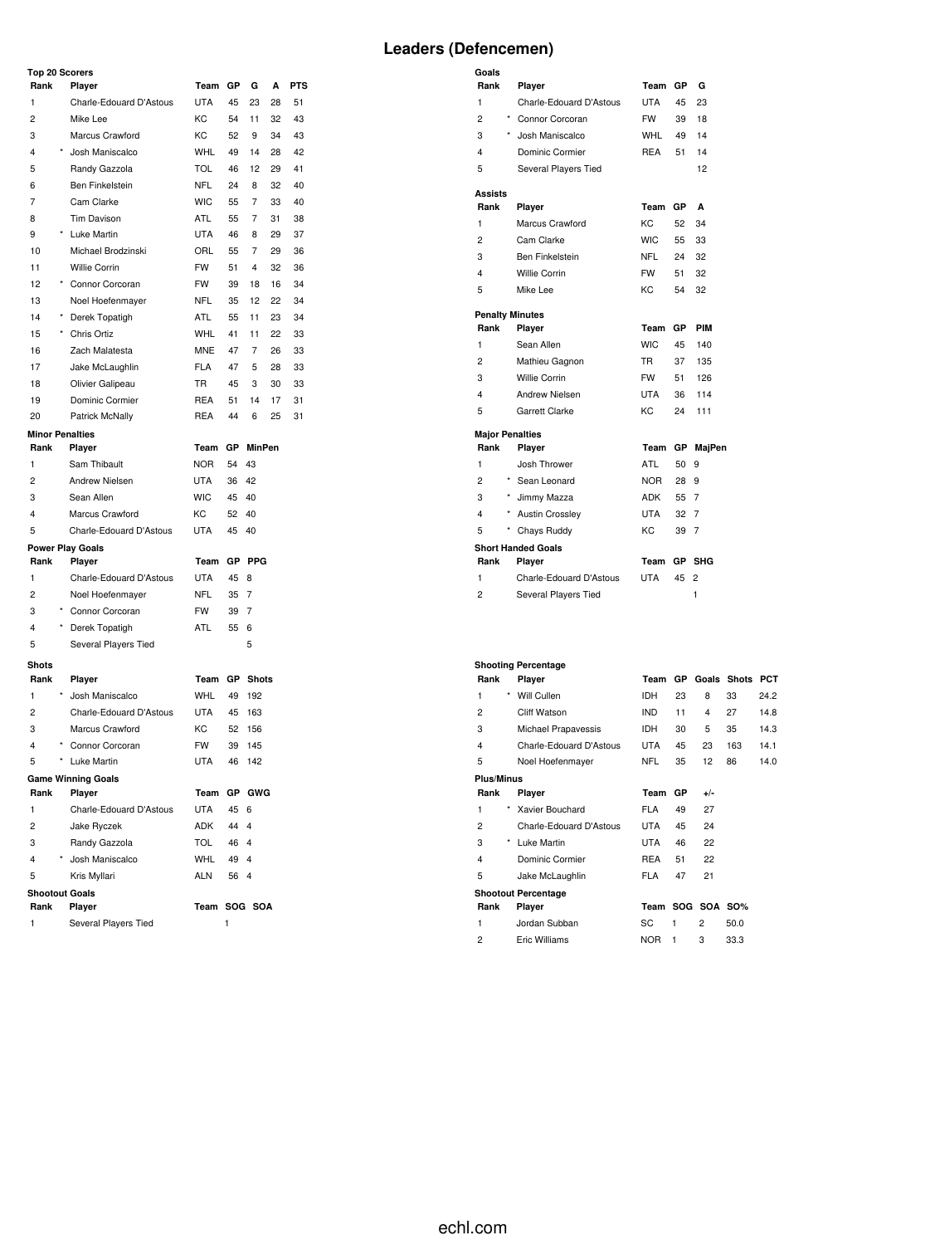## **Top 20 Scorers**

|                |            | <b>TOD 20 SCORPS</b>      |            |    |                |    |            |
|----------------|------------|---------------------------|------------|----|----------------|----|------------|
| Rank           |            | Player                    | Team       | GP | G              | А  | <b>PTS</b> |
| 1              |            | Charle-Edouard D'Astous   | <b>UTA</b> | 45 | 23             | 28 | 51         |
| 2              |            | Mike Lee                  | KC         | 54 | 11             | 32 | 43         |
| 3              |            | Marcus Crawford           | KC         | 52 | 9              | 34 | 43         |
| 4              |            | Josh Maniscalco           | <b>WHL</b> | 49 | 14             | 28 | 42         |
| 5              |            | Randy Gazzola             | <b>TOL</b> | 46 | 12             | 29 | 41         |
| 6              |            | Ben Finkelstein           | <b>NFL</b> | 24 | 8              | 32 | 40         |
| 7              |            | Cam Clarke                | <b>WIC</b> | 55 | 7              | 33 | 40         |
| 8              |            | Tim Davison               | ATL        | 55 | 7              | 31 | 38         |
| 9              |            | Luke Martin               | <b>UTA</b> | 46 | 8              | 29 | 37         |
| 10             |            | Michael Brodzinski        | ORL        | 55 | 7              | 29 | 36         |
| 11             |            | Willie Corrin             | <b>FW</b>  | 51 | 4              | 32 | 36         |
| 12             |            | Connor Corcoran           | <b>FW</b>  | 39 | 18             | 16 | 34         |
| 13             |            | Noel Hoefenmayer          | <b>NFL</b> | 35 | 12             | 22 | 34         |
| 14             |            | Derek Topatigh            | ATL        | 55 | 11             | 23 | 34         |
| 15             | $^{\star}$ | Chris Ortiz               | <b>WHL</b> | 41 | 11             | 22 | 33         |
| 16             |            | Zach Malatesta            | <b>MNE</b> | 47 | 7              | 26 | 33         |
| 17             |            | Jake McLaughlin           | <b>FLA</b> | 47 | 5              | 28 | 33         |
| 18             |            | Olivier Galipeau          | TR         | 45 | 3              | 30 | 33         |
| 19             |            | Dominic Cormier           | <b>REA</b> | 51 | 14             | 17 | 31         |
| 20             |            | Patrick McNally           | <b>REA</b> | 44 | 6              | 25 | 31         |
|                |            | <b>Minor Penalties</b>    |            |    |                |    |            |
| Rank           |            | Player                    | Team       | GР | MinPen         |    |            |
| 1              |            | Sam Thibault              | <b>NOR</b> | 54 | 43             |    |            |
| 2              |            | <b>Andrew Nielsen</b>     | <b>UTA</b> | 36 | 42             |    |            |
| 3              |            | Sean Allen                | <b>WIC</b> | 45 | 40             |    |            |
| 4              |            | Marcus Crawford           | KC         | 52 | 40             |    |            |
| 5              |            | Charle-Edouard D'Astous   | <b>UTA</b> | 45 | 40             |    |            |
|                |            | <b>Power Play Goals</b>   |            |    |                |    |            |
| Rank           |            | Player                    | Team       |    | GP PPG         |    |            |
| 1              |            | Charle-Edouard D'Astous   | UTA        | 45 | 8              |    |            |
| 2              |            | Noel Hoefenmayer          | NFL        | 35 | 7              |    |            |
| 3              |            | Connor Corcoran           | <b>FW</b>  | 39 | $\overline{7}$ |    |            |
| 4              |            | Derek Topatigh            | ATL        | 55 | 6              |    |            |
| 5              |            | Several Players Tied      |            |    | 5              |    |            |
| <b>Shots</b>   |            |                           |            |    |                |    |            |
| Rank           |            | Player                    | Team       | GP | <b>Shots</b>   |    |            |
| 1              |            | Josh Maniscalco           | WHL        | 49 | 192            |    |            |
| 2              |            | Charle-Edouard D'Astous   | <b>UTA</b> | 45 | 163            |    |            |
| 3              |            | Marcus Crawford           | КC         | 52 | 156            |    |            |
| 4              |            | Connor Corcoran           | <b>FW</b>  | 39 | 145            |    |            |
| 5              | $^\star$   | Luke Martin               | <b>UTA</b> | 46 | 142            |    |            |
|                |            | <b>Game Winning Goals</b> |            |    |                |    |            |
| Rank           |            | Player                    | Team       |    | GP GWG         |    |            |
| 1              |            | Charle-Edouard D'Astous   | <b>UTA</b> | 45 | 6              |    |            |
| $\overline{c}$ |            | Jake Ryczek               | ADK        | 44 | 4              |    |            |
| 3              |            | Randy Gazzola             | <b>TOL</b> | 46 | $\overline{4}$ |    |            |
| $\overline{4}$ |            | Josh Maniscalco           | <b>WHL</b> | 49 | $\overline{4}$ |    |            |
| 5              |            | Kris Myllari              | <b>ALN</b> | 56 | $\overline{4}$ |    |            |
|                |            | <b>Shootout Goals</b>     |            |    |                |    |            |
| Rank           |            | Player                    | Team       |    | SOG SOA        |    |            |
| 1              |            | Several Players Tied      |            | 1  |                |    |            |

| Goals                  |                           |            |      |                |  |  |  |  |  |
|------------------------|---------------------------|------------|------|----------------|--|--|--|--|--|
| Rank                   | Player                    | Team       | GP   | G              |  |  |  |  |  |
| 1                      | Charle-Edouard D'Astous   | UTA        | 45   | 23             |  |  |  |  |  |
| ×<br>$\overline{c}$    | Connor Corcoran           | <b>FW</b>  | 39   | 18             |  |  |  |  |  |
| 3                      | * Josh Maniscalco         | <b>WHL</b> | 49   | 14             |  |  |  |  |  |
| 4                      | Dominic Cormier           | REA        | 51   | 14             |  |  |  |  |  |
| 5                      | Several Players Tied      |            |      | 12             |  |  |  |  |  |
| <b>Assists</b>         |                           |            |      |                |  |  |  |  |  |
| Rank                   | Player                    | Team       | GP   | A              |  |  |  |  |  |
| 1                      | Marcus Crawford           | KC.        | 52   | 34             |  |  |  |  |  |
| $\overline{c}$         | Cam Clarke                | <b>WIC</b> | 55   | 33             |  |  |  |  |  |
| 3                      | Ben Finkelstein           | <b>NFL</b> | 24   | 32             |  |  |  |  |  |
| 4                      | <b>Willie Corrin</b>      | <b>FW</b>  | 51   | 32             |  |  |  |  |  |
| 5                      | Mike Lee                  | KC         | 54   | 32             |  |  |  |  |  |
| <b>Penalty Minutes</b> |                           |            |      |                |  |  |  |  |  |
| Rank                   | Player                    | Team       | GP   | PIM            |  |  |  |  |  |
| 1                      | Sean Allen                | <b>WIC</b> | 45   | 140            |  |  |  |  |  |
| 2                      | Mathieu Gagnon            | <b>TR</b>  | 37   | 135            |  |  |  |  |  |
| 3                      | <b>Willie Corrin</b>      | <b>FW</b>  | 51   | 126            |  |  |  |  |  |
| 4                      | Andrew Nielsen            | <b>UTA</b> | 36   | 114            |  |  |  |  |  |
| 5                      | Garrett Clarke            | KC.        | 24   | 111            |  |  |  |  |  |
| <b>Major Penalties</b> |                           |            |      |                |  |  |  |  |  |
| Rank                   | Player                    | Team       | GР   | MajPen         |  |  |  |  |  |
| 1                      | Josh Thrower              | <b>ATL</b> | 50   | 9              |  |  |  |  |  |
| $\overline{c}$         | * Sean Leonard            | NOR        | 28   | 9              |  |  |  |  |  |
| 3<br>$\star$           | Jimmy Mazza               | ADK        | 55 7 |                |  |  |  |  |  |
| 4<br>$^{\star}$        | <b>Austin Crossley</b>    | UTA        | 32   | $\overline{7}$ |  |  |  |  |  |
| 5                      | Chays Ruddy               | KC.        | 39   | $\overline{7}$ |  |  |  |  |  |
|                        | <b>Short Handed Goals</b> |            |      |                |  |  |  |  |  |
| Rank                   | Player                    | Team       | GP   | <b>SHG</b>     |  |  |  |  |  |
| 1                      | Charle-Edouard D'Astous   | UTA        | 45   | $\overline{c}$ |  |  |  |  |  |
| 2                      | Several Players Tied      |            |      | 1              |  |  |  |  |  |
|                        |                           |            |      |                |  |  |  |  |  |

# **Shooting Percentage**

|                         |         | onoomig i oroomago         |            |     |                  |              |            |
|-------------------------|---------|----------------------------|------------|-----|------------------|--------------|------------|
| Rank                    |         | Player                     | Team       | GP. | Goals            | <b>Shots</b> | <b>PCT</b> |
| 1                       | $\star$ | Will Cullen                | <b>IDH</b> | 23  | 8                | 33           | 24.2       |
| 2                       |         | <b>Cliff Watson</b>        | <b>IND</b> | 11  | 4                | 27           | 14.8       |
| 3                       |         | Michael Prapavessis        | <b>IDH</b> | 30  | 5                | 35           | 14.3       |
| $\overline{\mathbf{4}}$ |         | Charle-Edouard D'Astous    | <b>UTA</b> | 45  | 23               | 163          | 14.1       |
| 5                       |         | Noel Hoefenmayer           | <b>NFL</b> | 35  | 12               | 86           | 14.0       |
| Plus/Minus              |         |                            |            |     |                  |              |            |
| Rank                    |         | Player                     | Team       | GP  | $+/-$            |              |            |
| 1                       | *       | Xavier Bouchard            | <b>FLA</b> | 49  | 27               |              |            |
| $\overline{c}$          |         | Charle-Edouard D'Astous    | <b>UTA</b> | 45  | 24               |              |            |
| 3                       | $\star$ | Luke Martin                | <b>UTA</b> | 46  | 22               |              |            |
| $\overline{\mathbf{4}}$ |         | Dominic Cormier            | <b>REA</b> | 51  | 22               |              |            |
| 5                       |         | Jake McLaughlin            | <b>FLA</b> | 47  | 21               |              |            |
|                         |         | <b>Shootout Percentage</b> |            |     |                  |              |            |
| Rank                    |         | Player                     |            |     | Team SOG SOA SO% |              |            |
| 1                       |         | Jordan Subban              | SC         | 1   | $\overline{2}$   | 50.0         |            |
| $\overline{c}$          |         | Eric Williams              | <b>NOR</b> | 1   | 3                | 33.3         |            |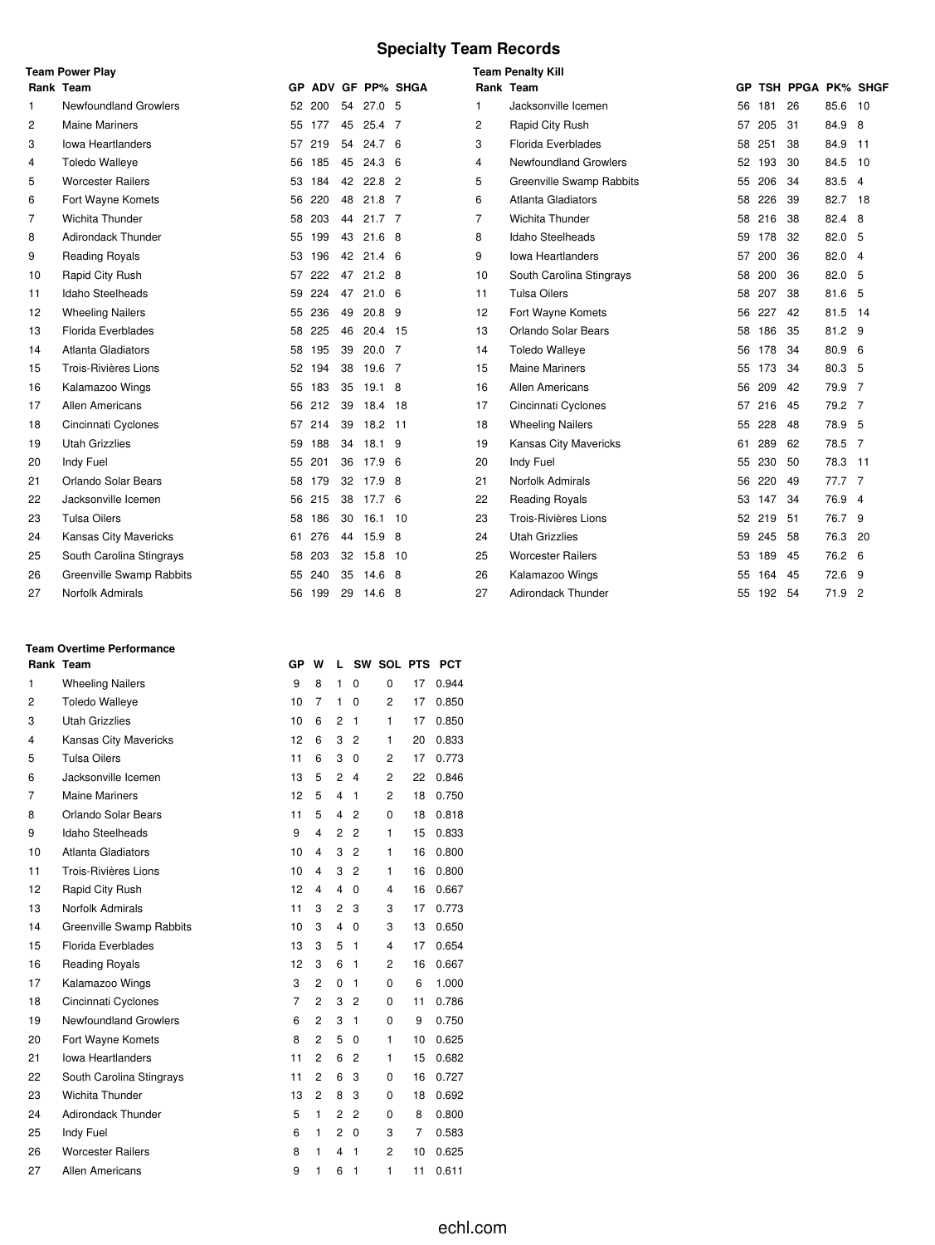#### **Specialty Team Records**

|    | <b>Team Power Play</b>       |     |        |    |                   |                 | <b>Team Penalty Kill</b> |                              |     |        |                   |         |                |
|----|------------------------------|-----|--------|----|-------------------|-----------------|--------------------------|------------------------------|-----|--------|-------------------|---------|----------------|
|    | Rank Team                    | GP. |        |    |                   | ADV GF PP% SHGA |                          | Rank Team                    | GP. |        | TSH PPGA PK% SHGF |         |                |
| -1 | <b>Newfoundland Growlers</b> | 52  | 200    | 54 | 27.0 <sub>5</sub> |                 | 1                        | Jacksonville Icemen          | 56  | 181    | 26                | 85.6    | 10             |
| 2  | <b>Maine Mariners</b>        |     | 55 177 | 45 | $25.4$ 7          |                 | $\overline{2}$           | Rapid City Rush              | 57  | 205    | 31                | 84.9 8  |                |
| 3  | Iowa Heartlanders            | 57  | 219    | 54 | 24.7 <sub>6</sub> |                 | 3                        | Florida Everblades           | 58  | 251    | 38                | 84.9 11 |                |
| 4  | <b>Toledo Walleye</b>        | 56  | 185    | 45 | $24.3\quad6$      |                 | 4                        | <b>Newfoundland Growlers</b> | 52  | 193    | 30                | 84.5    | 10             |
| 5  | <b>Worcester Railers</b>     | 53  | 184    | 42 | $22.8$ 2          |                 | 5                        | Greenville Swamp Rabbits     | 55  | 206    | 34                | 83.5 4  |                |
| 6  | Fort Wayne Komets            | 56  | 220    | 48 | $21.8$ 7          |                 | 6                        | Atlanta Gladiators           | 58  | 226    | 39                | 82.7 18 |                |
| 7  | Wichita Thunder              | 58  | 203    | 44 | $21.7$ 7          |                 | $\overline{7}$           | Wichita Thunder              | 58  | 216    | 38                | 82.4 8  |                |
| 8  | <b>Adirondack Thunder</b>    | 55  | 199    | 43 | $21.6$ 8          |                 | 8                        | <b>Idaho Steelheads</b>      | 59  | 178    | 32                | 82.0 5  |                |
| 9  | <b>Reading Royals</b>        | 53  | 196    | 42 | 21.4 <sub>6</sub> |                 | 9                        | <b>Iowa Heartlanders</b>     | 57  | 200    | 36                | 82.0    | $\overline{4}$ |
| 10 | Rapid City Rush              | 57  | 222    | 47 | $21.2$ 8          |                 | 10                       | South Carolina Stingrays     | 58  | 200    | 36                | 82.0 5  |                |
| 11 | <b>Idaho Steelheads</b>      | 59  | 224    | 47 | 21.06             |                 | 11                       | <b>Tulsa Oilers</b>          | 58  | 207    | 38                | 81.6 5  |                |
| 12 | <b>Wheeling Nailers</b>      | 55  | 236    | 49 | $20.8$ 9          |                 | 12                       | Fort Wayne Komets            | 56  | 227    | 42                | 81.5    | 14             |
| 13 | <b>Florida Everblades</b>    | 58  | 225    | 46 | 20.4 15           |                 | 13                       | Orlando Solar Bears          | 58  | 186    | 35                | 81.2 9  |                |
| 14 | <b>Atlanta Gladiators</b>    | 58  | 195    | 39 | 20.0              | 7               | 14                       | <b>Toledo Walleye</b>        | 56  | 178    | 34                | 80.9 6  |                |
| 15 | Trois-Rivières Lions         | 52  | 194    | 38 | 19.6 7            |                 | 15                       | <b>Maine Mariners</b>        | 55  | 173    | 34                | 80.3 5  |                |
| 16 | Kalamazoo Wings              | 55  | 183    | 35 | $19.1\quad 8$     |                 | 16                       | <b>Allen Americans</b>       | 56  | 209    | 42                | 79.9 7  |                |
| 17 | Allen Americans              | 56  | 212    | 39 | 18.4              | -18             | 17                       | Cincinnati Cyclones          | 57  | 216    | 45                | 79.2 7  |                |
| 18 | Cincinnati Cyclones          | 57  | 214    | 39 | 18.2 11           |                 | 18                       | <b>Wheeling Nailers</b>      | 55  | 228    | 48                | 78.9 5  |                |
| 19 | <b>Utah Grizzlies</b>        | 59  | 188    | 34 | 18.1 9            |                 | 19                       | Kansas City Mavericks        | 61. | 289    | 62                | 78.5 7  |                |
| 20 | Indy Fuel                    | 55  | 201    | 36 | 17.9 <sub>6</sub> |                 | 20                       | Indy Fuel                    | 55  | 230    | 50                | 78.3 11 |                |
| 21 | Orlando Solar Bears          | 58  | 179    | 32 | 17.9 8            |                 | 21                       | Norfolk Admirals             | 56  | 220    | 49                | 77.7 7  |                |
| 22 | Jacksonville Icemen          | 56  | 215    | 38 | 17.7 <sub>6</sub> |                 | 22                       | <b>Reading Royals</b>        | 53  | 147    | 34                | 76.9 4  |                |
| 23 | <b>Tulsa Oilers</b>          | 58  | 186    | 30 | 16.1 10           |                 | 23                       | Trois-Rivières Lions         |     | 52 219 | 51                | 76.7 9  |                |
| 24 | Kansas City Mavericks        | 61  | 276    | 44 | 15.9 8            |                 | 24                       | <b>Utah Grizzlies</b>        | 59  | 245    | 58                | 76.3    | 20             |
| 25 | South Carolina Stingrays     | 58  | 203    | 32 | 15.8              | -10             | 25                       | <b>Worcester Railers</b>     | 53. | 189    | 45                | 76.2 6  |                |
| 26 | Greenville Swamp Rabbits     | 55  | 240    | 35 | $14.6\quad8$      |                 | 26                       | Kalamazoo Wings              | 55  | 164    | 45                | 72.6 9  |                |
| 27 | Norfolk Admirals             | 56  | 199    | 29 | $14.6\quad 8$     |                 | 27                       | <b>Adirondack Thunder</b>    | 55  | 192    | 54                | 71.9    | $\overline{2}$ |

## **Rank Team GP W L SW SOL PTS PCT** 1 Wheeling Nailers 1 0 9 8 1 0 0 17 0.944 Toledo Walleye 10 7 1 0 2 17 0.850 Utah Grizzlies 10 6 2 1 1 17 0.850 Kansas City Mavericks 12 6 3 2 1 20 0.833 Tulsa Oilers 11 6 3 0 2 17 0.773 Jacksonville Icemen 13 5 2 4 2 22 0.846 Maine Mariners 12 5 4 1 2 18 0.750 Orlando Solar Bears 11 5 4 2 0 18 0.818 Idaho Steelheads 9 4 2 2 1 15 0.833 Atlanta Gladiators 10 4 3 2 1 16 0.800 Trois-Rivières Lions 10 4 3 2 1 16 0.800 12 Rapid City Rush 12 4 4 0 4 16 0.667 Norfolk Admirals 11 3 2 3 3 17 0.773 Greenville Swamp Rabbits 10 3 4 0 3 13 0.650 Florida Everblades 13 3 5 1 4 17 0.654 Reading Royals 12 3 6 1 2 16 0.667 Kalamazoo Wings 3 2 0 1 0 6 1.000 18 Cincinnati Cyclones 7 2 3 2 0 11 0.786 Newfoundland Growlers 6 2 3 1 0 9 0.750 Fort Wayne Komets 8 2 5 0 1 10 0.625 Iowa Heartlanders 11 2 6 2 1 15 0.682 South Carolina Stingrays 11 2 6 3 0 16 0.727 Wichita Thunder 13 2 8 3 0 18 0.692 Adirondack Thunder 5 1 2 2 0 8 0.800 Indy Fuel 6 1 2 0 3 7 0.583 Worcester Railers 8 1 4 1 2 10 0.625 Allen Americans 9 1 6 1 1 11 0.611

**Team Overtime Performance**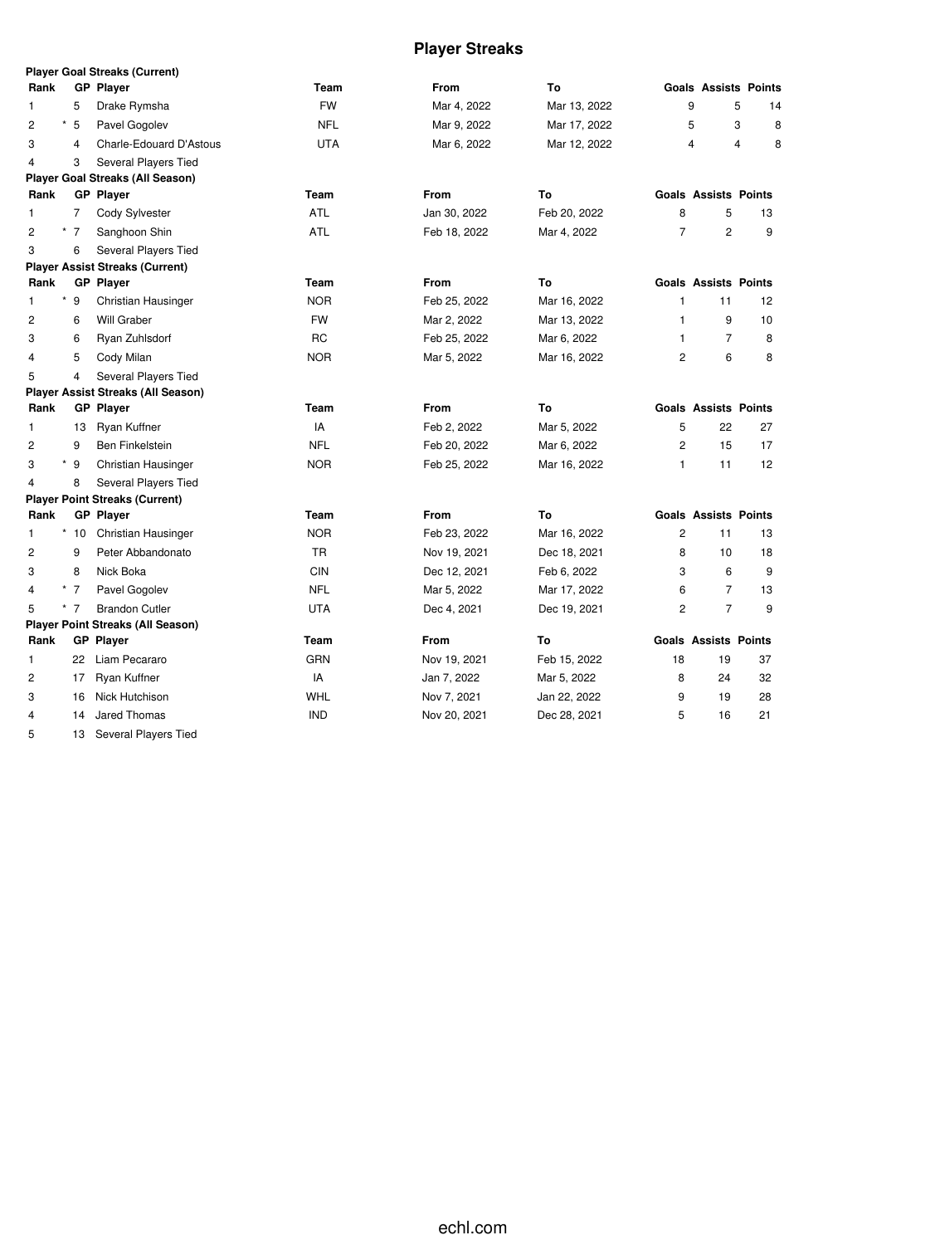# **Player Streaks**

|                |            |       | <b>Player Goal Streaks (Current)</b>      |            |              |              |                |                             |                             |
|----------------|------------|-------|-------------------------------------------|------------|--------------|--------------|----------------|-----------------------------|-----------------------------|
| Rank           |            |       | <b>GP Player</b>                          | Team       | <b>From</b>  | To           |                |                             | <b>Goals Assists Points</b> |
| 1              |            | 5     | Drake Rymsha                              | <b>FW</b>  | Mar 4, 2022  | Mar 13, 2022 | 9              |                             | 5<br>14                     |
| $\overline{c}$ | $^{\star}$ | 5     | Pavel Gogolev                             | <b>NFL</b> | Mar 9, 2022  | Mar 17, 2022 | 5              |                             | 3<br>8                      |
| 3              |            | 4     | Charle-Edouard D'Astous                   | <b>UTA</b> | Mar 6, 2022  | Mar 12, 2022 | 4              |                             | 4<br>8                      |
| $\overline{4}$ |            | 3     | Several Players Tied                      |            |              |              |                |                             |                             |
|                |            |       | <b>Player Goal Streaks (All Season)</b>   |            |              |              |                |                             |                             |
| Rank           |            |       | <b>GP</b> Player                          | Team       | <b>From</b>  | To           |                | <b>Goals Assists Points</b> |                             |
| 1              |            | 7     | Cody Sylvester                            | <b>ATL</b> | Jan 30, 2022 | Feb 20, 2022 | 8              | 5                           | 13                          |
| $\overline{2}$ |            | * 7   | Sanghoon Shin                             | <b>ATL</b> | Feb 18, 2022 | Mar 4, 2022  | $\overline{7}$ | $\overline{c}$              | 9                           |
| 3              |            | 6     | Several Players Tied                      |            |              |              |                |                             |                             |
|                |            |       | <b>Player Assist Streaks (Current)</b>    |            |              |              |                |                             |                             |
| Rank           |            |       | <b>GP Player</b>                          | Team       | From         | To           |                | <b>Goals Assists Points</b> |                             |
| 1              |            | $*$ 9 | Christian Hausinger                       | <b>NOR</b> | Feb 25, 2022 | Mar 16, 2022 | 1              | 11                          | 12                          |
| $\overline{c}$ |            | 6     | <b>Will Graber</b>                        | <b>FW</b>  | Mar 2, 2022  | Mar 13, 2022 | 1              | 9                           | 10                          |
| 3              |            | 6     | Ryan Zuhlsdorf                            | RC         | Feb 25, 2022 | Mar 6, 2022  | $\mathbf{1}$   | $\overline{7}$              | 8                           |
| $\overline{4}$ |            | 5     | Cody Milan                                | <b>NOR</b> | Mar 5, 2022  | Mar 16, 2022 | $\overline{2}$ | 6                           | 8                           |
| 5              |            | 4     | Several Players Tied                      |            |              |              |                |                             |                             |
|                |            |       | <b>Player Assist Streaks (All Season)</b> |            |              |              |                |                             |                             |
| Rank           |            |       | <b>GP Player</b>                          | Team       | From         | To           |                | <b>Goals Assists Points</b> |                             |
| 1              |            | 13    | Ryan Kuffner                              | IA         | Feb 2, 2022  | Mar 5, 2022  | 5              | 22                          | 27                          |
| $\overline{2}$ |            | 9     | Ben Finkelstein                           | <b>NFL</b> | Feb 20, 2022 | Mar 6, 2022  | $\overline{2}$ | 15                          | 17                          |
| 3              |            | $*$ 9 | Christian Hausinger                       | <b>NOR</b> | Feb 25, 2022 | Mar 16, 2022 | $\mathbf{1}$   | 11                          | 12                          |
| $\overline{4}$ |            | 8     | Several Players Tied                      |            |              |              |                |                             |                             |
|                |            |       | <b>Player Point Streaks (Current)</b>     |            |              |              |                |                             |                             |
| Rank           |            |       | <b>GP Player</b>                          | Team       | From         | Τo           |                | <b>Goals Assists Points</b> |                             |
| 1              |            | $*10$ | Christian Hausinger                       | <b>NOR</b> | Feb 23, 2022 | Mar 16, 2022 | 2              | 11                          | 13                          |
| $\overline{c}$ |            | 9     | Peter Abbandonato                         | TR         | Nov 19, 2021 | Dec 18, 2021 | 8              | 10                          | 18                          |
| 3              |            | 8     | Nick Boka                                 | <b>CIN</b> | Dec 12, 2021 | Feb 6, 2022  | 3              | 6                           | 9                           |
| 4              |            | $*$ 7 | Pavel Gogolev                             | <b>NFL</b> | Mar 5, 2022  | Mar 17, 2022 | 6              | 7                           | 13                          |
| 5              |            | $*$ 7 | <b>Brandon Cutler</b>                     | UTA        | Dec 4, 2021  | Dec 19, 2021 | 2              | $\overline{7}$              | 9                           |
|                |            |       | <b>Player Point Streaks (All Season)</b>  |            |              |              |                |                             |                             |
| Rank           |            |       | <b>GP</b> Player                          | Team       | <b>From</b>  | To           |                | <b>Goals Assists Points</b> |                             |
| 1              |            | 22    | Liam Pecararo                             | <b>GRN</b> | Nov 19, 2021 | Feb 15, 2022 | 18             | 19                          | 37                          |
| 2              |            | 17    | Ryan Kuffner                              | IA         | Jan 7, 2022  | Mar 5, 2022  | 8              | 24                          | 32                          |
| 3              |            | 16    | Nick Hutchison                            | <b>WHL</b> | Nov 7, 2021  | Jan 22, 2022 | 9              | 19                          | 28                          |
| 4              |            | 14    | Jared Thomas                              | <b>IND</b> | Nov 20, 2021 | Dec 28, 2021 | 5              | 16                          | 21                          |

13 Several Players Tied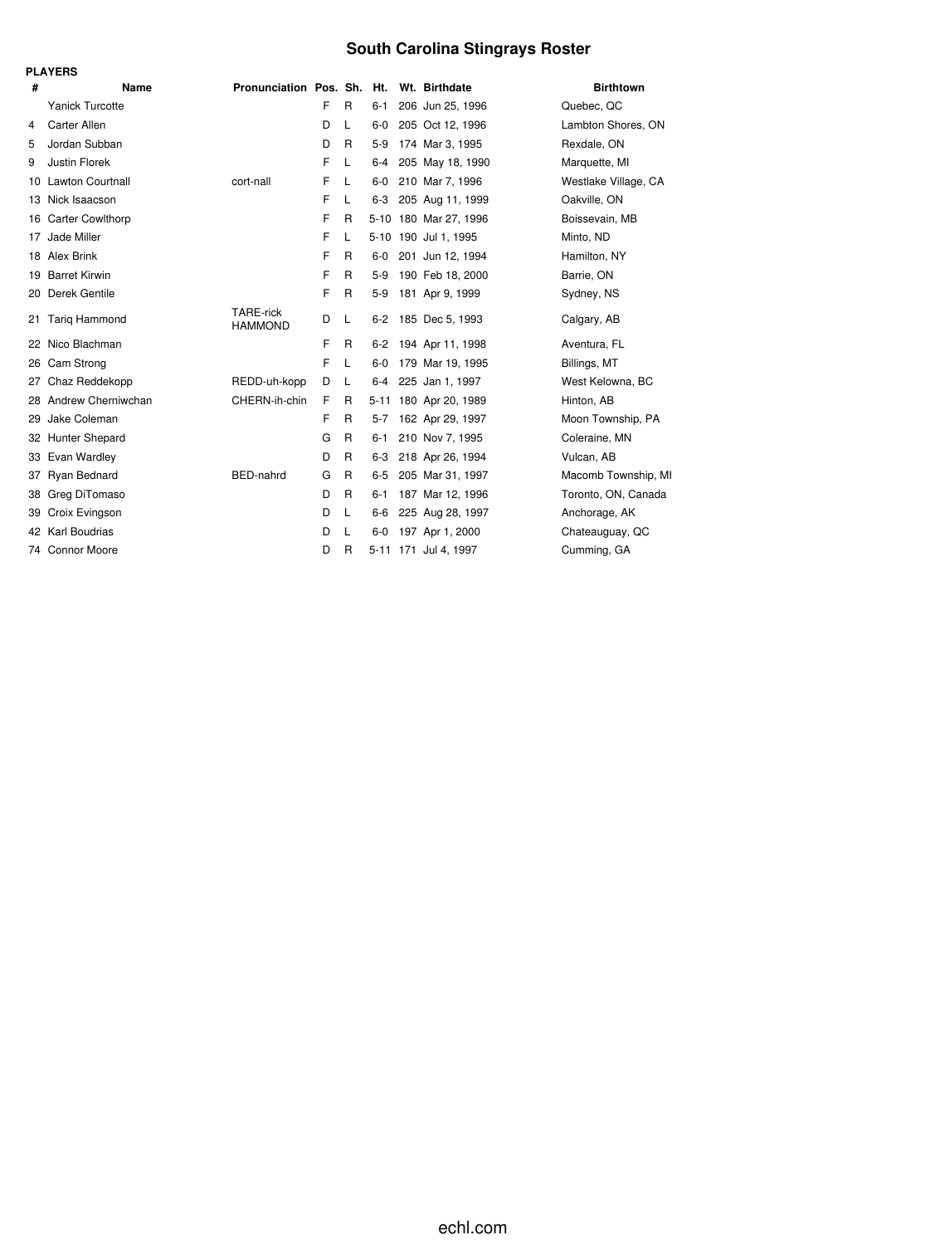# **South Carolina Stingrays Roster**

|     | <b>PLAYERS</b>          |                                    |   |              |          |                       |                      |
|-----|-------------------------|------------------------------------|---|--------------|----------|-----------------------|----------------------|
| #   | Name                    | Pronunciation Pos. Sh. Ht.         |   |              |          | Wt. Birthdate         | <b>Birthtown</b>     |
|     | Yanick Turcotte         |                                    | F | R            | $6 - 1$  | 206 Jun 25, 1996      | Quebec, QC           |
| 4   | <b>Carter Allen</b>     |                                    | D | L            | $6-0$    | 205 Oct 12, 1996      | Lambton Shores, ON   |
| 5   | Jordan Subban           |                                    | D | R            | $5-9$    | 174 Mar 3, 1995       | Rexdale, ON          |
| 9   | Justin Florek           |                                    | F | L            | $6 - 4$  | 205 May 18, 1990      | Marquette, MI        |
| 10  | <b>Lawton Courtnall</b> | cort-nall                          | F | L            | $6-0$    | 210 Mar 7, 1996       | Westlake Village, CA |
| 13. | Nick Isaacson           |                                    | F | L            | $6 - 3$  | 205 Aug 11, 1999      | Oakville, ON         |
| 16  | <b>Carter Cowlthorp</b> |                                    | F | R            | $5 - 10$ | 180 Mar 27, 1996      | Boissevain, MB       |
| 17  | Jade Miller             |                                    | F | L            |          | 5-10 190 Jul 1, 1995  | Minto, ND            |
|     | 18 Alex Brink           |                                    | F | R            | $6-0$    | 201 Jun 12, 1994      | Hamilton, NY         |
| 19  | <b>Barret Kirwin</b>    |                                    | F | R            | $5-9$    | 190 Feb 18, 2000      | Barrie, ON           |
| 20  | Derek Gentile           |                                    | F | R            | $5-9$    | 181 Apr 9, 1999       | Sydney, NS           |
| 21  | <b>Tarig Hammond</b>    | <b>TARE-rick</b><br><b>HAMMOND</b> | D | L            | $6 - 2$  | 185 Dec 5, 1993       | Calgary, AB          |
| 22  | Nico Blachman           |                                    | F | R            | $6 - 2$  | 194 Apr 11, 1998      | Aventura, FL         |
| 26  | Cam Strong              |                                    | F | L            | $6-0$    | 179 Mar 19, 1995      | Billings, MT         |
| 27  | Chaz Reddekopp          | REDD-uh-kopp                       | D | L            | 6-4      | 225 Jan 1, 1997       | West Kelowna, BC     |
| 28  | Andrew Cherniwchan      | CHERN-ih-chin                      | F | R            |          | 5-11 180 Apr 20, 1989 | Hinton, AB           |
| 29  | Jake Coleman            |                                    | F | R            | $5 - 7$  | 162 Apr 29, 1997      | Moon Township, PA    |
| 32  | Hunter Shepard          |                                    | G | R            | $6 - 1$  | 210 Nov 7, 1995       | Coleraine, MN        |
| 33  | Evan Wardley            |                                    | D | R            | $6 - 3$  | 218 Apr 26, 1994      | Vulcan, AB           |
| 37  | Ryan Bednard            | BED-nahrd                          | G | R            | $6 - 5$  | 205 Mar 31, 1997      | Macomb Township, MI  |
| 38  | Greg DiTomaso           |                                    | D | R            | 6-1      | 187 Mar 12, 1996      | Toronto, ON, Canada  |
| 39. | Croix Evingson          |                                    | D | L            | $6-6$    | 225 Aug 28, 1997      | Anchorage, AK        |
|     | 42 Karl Boudrias        |                                    | D | L            | $6-0$    | 197 Apr 1, 2000       | Chateauguay, QC      |
| 74  | <b>Connor Moore</b>     |                                    | D | $\mathsf{R}$ |          | 5-11 171 Jul 4, 1997  | Cumming, GA          |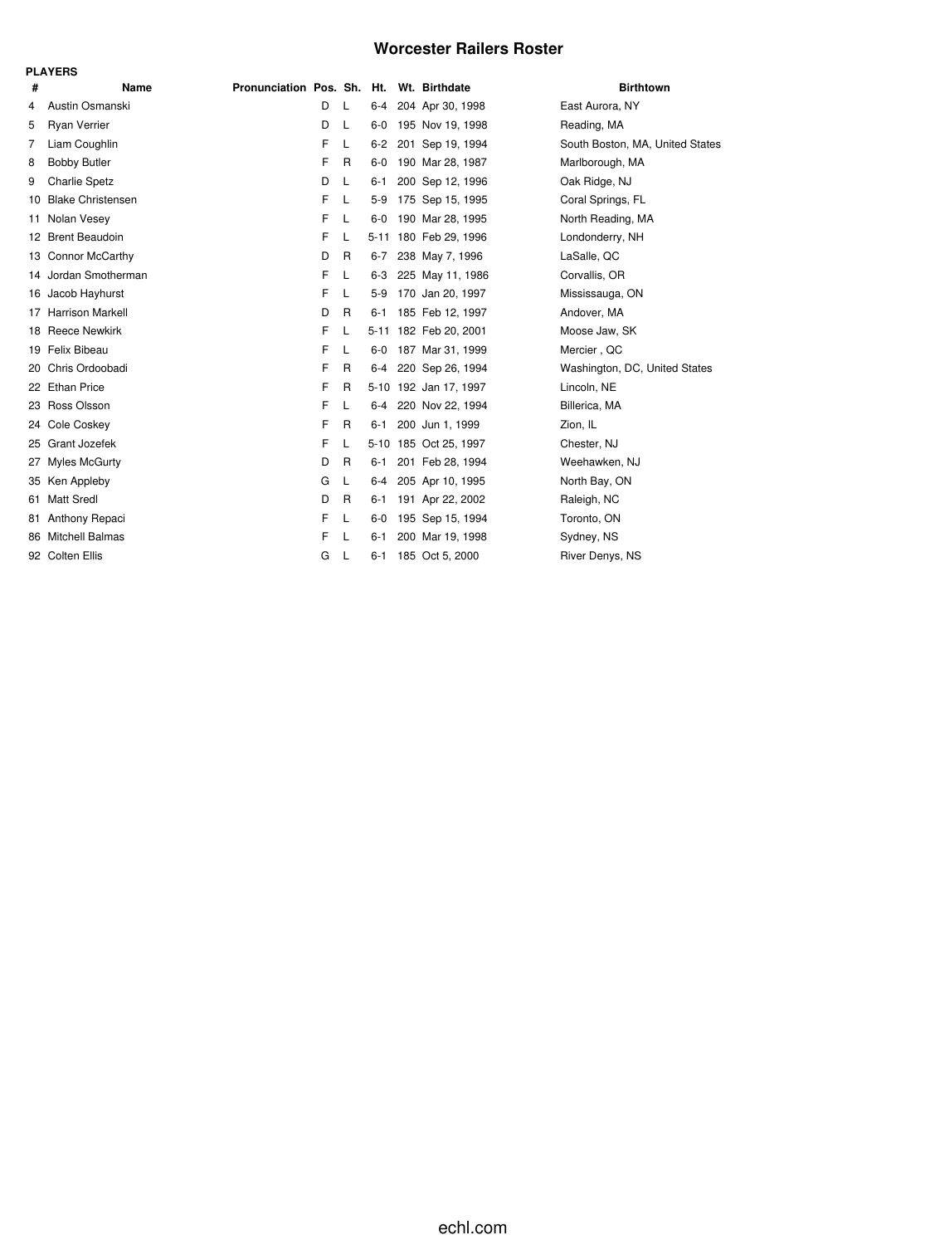## **Worcester Railers Roster**

|     | <b>PLAYERS</b>           |                            |   |              |         |                       |                                 |
|-----|--------------------------|----------------------------|---|--------------|---------|-----------------------|---------------------------------|
| #   | <b>Name</b>              | Pronunciation Pos. Sh. Ht. |   |              |         | Wt. Birthdate         | <b>Birthtown</b>                |
| 4   | Austin Osmanski          |                            | D | L            | $6-4$   | 204 Apr 30, 1998      | East Aurora, NY                 |
| 5   | <b>Ryan Verrier</b>      |                            | D | L            | $6-0$   | 195 Nov 19, 1998      | Reading, MA                     |
| 7   | Liam Coughlin            |                            | F | L            | $6 - 2$ | 201 Sep 19, 1994      | South Boston, MA, United States |
| 8   | <b>Bobby Butler</b>      |                            | F | R            | $6-0$   | 190 Mar 28, 1987      | Marlborough, MA                 |
| 9   | <b>Charlie Spetz</b>     |                            | D | L            | 6-1     | 200 Sep 12, 1996      | Oak Ridge, NJ                   |
| 10  | <b>Blake Christensen</b> |                            | F | L            | 5-9     | 175 Sep 15, 1995      | Coral Springs, FL               |
| 11  | Nolan Vesey              |                            | F | L            | $6-0$   | 190 Mar 28, 1995      | North Reading, MA               |
|     | 12 Brent Beaudoin        |                            | F | L            |         | 5-11 180 Feb 29, 1996 | Londonderry, NH                 |
|     | 13 Connor McCarthy       |                            | D | $\mathsf{R}$ | $6 - 7$ | 238 May 7, 1996       | LaSalle, QC                     |
| 14  | Jordan Smotherman        |                            | F | L            | $6-3$   | 225 May 11, 1986      | Corvallis, OR                   |
|     | 16 Jacob Hayhurst        |                            | F | L            | $5-9$   | 170 Jan 20, 1997      | Mississauga, ON                 |
| 17  | <b>Harrison Markell</b>  |                            | D | R            | $6 - 1$ | 185 Feb 12, 1997      | Andover, MA                     |
|     | 18 Reece Newkirk         |                            | F | L            |         | 5-11 182 Feb 20, 2001 | Moose Jaw, SK                   |
| 19  | Felix Bibeau             |                            | F | L            | $6-0$   | 187 Mar 31, 1999      | Mercier, QC                     |
| 20  | Chris Ordoobadi          |                            | F | R            | $6 - 4$ | 220 Sep 26, 1994      | Washington, DC, United States   |
|     | 22 Ethan Price           |                            | F | R            |         | 5-10 192 Jan 17, 1997 | Lincoln, NE                     |
| 23  | Ross Olsson              |                            | F | L            | $6 - 4$ | 220 Nov 22, 1994      | Billerica, MA                   |
|     | 24 Cole Coskey           |                            | F | R            | $6 - 1$ | 200 Jun 1, 1999       | Zion, IL                        |
| 25  | Grant Jozefek            |                            | F | L            |         | 5-10 185 Oct 25, 1997 | Chester, NJ                     |
| 27  | <b>Myles McGurty</b>     |                            | D | R            | 6-1     | 201 Feb 28, 1994      | Weehawken, NJ                   |
| 35  | Ken Appleby              |                            | G | L            | $6 - 4$ | 205 Apr 10, 1995      | North Bay, ON                   |
| 61  | <b>Matt Sredl</b>        |                            | D | R            | 6-1     | 191 Apr 22, 2002      | Raleigh, NC                     |
| 81. | Anthony Repaci           |                            | F | L            | $6-0$   | 195 Sep 15, 1994      | Toronto, ON                     |
| 86  | <b>Mitchell Balmas</b>   |                            | F | L            | $6 - 1$ | 200 Mar 19, 1998      | Sydney, NS                      |
|     | 92 Colten Ellis          |                            | G | L            | $6 - 1$ | 185 Oct 5, 2000       | River Denys, NS                 |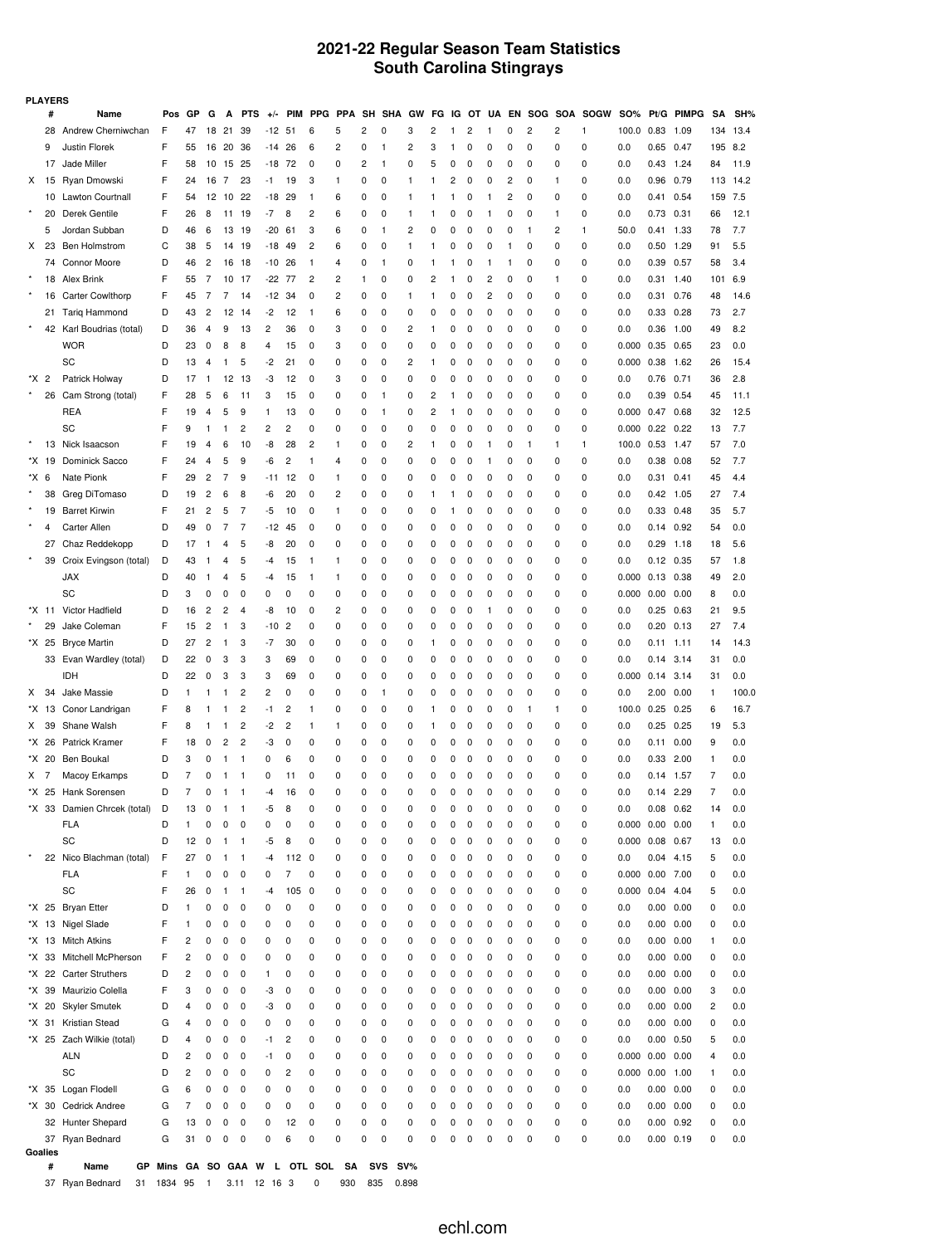## **2021-22 Regular Season Team Statistics South Carolina Stingrays**

|         | <b>PLAYERS</b> |                                             |                                          |          |                     |              |                         |                |                |              |            |           |              |                                |        |        |                |                |        |        |        |             |                     |                   |              |                |            |
|---------|----------------|---------------------------------------------|------------------------------------------|----------|---------------------|--------------|-------------------------|----------------|----------------|--------------|------------|-----------|--------------|--------------------------------|--------|--------|----------------|----------------|--------|--------|--------|-------------|---------------------|-------------------|--------------|----------------|------------|
|         | #              | Name                                        | Pos                                      | GP       | G                   | A            | <b>PTS</b>              | $+/-$          | <b>PIM</b>     | <b>PPG</b>   | <b>PPA</b> | <b>SH</b> | <b>SHA</b>   | GW                             | FG     | ΙG     | OT             | UA             | EN     | SOG    | SOA    | <b>SOGW</b> | <b>SO%</b>          |                   | Pt/G PIMPG   | <b>SA</b>      | SH%        |
|         | 28             | Andrew Cherniwchan                          | F                                        | 47       | 18                  | 21           | 39                      | -12            | -51            | 6            | 5          | 2         | 0            | 3                              | 2      | 1      | $\overline{c}$ | 1              | 0      | 2      | 2      | 1           | 100.0               | 0.83              | 1.09         | 134            | 13.4       |
|         | 9              | Justin Florek                               | F                                        | 55       | 16                  | 20           | 36                      | -14            | 26             | 6            | 2          | 0         | 1            | 2                              | 3      | 1      | 0              | 0              | 0      | 0      | 0      | 0           | 0.0                 | 0.65              | 0.47         | 195            | 8.2        |
|         | 17             | Jade Miller                                 | F                                        | 58       | 10                  | 15           | 25                      | -18            | 72             | 0            | 0          | 2         | -1           | 0                              | 5      | 0      | 0              | 0              | 0      | 0      | 0      | 0           | 0.0                 | 0.43              | 1.24         | 84             | 11.9       |
| Х       | 15             | Ryan Dmowski                                | F                                        | 24       | 16                  | 7            | 23                      | -1             | 19             | 3            | 1          | 0         | 0            | -1                             | 1      | 2      | 0              | 0              | 2      | 0      | 1      | 0           | 0.0                 | 0.96              | 0.79         | 113            | 14.2       |
|         | 10             | Lawton Courtnall                            | F                                        | 54       | 12                  | -10          | 22                      | -18            | 29             | 1            | 6          | 0         | 0            | -1                             | 1      | 1      | 0              | 1              | 2      | 0      | 0      | 0           | 0.0                 | 0.41              | 0.54         | 159            | 7.5        |
|         | 20             | Derek Gentile                               | F                                        | 26       | 8                   | 11           | 19                      | -7             | 8              | 2            | 6          | 0         | 0            | -1                             | 1      | 0      | 0              | 1              | 0      | 0      | 1      | 0           | 0.0                 | 0.73              | 0.31         | 66             | 12.1       |
|         | 5              | Jordan Subban                               | D                                        | 46       | 6                   | 13           | 19                      | -20            | 61             | 3<br>2       | 6          | 0         | $\mathbf{1}$ | $\overline{c}$<br>$\mathbf{1}$ | 0      | 0      | 0              | 0              | 0      | 1      | 2<br>0 | 1           | 50.0                | 0.41              | 1.33<br>1.29 | 78             | 7.7        |
| X       | 23<br>74       | <b>Ben Holmstrom</b><br><b>Connor Moore</b> | С<br>D                                   | 38<br>46 | 5<br>$\overline{c}$ | 14           | 19                      | -18<br>-10     | 49<br>26       | 1            | 6<br>4     | 0<br>0    | 0<br>1       | 0                              | 1<br>1 | 0<br>1 | 0<br>0         | 0<br>1         | 1<br>1 | 0<br>0 | 0      | 0<br>0      | 0.0<br>0.0          | 0.50<br>0.39      | 0.57         | 91<br>58       | 5.5<br>3.4 |
|         | 18             | Alex Brink                                  | F                                        | 55       | 7                   | 16<br>10     | 18<br>17                | -22            | 77             | 2            | 2          | 1         | 0            | 0                              | 2      | 1      | 0              | $\overline{c}$ | 0      | 0      | 1      | 0           | 0.0                 | 0.31              | 1.40         | 101            | 6.9        |
|         | 16             | <b>Carter Cowlthorp</b>                     | F                                        | 45       | 7                   | 7            | 14                      | -12            | 34             | 0            | 2          | 0         | 0            | $\mathbf{1}$                   | 1      | 0      | 0              | $\overline{c}$ | 0      | 0      | 0      | 0           | 0.0                 | 0.31              | 0.76         | 48             | 14.6       |
|         | 21             | <b>Tarig Hammond</b>                        | D                                        | 43       | $\overline{c}$      | 12           | 14                      | -2             | 12             | $\mathbf{1}$ | 6          | 0         | 0            | 0                              | 0      | 0      | 0              | 0              | 0      | 0      | 0      | 0           | 0.0                 | 0.33              | 0.28         | 73             | 2.7        |
|         | 42             | Karl Boudrias (total)                       | D                                        | 36       | 4                   | 9            | 13                      | $\overline{c}$ | 36             | 0            | 3          | 0         | 0            | $\overline{c}$                 | 1      | 0      | 0              | 0              | 0      | 0      | 0      | 0           | 0.0                 | 0.36              | 1.00         | 49             | 8.2        |
|         |                | <b>WOR</b>                                  | D                                        | 23       | 0                   | 8            | 8                       | 4              | 15             | 0            | 3          | 0         | 0            | 0                              | 0      | 0      | 0              | 0              | 0      | 0      | 0      | 0           | 0.000               | 0.35              | 0.65         | 23             | 0.0        |
|         |                | SC                                          | D                                        | 13       | 4                   | 1            | 5                       | -2             | 21             | 0            | 0          | 0         | 0            | $\overline{c}$                 | 1      | 0      | 0              | 0              | 0      | 0      | 0      | 0           | 0.000               | 0.38              | 1.62         | 26             | 15.4       |
| *X.     | $\overline{c}$ | Patrick Holway                              | D                                        | 17       | 1                   | 12           | 13                      | -3             | 12             | 0            | 3          | 0         | 0            | 0                              | 0      | 0      | 0              | 0              | 0      | 0      | 0      | 0           | 0.0                 | 0.76              | 0.71         | 36             | 2.8        |
|         | 26             | Cam Strong (total)                          | F                                        | 28       | 5                   | 6            | 11                      | 3              | 15             | 0            | 0          | 0         | 1            | 0                              | 2      | 1      | 0              | 0              | 0      | 0      | 0      | 0           | 0.0                 | 0.39              | 0.54         | 45             | 11.1       |
|         |                | <b>REA</b>                                  | F                                        | 19       | 4                   | 5            | 9                       | 1              | 13             | 0            | 0          | 0         | 1            | 0                              | 2      | 1      | 0              | 0              | 0      | 0      | 0      | 0           | 0.000               | 0.47              | 0.68         | 32             | 12.5       |
|         |                | SC                                          | F                                        | 9        | 1                   | 1            | 2                       | 2              | 2              | 0            | 0          | 0         | 0            | 0                              | 0      | 0      | 0              | 0              | 0      | 0      | 0      | 0           | 0.000               | 0.22              | 0.22         | 13             | 7.7        |
|         | 13             | Nick Isaacson                               | F                                        | 19       | 4                   | 6            | 10                      | -8             | 28             | 2            | 1          | 0         | 0            | $\overline{c}$                 | 1      | 0      | 0              | 1              | 0      | 1      | 1      | 1           | 100.0               | 0.53              | 1.47         | 57             | 7.0        |
|         | *X 19          | Dominick Sacco                              | F                                        | 24       | 4                   | 5            | 9                       | -6             | 2              | 1            | 4          | 0         | 0            | 0                              | 0      | 0      | 0              | 1              | 0      | 0      | 0      | 0           | 0.0                 | 0.38              | 0.08         | 52             | 7.7        |
| *X 6    |                | Nate Pionk                                  | F                                        | 29       | 2                   | 7            | 9                       | -11            | 12             | 0            | 1          | 0         | 0            | 0                              | 0      | 0      | 0              | 0              | 0      | 0      | 0      | 0           | 0.0                 | 0.31              | 0.41         | 45             | 4.4        |
|         | 38             | Greg DiTomaso                               | D                                        | 19       | $\overline{c}$      | 6            | 8                       | -6             | 20             | 0            | 2          | 0         | 0            | 0                              | 1      | 1      | 0              | 0              | 0      | 0      | 0      | 0           | 0.0                 | 0.42              | 1.05         | 27             | 7.4        |
|         | 19             | <b>Barret Kirwin</b>                        | F                                        | 21       | $\overline{c}$      | 5            | 7                       | -5             | 10             | 0            | 1          | 0         | 0            | 0                              | 0      | 1      | 0              | 0              | 0      | 0      | 0      | 0           | 0.0                 | 0.33              | 0.48         | 35             | 5.7        |
|         | 4              | <b>Carter Allen</b>                         | D                                        | 49       | 0                   | 7            | 7                       | -12            | 45             | 0            | 0          | 0         | 0            | 0                              | 0      | 0      | 0              | 0              | 0      | 0      | 0      | 0           | 0.0                 | 0.14              | 0.92         | 54             | 0.0        |
|         | 27             | Chaz Reddekopp                              | D                                        | 17       | 1                   | 4            | 5                       | -8             | 20             | 0            | 0          | 0         | 0            | 0                              | 0      | 0      | 0              | 0              | 0      | 0      | 0      | 0           | 0.0                 | 0.29              | 1.18         | 18             | 5.6        |
|         | 39             | Croix Evingson (total)                      | D                                        | 43       | 1                   | 4            | 5                       | -4             | 15             | 1            | 1          | 0         | 0            | 0                              | 0      | 0      | 0              | 0              | 0      | 0      | 0      | 0           | 0.0                 | 0.12              | 0.35         | 57             | 1.8        |
|         |                | <b>JAX</b>                                  | D                                        | 40       | 1                   | 4            | 5                       | -4             | 15             | 1            | 1          | 0         | 0            | 0                              | 0      | 0      | 0              | 0              | 0      | 0      | 0      | 0           | 0.000               | 0.13              | 0.38         | 49             | 2.0        |
|         |                | SC                                          | D                                        | 3        | 0                   | 0            | 0                       | 0              | 0              | 0            | 0          | 0         | 0            | 0                              | 0      | 0      | 0              | 0              | 0      | 0      | 0      | 0           | 0.000               | 0.00              | 0.00         | 8              | 0.0        |
|         | *X 11          | Victor Hadfield                             | D                                        | 16       | 2                   | 2            | 4                       | -8             | 10             | 0            | 2          | 0         | 0            | 0                              | 0      | 0      | 0              | 1              | 0      | 0      | 0      | 0           | 0.0                 | 0.25              | 0.63         | 21             | 9.5        |
|         | 29             | Jake Coleman                                | F                                        | 15       | 2                   | 1            | 3                       | -10            | $\overline{c}$ | 0            | 0          | 0         | 0            | 0                              | 0      | 0      | 0              | 0              | 0      | 0      | 0      | 0           | 0.0                 | 0.20              | 0.13         | 27             | 7.4        |
|         | *X 25          | <b>Bryce Martin</b>                         | D                                        | 27       | 2                   | 1            | 3                       | -7             | 30             | 0            | 0          | 0         | 0            | 0                              | 1      | 0      | 0              | 0              | 0      | 0      | 0      | 0           | 0.0                 | 0.11              | 1.11         | 14             | 14.3       |
|         | 33             | Evan Wardley (total)                        | D                                        | 22       | 0                   | 3            | 3                       | 3              | 69             | 0            | 0          | 0         | 0            | 0                              | 0      | 0      | 0              | 0              | 0      | 0      | 0      | 0           | 0.0                 | 0.14              | 3.14         | 31             | 0.0        |
|         |                | idh                                         | D                                        | 22       | 0                   | 3            | 3                       | 3              | 69             | 0            | 0          | 0         | 0            | 0                              | 0      | 0      | 0              | 0              | 0      | 0      | 0      | 0           | 0.000               | 0.14              | 3.14         | 31             | 0.0        |
| Χ       | 34             | Jake Massie                                 | D                                        | 1        | 1                   | 1            | 2                       | $\overline{c}$ | 0              | 0            | 0          | 0         | 1            | 0                              | 0      | 0      | 0              | 0              | 0      | 0      | 0      | 0           | 0.0                 | 2.00              | 0.00         | $\mathbf{1}$   | 100.0      |
|         | *X 13<br>39    | Conor Landrigan<br>Shane Walsh              | F<br>F                                   | 8<br>8   | 1<br>1              | 1<br>1       | 2<br>2                  | -1<br>-2       | 2<br>2         | 1<br>1       | 0<br>1     | 0<br>0    | 0<br>0       | 0<br>0                         | 1<br>1 | 0<br>0 | 0<br>0         | 0<br>0         | 0<br>0 | 1<br>0 | 1<br>0 | 0<br>0      | 100.0<br>0.0        | 0.25<br>0.25      | 0.25<br>0.25 | 6              | 16.7       |
| X       | *X 26          | <b>Patrick Kramer</b>                       | F                                        | 18       | 0                   | 2            | $\overline{\mathbf{c}}$ | -3             | 0              | 0            | 0          | 0         | 0            | 0                              | 0      | 0      | 0              | 0              | 0      | 0      | 0      | 0           | 0.0                 | 0.11              | 0.00         | 19<br>9        | 5.3<br>0.0 |
|         | *X 20          | Ben Boukal                                  | D                                        | 3        | 0                   | 1            | $\mathbf{1}$            | 0              | 6              | 0            | 0          | 0         | 0            | 0                              | 0      | 0      | 0              | 0              | 0      | 0      | 0      | 0           | 0.0                 | 0.33              | 2.00         | $\mathbf{1}$   | 0.0        |
| $X$ 7   |                | Macoy Erkamps                               | D                                        | 7        | 0                   | 1            | 1                       | 0              | 11             | 0            | 0          | 0         | 0            | 0                              | 0      | 0      | 0              | 0              | 0      | 0      | 0      | 0           | 0.0                 | 0.14              | 1.57         | 7              | 0.0        |
|         | *X 25          | Hank Sorensen                               | D                                        | 7        | 0                   | $\mathbf{1}$ | $\mathbf{1}$            | -4             | 16             | 0            | 0          | 0         | 0            | 0                              | 0      | 0      | $\mathbf 0$    | 0              | 0      | 0      | 0      | 0           | 0.0                 | 0.14              | 2.29         | 7              | 0.0        |
|         | *X 33          | Damien Chrcek (total)                       | D                                        | 13       | 0                   | 1            | $\mathbf{1}$            | -5             | 8              | 0            | 0          | 0         | 0            | 0                              | 0      | 0      | 0              | 0              | 0      | 0      | 0      | 0           | 0.0                 | $0.08$ 0.62       |              | 14             | 0.0        |
|         |                | FLA                                         | D                                        | 1        | 0                   | 0            | 0                       | 0              | 0              | 0            | 0          | 0         | 0            | 0                              | 0      | 0      | 0              | 0              | 0      | 0      | 0      | 0           | 0.000 0.00          |                   | 0.00         | 1              | 0.0        |
|         |                | SC                                          | D                                        | 12       | 0                   | 1            | $\mathbf{1}$            | -5             | 8              | 0            | 0          | 0         | 0            | 0                              | 0      | 0      | 0              | 0              | 0      | 0      | 0      | 0           | $0.000$ $0.08$      |                   | 0.67         | 13             | 0.0        |
| $\star$ |                | 22 Nico Blachman (total)                    | F                                        | 27       | 0                   | 1            | $\mathbf{1}$            | -4             | 112            | 0            | 0          | 0         | 0            | 0                              | 0      | 0      | 0              | 0              | 0      | 0      | 0      | 0           | 0.0                 | 0.04              | 4.15         | 5              | 0.0        |
|         |                | <b>FLA</b>                                  | F                                        | 1        | 0                   | 0            | 0                       | 0              | 7              | 0            | 0          | 0         | 0            | 0                              | 0      | 0      | 0              | 0              | 0      | 0      | 0      | 0           | 0.000 0.00 7.00     |                   |              | 0              | 0.0        |
|         |                | SC                                          | F                                        | 26       | 0                   | 1            | 1                       | -4             | 105            | 0            | 0          | 0         | 0            | 0                              | 0      | 0      | 0              | 0              | 0      | 0      | 0      | 0           | 0.000               | 0.04              | 4.04         | 5              | 0.0        |
|         | *X 25          | <b>Bryan Etter</b>                          | D                                        | 1        | 0                   | 0            | 0                       | 0              | 0              | 0            | 0          | 0         | 0            | 0                              | 0      | 0      | 0              | 0              | 0      | 0      | 0      | 0           | 0.0                 | 0.00              | 0.00         | 0              | 0.0        |
|         | *X 13          | Nigel Slade                                 | F                                        | 1        | 0                   | 0            | 0                       | 0              | 0              | 0            | 0          | 0         | 0            | 0                              | 0      | 0      | 0              | 0              | 0      | 0      | 0      | 0           | 0.0                 | 0.00              | 0.00         | 0              | 0.0        |
|         | *X 13          | <b>Mitch Atkins</b>                         | F                                        | 2        | 0                   | 0            | 0                       | 0              | 0              | 0            | 0          | 0         | 0            | 0                              | 0      | 0      | 0              | 0              | 0      | 0      | 0      | 0           | 0.0                 | $0.00 \quad 0.00$ |              | 1              | 0.0        |
|         | *X 33          | Mitchell McPherson                          | F                                        | 2        | 0                   | 0            | 0                       | 0              | 0              | 0            | 0          | 0         | 0            | 0                              | 0      | 0      | 0              | 0              | 0      | 0      | 0      | 0           | 0.0                 | 0.00              | 0.00         | 0              | 0.0        |
|         | *X 22          | <b>Carter Struthers</b>                     | D                                        | 2        | 0                   | 0            | 0                       | 1              | 0              | 0            | 0          | 0         | 0            | 0                              | 0      | 0      | 0              | 0              | 0      | 0      | 0      | 0           | 0.0                 | 0.00              | 0.00         | 0              | 0.0        |
|         | *X 39          | Maurizio Colella                            | F                                        | 3        | 0                   | 0            | 0                       | -3             | 0              | 0            | 0          | 0         | 0            | 0                              | 0      | 0      | 0              | 0              | 0      | 0      | 0      | 0           | 0.0                 | 0.00              | 0.00         | 3              | 0.0        |
|         | *X 20          | <b>Skyler Smutek</b>                        | D                                        | 4        | 0                   | 0            | 0                       | -3             | 0              | 0            | 0          | 0         | 0            | 0                              | 0      | 0      | 0              | 0              | 0      | 0      | 0      | 0           | 0.0                 | 0.00 0.00         |              | $\overline{c}$ | 0.0        |
|         | *X 31          | Kristian Stead                              | G                                        | 4        | 0                   | 0            | 0                       | 0              | 0              | 0            | 0          | 0         | 0            | 0                              | 0      | 0      | 0              | 0              | 0      | 0      | 0      | 0           | 0.0                 | 0.00              | 0.00         | 0              | 0.0        |
|         |                | *X 25 Zach Wilkie (total)                   | D                                        | 4        | 0                   | 0            | 0                       | -1             | $\overline{c}$ | 0            | 0          | 0         | 0            | 0                              | 0      | 0      | 0              | 0              | 0      | 0      | 0      | 0           | 0.0                 | $0.00$ $0.50$     |              | 5              | 0.0        |
|         |                | ALN                                         | D                                        | 2        | 0                   | 0            | 0                       | -1             | 0              | 0            | 0          | 0         | 0            | 0                              | 0      | 0      | 0              | 0              | 0      | 0      | 0      | 0           | 0.000               | 0.00              | 0.00         | 4              | 0.0        |
|         |                | SC                                          | D                                        | 2        | 0                   | 0            | 0                       | 0              | 2              | 0            | 0          | 0         | 0            | 0                              | 0      | 0      | 0              | 0              | 0      | 0      | 0      | 0           | $0.000$ $0.00$ 1.00 |                   |              | 1              | 0.0        |
|         | *X 35          | Logan Flodell                               | G                                        | 6        | 0                   | 0            | 0                       | 0              | 0              | 0            | 0          | 0         | 0            | 0                              | 0      | 0      | 0              | 0              | 0      | 0      | 0      | 0           | 0.0                 | 0.00              | 0.00         | 0              | 0.0        |
|         | *X 30          | <b>Cedrick Andree</b>                       | G                                        | 7        | 0                   | 0            | 0                       | 0              | 0              | 0            | 0          | 0         | 0            | 0                              | 0      | 0      | 0              | 0              | 0      | 0      | 0      | 0           | 0.0                 | 0.00 0.00         |              | 0              | 0.0        |
|         |                | 32 Hunter Shepard                           | G                                        | 13       | 0                   | 0            | 0                       | 0              | 12             | 0            | 0          | 0         | 0            | 0                              | 0      | 0      | 0              | 0              | 0      | 0      | 0      | 0           | 0.0                 | 0.00              | 0.92         | 0              | 0.0        |
|         | Goalies        | 37 Ryan Bednard                             | G                                        | 31       | 0                   | 0            | 0                       | 0              | 6              | 0            | 0          | 0         | 0            | 0                              | 0      | 0      | 0              | 0              | 0      | 0      | 0      | 0           | 0.0                 | 0.00 0.19         |              | 0              | 0.0        |
|         | #              | Name                                        | GP Mins GA SO GAA W L OTL SOL SA SVS SV% |          |                     |              |                         |                |                |              |            |           |              |                                |        |        |                |                |        |        |        |             |                     |                   |              |                |            |

echl.com

37 Ryan Bednard 31 1834 95 1 3.11 12 16 3 0 930 835 0.898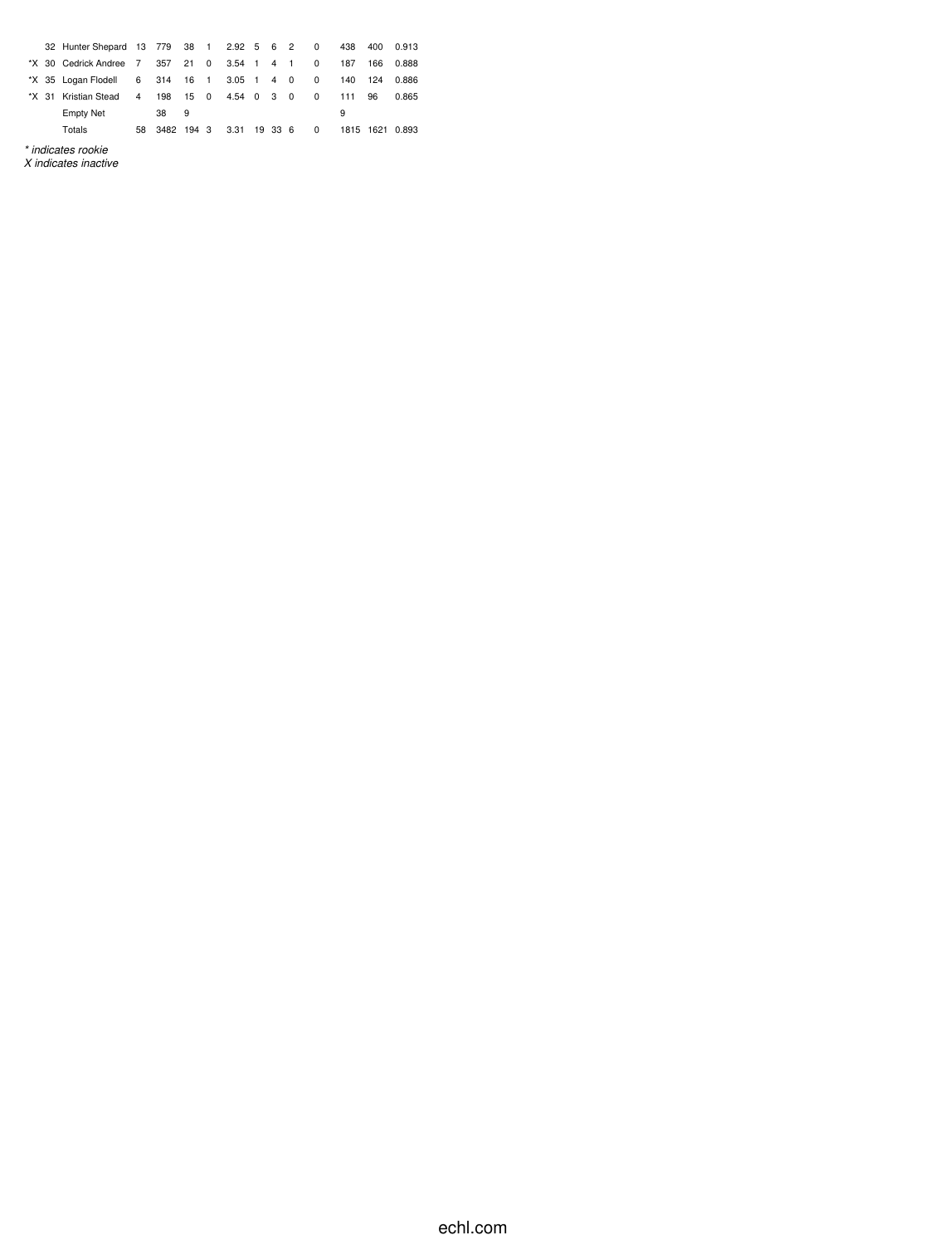|  | 32 Hunter Shepard 13 779 38 1 2.92 5 6 2 0 |           |                     |      |              |  |              | 438 |     | 400 0.913       |
|--|--------------------------------------------|-----------|---------------------|------|--------------|--|--------------|-----|-----|-----------------|
|  | *X 30 Cedrick Andree 7                     |           | 357 21 0 3.54 1 4 1 |      |              |  | 0            | 187 | 166 | 0.888           |
|  | *X 35 Logan Flodell                        |           | 6 314 16 1          |      | $3.05$ 1 4 0 |  | 0            | 140 | 124 | 0.886           |
|  | *X 31 Kristian Stead                       | $4 \quad$ | 198                 | 15 0 | 4.54 0 3 0   |  | $\Omega$     | 111 | 96  | 0.865           |
|  | <b>Empty Net</b>                           |           | 38                  | 9    |              |  |              | 9   |     |                 |
|  | Totals                                     |           | 58 3482 194 3       |      | 3.31 19 33 6 |  | $\mathbf{0}$ |     |     | 1815 1621 0.893 |
|  | * indicates rookie                         |           |                     |      |              |  |              |     |     |                 |

*X indicates inactive*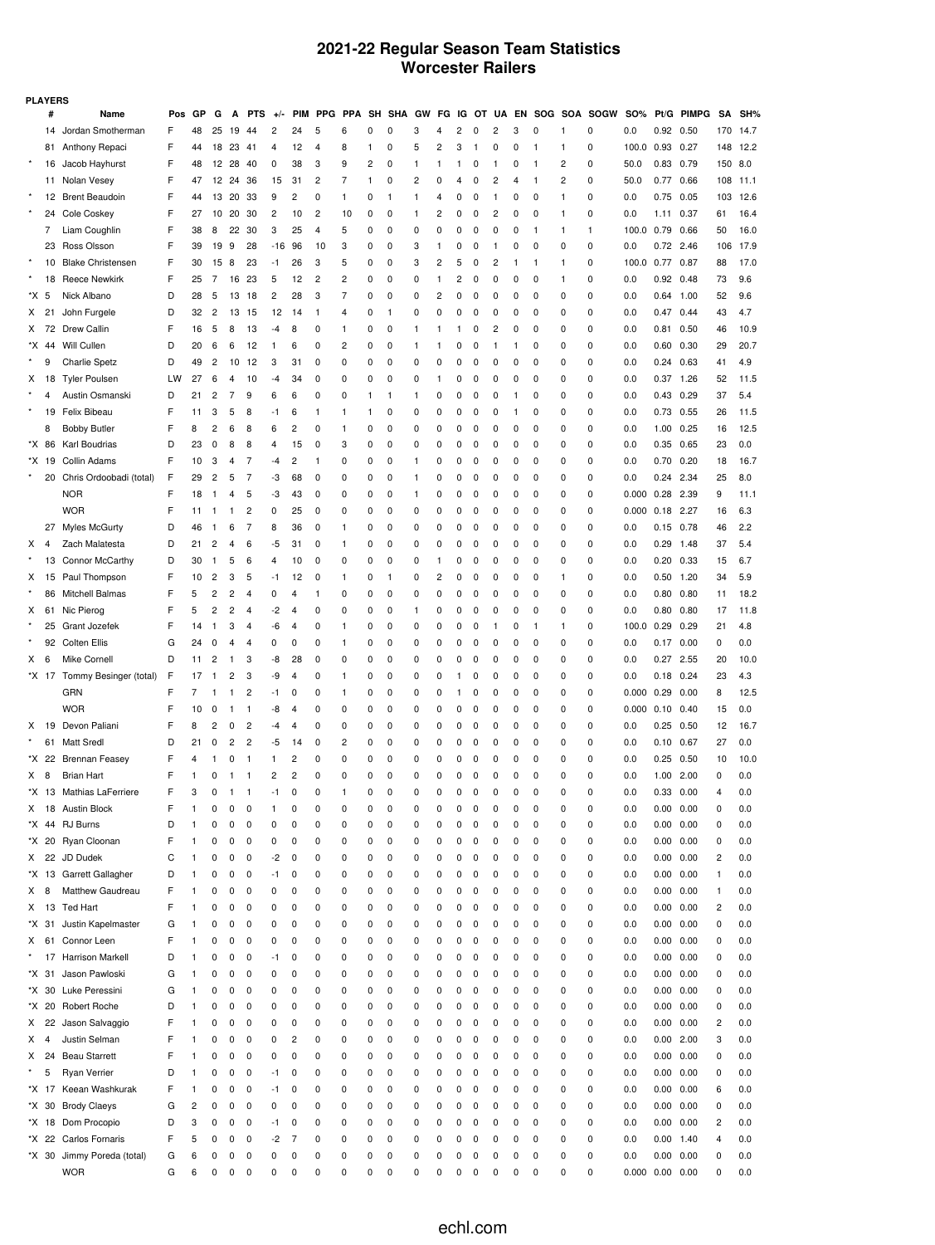## **2021-22 Regular Season Team Statistics Worcester Railers**

|      | <b>PLAYERS</b> |                              |     |    |                |              |                |                |                |            |                |    |            |    |    |    |              |             |           |     |            |             |                       |                   |              |     |      |
|------|----------------|------------------------------|-----|----|----------------|--------------|----------------|----------------|----------------|------------|----------------|----|------------|----|----|----|--------------|-------------|-----------|-----|------------|-------------|-----------------------|-------------------|--------------|-----|------|
|      | #              | Name                         | Pos | GP | G              | Α            | <b>PTS</b>     | $+1$           | <b>PIM</b>     | <b>PPG</b> | <b>PP</b><br>Α | SH | <b>SHA</b> | GW | FG | ΙG | ΩT           | UA          | <b>EN</b> | SOG | <b>SOA</b> | <b>SOGW</b> | <b>SO%</b>            | Pt/G              | <b>PIMPG</b> | SΑ  | SH%  |
|      | 14             | Jordan Smotherman            | F   | 48 | 25             | 19           | 44             | 2              | 24             | 5          | 6              | 0  | 0          | 3  | 4  | 2  | 0            | 2           | 3         | 0   | 1          | 0           | 0.0                   | 0.92 0.50         |              | 170 | 14.7 |
|      | 81             | Anthony Repaci               | F   | 44 | 18             | 23           | 41             | 4              | 12             | 4          | 8              | 1  | 0          | 5  | 2  | 3  | $\mathbf{1}$ | 0           | 0         | 1   | 1          | 0           | 100.0                 | 0.93              | 0.27         | 148 | 12.2 |
|      | 16             | Jacob Hayhurst               | F   | 48 | 12             | 28           | 40             | 0              | 38             | 3          | 9              | 2  | 0          | 1  | 1  | 1  | 0            | 1           | 0         | 1   | 2          | 0           | 50.0                  | 0.83              | 0.79         | 150 | 8.0  |
|      | 11             | Nolan Vesey                  | F   | 47 | 12             | 24           | 36             | 15             | 31             | 2          | 7              | 1  | 0          | 2  | 0  | 4  | 0            | 2           | 4         | 1   | 2          | 0           | 50.0                  | 0.77              | 0.66         | 108 | 11.1 |
|      |                | 12 Brent Beaudoin            | F   | 44 | 13             | 20           | 33             | 9              | 2              | 0          | $\mathbf{1}$   | 0  | 1          | 1  | 4  | 0  | 0            | 1           | 0         | 0   | 1          | 0           | 0.0                   | 0.75              | 0.05         | 103 | 12.6 |
|      | 24             | Cole Coskey                  | F   | 27 | 10             | 20           | 30             | 2              | 10             | 2          | 10             | 0  | 0          | 1  | 2  | 0  | 0            | 2           | 0         | 0   | 1          | 0           | 0.0                   | 1.11              | 0.37         | 61  | 16.4 |
|      | 7              | Liam Coughlin                | F   | 38 | 8              | 22           | 30             | 3              | 25             | 4          | 5              | 0  | 0          | 0  | 0  | 0  | 0            | 0           | 0         | 1   | 1          | 1           | 100.0                 | 0.79              | 0.66         | 50  | 16.0 |
|      | 23             | Ross Olsson                  | F   | 39 | 19             | 9            | 28             | -16            | 96             | 10         | 3              | 0  | 0          | 3  | 1  | 0  | 0            | 1           | 0         | 0   | 0          | 0           | 0.0                   | 0.72              | 2.46         | 106 | 17.9 |
|      | 10             | <b>Blake Christensen</b>     | F   | 30 | 15             | 8            | 23             | -1             | 26             | 3          | 5              | 0  | 0          | 3  | 2  | 5  | 0            | 2           | 1         | 1   | 1          | 0           | 100.0                 | 0.77              | 0.87         | 88  | 17.0 |
|      | 18             | <b>Reece Newkirk</b>         | F   | 25 | 7              | 16           | 23             | 5              | 12             | 2          | $\overline{c}$ | 0  | 0          | 0  | 1  | 2  | 0            | 0           | 0         | 0   | 1          | 0           | 0.0                   | 0.92              | 0.48         | 73  | 9.6  |
| *X 5 |                | Nick Albano                  | D   | 28 | 5              | 13           | 18             | $\overline{c}$ | 28             | 3          | $\overline{7}$ | 0  | 0          | 0  | 2  | 0  | 0            | 0           | 0         | 0   | 0          | 0           | 0.0                   | 0.64              | 1.00         | 52  | 9.6  |
| X    | 21             | John Furgele                 | D   | 32 | $\overline{c}$ | 13           | 15             | 12             | 14             | 1          | 4              | 0  | 1          | 0  | 0  | 0  | 0            | 0           | 0         | 0   | 0          | 0           | 0.0                   | 0.47              | 0.44         | 43  | 4.7  |
| X    | 72             | Drew Callin                  | F   | 16 | 5              | 8            | 13             | -4             | 8              | 0          | 1              | 0  | 0          | 1  | 1  | 1  | 0            | 2           | 0         | 0   | 0          | 0           | 0.0                   | 0.81              | 0.50         | 46  | 10.9 |
|      | *X 44          | Will Cullen                  | D   | 20 | 6              | 6            | 12             | 1              | 6              | 0          | $\overline{c}$ | 0  | 0          | 1  | 1  | 0  | 0            | 1           | 1         | 0   | 0          | 0           | 0.0                   | 0.60              | 0.30         | 29  | 20.7 |
|      | 9              | <b>Charlie Spetz</b>         | D   | 49 | $\overline{c}$ | 10           | 12             | 3              | 31             | 0          | 0              | 0  | 0          | 0  | 0  | 0  | 0            | 0           | 0         | 0   | 0          | 0           | 0.0                   | 0.24              | 0.63         | 41  | 4.9  |
| X    | 18             | <b>Tyler Poulsen</b>         | LW  | 27 | 6              | 4            | 10             | -4             | 34             | 0          | 0              | 0  | 0          | 0  | 1  | 0  | 0            | 0           | 0         | 0   | 0          | 0           | 0.0                   | 0.37              | 1.26         | 52  | 11.5 |
|      | 4              | Austin Osmanski              | D   | 21 | $\overline{c}$ | 7            | 9              | 6              | 6              | 0          | 0              | 1  | 1          | 1  | 0  | 0  | 0            | 0           | 1         | 0   | 0          | 0           | 0.0                   | 0.43              | 0.29         | 37  | 5.4  |
|      | 19             | Felix Bibeau                 | F   | 11 | 3              | 5            | 8              | -1             | 6              | 1          | $\mathbf{1}$   | 1  | 0          | 0  | 0  | 0  | 0            | 0           | 1         | 0   | 0          | 0           | 0.0                   | 0.73              | 0.55         | 26  | 11.5 |
|      | 8              | <b>Bobby Butler</b>          | F   | 8  | 2              | 6            | 8              | 6              | $\overline{c}$ | 0          | 1              | 0  | 0          | 0  | 0  | 0  | 0            | 0           | 0         | 0   | 0          | 0           | 0.0                   | 1.00              | 0.25         | 16  | 12.5 |
|      | *X 86          | Karl Boudrias                | D   | 23 | 0              | 8            | 8              | 4              | 15             | 0          | 3              | 0  | 0          | 0  | 0  | 0  | 0            | 0           | 0         | 0   | 0          | 0           | 0.0                   | 0.35              | 0.65         | 23  | 0.0  |
|      | *X 19          | Collin Adams                 | F   | 10 | 3              | 4            | 7              | -4             | 2              | 1          | 0              | 0  | 0          | 1  | 0  | 0  | 0            | 0           | 0         | 0   | 0          | 0           | 0.0                   | 0.70              | 0.20         | 18  | 16.7 |
|      | 20             | Chris Ordoobadi (total)      | F   | 29 | 2              | 5            | 7              | -3             | 68             | 0          | 0              | 0  | 0          | 1  | 0  | 0  | 0            | 0           | 0         | 0   | 0          | 0           | 0.0                   | 0.24              | 2.34         | 25  | 8.0  |
|      |                | <b>NOR</b>                   | F   | 18 | 1              | 4            | 5              | -3             | 43             | 0          | 0              | 0  | 0          | 1  | 0  | 0  | 0            | 0           | 0         | 0   | 0          | 0           | 0.000                 | 0.28              | 2.39         | 9   | 11.1 |
|      |                | <b>WOR</b>                   | F   | 11 | 1              | 1            | 2              | 0              | 25             | 0          | 0              | 0  | 0          | 0  | 0  | 0  | 0            | 0           | 0         | 0   | 0          | 0           | 0.000                 | 0.18              | 2.27         | 16  | 6.3  |
|      | 27             | <b>Myles McGurty</b>         | D   | 46 | 1              | 6            | 7              | 8              | 36             | 0          | 1              | 0  | 0          | 0  | 0  | 0  | 0            | 0           | 0         | 0   | 0          | 0           | 0.0                   | $0.15$ 0.78       |              | 46  | 2.2  |
| x    | 4              | Zach Malatesta               | D   | 21 | 2              | 4            | 6              | -5             | 31             | 0          | $\mathbf{1}$   | 0  | 0          | 0  | 0  | 0  | 0            | 0           | 0         | 0   | 0          | 0           | 0.0                   | 0.29              | 1.48         | 37  | 5.4  |
|      | 13             | Connor McCarthy              | D   | 30 | 1              | 5            | 6              | 4              | 10             | 0          | 0              | 0  | 0          | 0  | 1  | Ω  | 0            | 0           | 0         | 0   | 0          | 0           | 0.0                   | 0.20              | 0.33         | 15  | 6.7  |
| X    | 15             | Paul Thompson                | F   | 10 | 2              | 3            | 5              | -1             | 12             | 0          | 1              | 0  | 1          | 0  | 2  | Ω  | 0            | 0           | 0         | 0   | 1          | 0           | 0.0                   | 0.50              | 1.20         | 34  | 5.9  |
|      | 86             | Mitchell Balmas              | F   | 5  | 2              | 2            | 4              | 0              | 4              | 1          | 0              | 0  | 0          | 0  | 0  | 0  | 0            | 0           | 0         | 0   | 0          | 0           | 0.0                   | 0.80              | 0.80         | 11  | 18.2 |
| X    |                | 61 Nic Pierog                | F   | 5  | 2              | 2            | 4              | -2             | 4              | 0          | 0              | 0  | 0          | 1  | 0  | 0  | 0            | 0           | 0         | 0   | 0          | 0           | 0.0                   | 0.80              | 0.80         | 17  | 11.8 |
|      | 25             | Grant Jozefek                | F   | 14 | 1              | 3            | 4              | -6             | 4              | 0          | 1              | 0  | 0          | 0  | 0  | 0  | 0            | 1           | 0         | 1   | 1          | 0           | 100.0                 | 0.29              | 0.29         | 21  | 4.8  |
|      | 92             | <b>Colten Ellis</b>          | G   | 24 | 0              | 4            | 4              | 0              | 0              | 0          | 1              | 0  | 0          | 0  | 0  | 0  | 0            | 0           | 0         | 0   | 0          | 0           | 0.0                   | 0.17              | 0.00         | 0   | 0.0  |
| x    | 6              | Mike Cornell                 | D   | 11 | 2              | 1            | 3              | -8             | 28             | 0          | 0              | 0  | 0          | 0  | 0  | Ω  | 0            | 0           | 0         | 0   | 0          | 0           | 0.0                   | 0.27              | 2.55         | 20  | 10.0 |
|      |                | *X 17 Tommy Besinger (total) | F   | 17 | 1              | 2            | 3              | -9             | 4              | 0          | 1              | 0  | 0          | 0  | 0  |    | 0            | 0           | 0         | 0   | 0          | 0           | 0.0                   | 0.18              | 0.24         | 23  | 4.3  |
|      |                | GRN                          | F   | 7  | 1              | 1            | 2              | -1             | 0              | 0          | $\mathbf{1}$   | 0  | 0          | 0  | 0  |    | 0            | 0           | 0         | 0   | 0          | 0           | 0.000                 | 0.29              | 0.00         | 8   | 12.5 |
|      |                | <b>WOR</b>                   | F   | 10 | 0              | 1            | 1              | -8             | 4              | 0          | 0              | 0  | 0          | 0  | 0  | 0  | 0            | 0           | 0         | 0   | 0          | 0           | 0.000                 | 0.10              | 0.40         | 15  | 0.0  |
| X    | 19             | Devon Paliani                | F   | 8  | 2              | 0            | $\overline{c}$ | -4             | 4              | 0          | 0              | 0  | 0          | 0  | 0  | 0  | 0            | 0           | 0         | 0   | 0          | 0           | 0.0                   | 0.25              | 0.50         | 12  | 16.7 |
|      | 61             | Matt Sredl                   | D   | 21 | 0              | 2            | 2              | -5             | 14             | 0          | $\overline{c}$ | 0  | 0          | 0  | 0  | 0  | 0            | 0           | 0         | 0   | 0          | 0           | 0.0                   | 0.10              | 0.67         | 27  | 0.0  |
|      | *X 22          | <b>Brennan Feasey</b>        | F   | 4  |                | 0            | 1              | 1              | 2              | 0          | 0              | 0  | 0          | 0  | 0  | Ω  | 0            | 0           | 0         | 0   | 0          | 0           | 0.0                   | 0.25              | 0.50         | 10  | 10.0 |
| X 8  |                | <b>Brian Hart</b>            | F   | 1  | 0              | 1            | $\mathbf{1}$   | 2              | $\overline{c}$ | 0          | 0              | 0  | 0          | 0  | 0  | 0  | 0            | 0           | 0         | 0   | 0          | 0           | 0.0                   | 1.00 2.00         |              | 0   | 0.0  |
|      |                | *X 13 Mathias LaFerriere     | F   | 3  | 0              | $\mathbf{1}$ | $\overline{1}$ | -1             | 0              | 0          |                | 0  | 0          | 0  | 0  | 0  | $\mathbf 0$  | $\mathbf 0$ | 0         | 0   | 0          | 0           | 0.0                   | $0.33 \quad 0.00$ |              | 4   | 0.0  |
| X.   |                | 18 Austin Block              | F   | 1  | 0              | 0            | 0              | 1              | 0              | 0          | 0              | 0  | 0          | 0  | 0  | 0  | 0            | 0           | 0         | 0   | 0          | 0           | 0.0                   | $0.00 \quad 0.00$ |              | 0   | 0.0  |
|      | *X 44          | <b>RJ Burns</b>              | D   | 1  | 0              | 0            | 0              | 0              | 0              | 0          | 0              | 0  | 0          | 0  | 0  | 0  | 0            | 0           | 0         | 0   | 0          | 0           | 0.0                   | 0.00              | 0.00         | 0   | 0.0  |
|      | *X 20          | Ryan Cloonan                 | F   | 1  | 0              | 0            | 0              | 0              | 0              | 0          | 0              | 0  | 0          | 0  | 0  | 0  | 0            | 0           | 0         | 0   | 0          | 0           | 0.0                   | 0.00              | 0.00         | 0   | 0.0  |
| X.   | 22             | JD Dudek                     | С   | 1  | 0              | 0            | 0              | -2             | 0              | 0          | 0              | 0  | 0          | 0  | 0  | 0  | 0            | 0           | 0         | 0   | 0          | 0           | 0.0                   | 0.00              | 0.00         | 2   | 0.0  |
|      |                | *X 13 Garrett Gallagher      | D   | 1  | 0              | 0            | 0              | -1             | 0              | 0          | 0              | 0  | 0          | 0  | 0  | 0  | 0            | 0           | 0         | 0   | 0          | 0           | 0.0                   | $0.00 \quad 0.00$ |              | 1   | 0.0  |
| X    | 8              | Matthew Gaudreau             | F   | 1  | 0              | 0            | 0              | 0              | 0              | 0          | 0              | 0  | 0          | 0  | 0  | 0  | 0            | 0           | 0         | 0   | 0          | 0           | 0.0                   | 0.00              | 0.00         | 1   | 0.0  |
| X    | 13             | <b>Ted Hart</b>              | F   | 1  | 0              | 0            | 0              | 0              | 0              | 0          | 0              | 0  | 0          | 0  | 0  | 0  | 0            | 0           | 0         | 0   | 0          | 0           | 0.0                   | 0.00              | 0.00         | 2   | 0.0  |
|      | *X 31          | Justin Kapelmaster           | G   | 1  | 0              | 0            | 0              | 0              | 0              | 0          | 0              | 0  | 0          | 0  | 0  | 0  | 0            | 0           | 0         | 0   | 0          | 0           | 0.0                   | 0.00              | 0.00         | 0   | 0.0  |
| X.   | 61             | Connor Leen                  | F   | 1  | 0              | 0            | 0              | 0              | 0              | 0          | 0              | 0  | 0          | 0  | 0  | 0  | 0            | 0           | 0         | 0   | 0          | 0           | 0.0                   | $0.00 \quad 0.00$ |              | 0   | 0.0  |
|      | 17             | <b>Harrison Markell</b>      | D   | 1  | 0              | 0            | 0              | -1             | 0              | 0          | 0              | 0  | 0          | 0  | 0  | 0  | 0            | 0           | 0         | 0   | 0          | 0           | 0.0                   | 0.00              | 0.00         | 0   | 0.0  |
|      | *X 31          | Jason Pawloski               | G   | 1  | 0              | 0            | 0              | 0              | 0              | 0          | 0              | 0  | 0          | 0  | 0  | 0  | 0            | 0           | 0         | 0   | 0          | 0           | 0.0                   | 0.00              | 0.00         | 0   | 0.0  |
|      | *X 30          | Luke Peressini               | G   | 1  | 0              | 0            | 0              | 0              | 0              | 0          | 0              | 0  | 0          | 0  | 0  | 0  | 0            | 0           | 0         | 0   | 0          | 0           | 0.0                   | 0.00              | 0.00         | 0   | 0.0  |
|      | *X 20          | Robert Roche                 | D   | 1  | 0              | 0            | 0              | 0              | 0              | 0          | 0              | 0  | 0          | 0  | 0  | 0  | 0            | 0           | 0         | 0   | 0          | 0           | 0.0                   | 0.00 0.00         |              | 0   | 0.0  |
| X.   | 22             | Jason Salvaggio              | F   | 1  | 0              | 0            | 0              | 0              | 0              | 0          | 0              | 0  | 0          | 0  | 0  | 0  | 0            | 0           | 0         | 0   | 0          | 0           | 0.0                   | 0.00              | 0.00         | 2   | 0.0  |
| X    | $\overline{4}$ | Justin Selman                | F   | 1  | 0              | 0            | 0              | 0              | $\overline{c}$ | 0          | 0              | 0  | 0          | 0  | 0  | 0  | 0            | 0           | 0         | 0   | 0          | 0           | 0.0                   | $0.00$ 2.00       |              | 3   | 0.0  |
| X    | 24             | <b>Beau Starrett</b>         | F   | 1  | 0              | 0            | 0              | 0              | 0              | 0          | 0              | 0  | 0          | 0  | 0  | 0  | 0            | 0           | 0         | 0   | 0          | 0           | 0.0                   | 0.00              | 0.00         | 0   | 0.0  |
|      | 5              | Ryan Verrier                 | D   | 1  | 0              | 0            | 0              | -1             | 0              | 0          | 0              | 0  | 0          | 0  | 0  | 0  | 0            | 0           | 0         | 0   | 0          | 0           | 0.0                   | $0.00 \quad 0.00$ |              | 0   | 0.0  |
|      | *X 17          | Keean Washkurak              | F   | 1  | 0              | 0            | 0              | -1             | 0              | 0          | 0              | 0  | 0          | 0  | 0  | 0  | 0            | 0           | 0         | 0   | 0          | 0           | 0.0                   | 0.00              | 0.00         | 6   | 0.0  |
|      | *X 30          | <b>Brody Claeys</b>          | G   | 2  | 0              | 0            | 0              | 0              | 0              | 0          | 0              | 0  | 0          | 0  | 0  | 0  | 0            | 0           | 0         | 0   | 0          | 0           | 0.0                   | 0.00              | 0.00         | 0   | 0.0  |
|      | *X 18          | Dom Procopio                 | D   | 3  | 0              | 0            | 0              | -1             | 0              | 0          | 0              | 0  | 0          | 0  | 0  | 0  | 0            | 0           | 0         | 0   | 0          | 0           | 0.0                   | 0.00 0.00         |              | 2   | 0.0  |
|      |                | *X 22 Carlos Fornaris        | F   | 5  | 0              | 0            | 0              | -2             | 7              | 0          | 0              | 0  | 0          | 0  | 0  | 0  | 0            | 0           | 0         | 0   | 0          | 0           | 0.0                   | $0.00$ 1.40       |              | 4   | 0.0  |
|      | *X 30          | Jimmy Poreda (total)         | G   | 6  | 0              | 0            | 0              | 0              | 0              | 0          | 0              | 0  | 0          | 0  | 0  | 0  | 0            | 0           | 0         | 0   | 0          | 0<br>0      | 0.0                   | 0.00              | 0.00         | 0   | 0.0  |
|      |                | <b>WOR</b>                   | G   | 6  | 0              | 0            | 0              | 0              | 0              | 0          | 0              | 0  | 0          | 0  | 0  | 0  | 0            | 0           | 0         | 0   | 0          |             | $0.000$ $0.00$ $0.00$ |                   |              | 0   | 0.0  |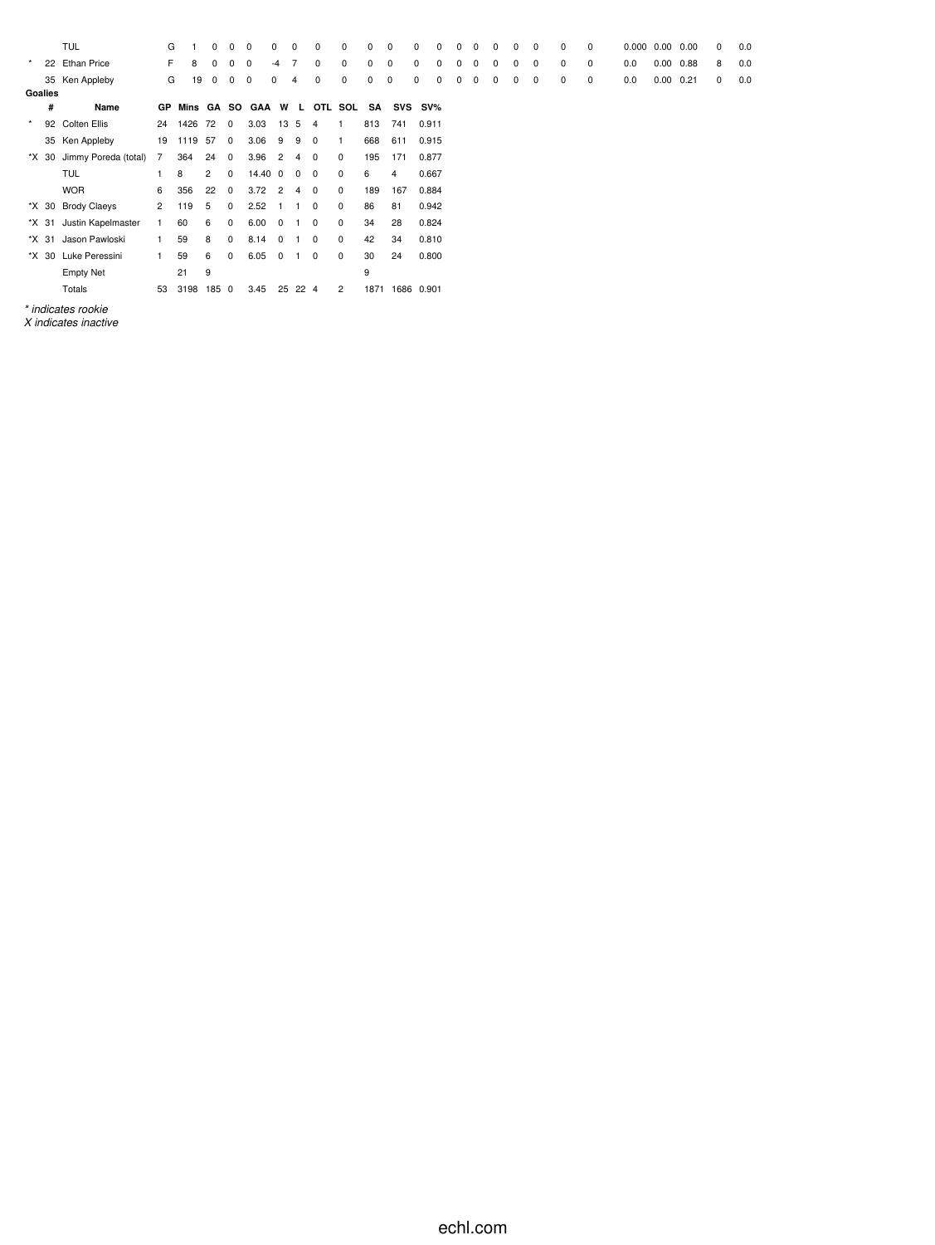|         |         | <b>TUL</b>                 | G         |         | $\Omega$       | $\Omega$       | $\mathbf 0$      | $\mathbf 0$    | $\Omega$       | 0              | 0            | 0    | 0           | 0       | $\Omega$ | 0 | 0 | $\Omega$ | 0 | 0           | 0 | $\mathbf 0$ | 0.000 | 0.00          | 0.00 | 0 | 0.0 |
|---------|---------|----------------------------|-----------|---------|----------------|----------------|------------------|----------------|----------------|----------------|--------------|------|-------------|---------|----------|---|---|----------|---|-------------|---|-------------|-------|---------------|------|---|-----|
| $\star$ |         | 22 Ethan Price             | F.        | 8       | $\Omega$       | 0              | $^{\circ}$       | $-4$           |                | 0              | 0            | 0    | 0           | 0       | $\Omega$ | 0 | 0 | 0        | 0 | $\mathbf 0$ | 0 | $\mathbf 0$ | 0.0   | 0.00          | 0.88 | 8 | 0.0 |
|         |         | 35 Ken Appleby             | G         | 19      | 0              | 0              | 0                | 0              | 4              | 0              | 0            | 0    | $\mathbf 0$ | 0       | 0        | 0 | 0 | 0        | 0 | 0           | 0 | 0           | 0.0   | $0.00$ $0.21$ |      | 0 | 0.0 |
|         | Goalies |                            |           |         |                |                |                  |                |                |                |              |      |             |         |          |   |   |          |   |             |   |             |       |               |      |   |     |
|         | #       | Name                       | <b>GP</b> |         |                |                | Mins GA SO GAA W |                | $\mathbf{L}$   |                | OTL SOL      | SA   |             | SVS SV% |          |   |   |          |   |             |   |             |       |               |      |   |     |
| $\star$ |         | 92 Colten Ellis            | 24        | 1426    | 72             | $\overline{0}$ | 3.03             | 13 5           |                | 4              | -1           | 813  | 741         | 0.911   |          |   |   |          |   |             |   |             |       |               |      |   |     |
|         |         | 35 Ken Appleby             | 19        | 1119 57 |                | $\overline{0}$ | 3.06             | 9              | 9              | $\mathbf 0$    | $\mathbf{1}$ | 668  | 611         | 0.915   |          |   |   |          |   |             |   |             |       |               |      |   |     |
|         |         | *X 30 Jimmy Poreda (total) | 7         | 364     | 24             | 0              | 3.96             | $\overline{2}$ | $\overline{4}$ | $\mathbf{0}$   | 0            | 195  | 171         | 0.877   |          |   |   |          |   |             |   |             |       |               |      |   |     |
|         |         | <b>TUL</b>                 |           | 8       | $\overline{2}$ | 0              | 14.40            | $\overline{0}$ | $\mathbf 0$    | $\overline{0}$ | $\mathbf 0$  | 6    | 4           | 0.667   |          |   |   |          |   |             |   |             |       |               |      |   |     |
|         |         | <b>WOR</b>                 | 6         | 356     | 22             | 0              | 3.72             | $\overline{2}$ | 4              | 0              | $\mathbf 0$  | 189  | 167         | 0.884   |          |   |   |          |   |             |   |             |       |               |      |   |     |
|         |         | *X 30 Brody Claeys         | 2         | 119     | 5              | 0              | 2.52             |                |                | $^{\circ}$     | 0            | 86   | 81          | 0.942   |          |   |   |          |   |             |   |             |       |               |      |   |     |
|         | *X 31   | Justin Kapelmaster         | 1.        | 60      | 6              | 0              | 6.00             | $^{\circ}$     |                | $\mathbf 0$    | $\mathbf 0$  | 34   | 28          | 0.824   |          |   |   |          |   |             |   |             |       |               |      |   |     |
|         | *X 31   | Jason Pawloski             | 1.        | 59      | 8              | 0              | 8.14             | 0              |                | $\overline{0}$ | $\mathbf 0$  | 42   | 34          | 0.810   |          |   |   |          |   |             |   |             |       |               |      |   |     |
|         |         | *X 30 Luke Peressini       |           | 59      | 6              | 0              | 6.05             | 0              |                | $\mathbf 0$    | $\mathbf 0$  | 30   | 24          | 0.800   |          |   |   |          |   |             |   |             |       |               |      |   |     |
|         |         | <b>Empty Net</b>           |           | 21      | 9              |                |                  |                |                |                |              | 9    |             |         |          |   |   |          |   |             |   |             |       |               |      |   |     |
|         |         | Totals                     | 53        | 3198    | 185 0          |                | 3.45             |                | 25 22 4        |                | 2            | 1871 | 1686 0.901  |         |          |   |   |          |   |             |   |             |       |               |      |   |     |
|         |         | * indicates rookie         |           |         |                |                |                  |                |                |                |              |      |             |         |          |   |   |          |   |             |   |             |       |               |      |   |     |

*X indicates inactive*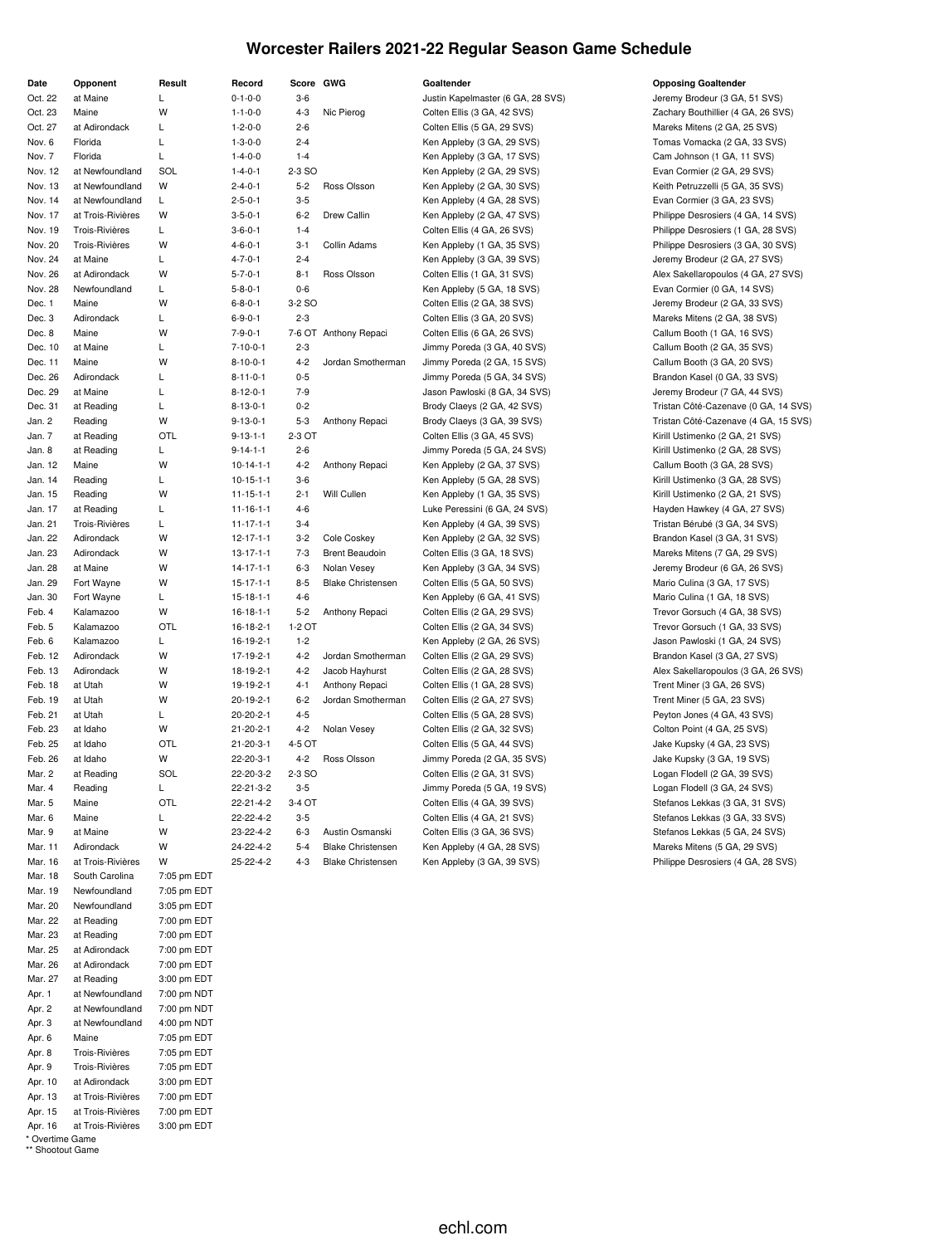## **Worcester Railers 2021-22 Regular Season Game Schedule**

| Date             | Opponent               | Result      | Record                 | Score GWG         |                          | Goaltender                              |
|------------------|------------------------|-------------|------------------------|-------------------|--------------------------|-----------------------------------------|
| Oct. 22          | at Maine               | L           | $0 - 1 - 0 - 0$        | $3-6$             |                          | Justin Kapelmaste                       |
| Oct. 23          | Maine                  | W           | $1 - 1 - 0 - 0$        | $4 - 3$           | Nic Pierog               | Colten Ellis (3 GA                      |
| Oct. 27          | at Adirondack          | Г           | $1 - 2 - 0 - 0$        | $2 - 6$           |                          | Colten Ellis (5 GA                      |
| Nov. 6           | Florida                | Г           | $1 - 3 - 0 - 0$        | $2 - 4$           |                          | Ken Appleby (3 G.                       |
| Nov. 7           | Florida                | Г           | $1 - 4 - 0 - 0$        | $1 - 4$           |                          | Ken Appleby (3 G.                       |
| Nov. 12          | at Newfoundland        | SOL         | $1 - 4 - 0 - 1$        | 2-3 SO            |                          | Ken Appleby (2 G.                       |
| Nov. 13          | at Newfoundland        | W           | $2 - 4 - 0 - 1$        | $5 - 2$           | Ross Olsson              | Ken Appleby (2 G.                       |
| Nov. 14          | at Newfoundland        | L           | $2 - 5 - 0 - 1$        | $3-5$             |                          | Ken Appleby (4 G.                       |
| Nov. 17          | at Trois-Rivières      | W           | $3 - 5 - 0 - 1$        | $6 - 2$           | Drew Callin              | Ken Appleby (2 G.                       |
| Nov. 19          | Trois-Rivières         | L           | $3 - 6 - 0 - 1$        | $1 - 4$           |                          | Colten Ellis (4 GA                      |
| Nov. 20          | Trois-Rivières         | W           | $4 - 6 - 0 - 1$        | $3 - 1$           | Collin Adams             | Ken Appleby (1 G.                       |
| Nov. 24          | at Maine               | L           | $4 - 7 - 0 - 1$        | $2 - 4$           |                          | Ken Appleby (3 G.                       |
| Nov. 26          | at Adirondack          | W           | $5 - 7 - 0 - 1$        | 8-1               | Ross Olsson              | Colten Ellis (1 GA                      |
| Nov. 28          | Newfoundland           | L           | $5 - 8 - 0 - 1$        | $0 - 6$           |                          | Ken Appleby (5 G.                       |
| Dec. 1           | Maine                  | W           | $6 - 8 - 0 - 1$        | 3-2 SO            |                          | Colten Ellis (2 GA                      |
| Dec. 3           | Adirondack             | L           | $6 - 9 - 0 - 1$        | $2 - 3$           |                          | Colten Ellis (3 GA                      |
| Dec. 8           | Maine                  | W           | $7 - 9 - 0 - 1$        |                   | 7-6 OT Anthony Repaci    | Colten Ellis (6 GA                      |
| Dec. 10          | at Maine               | Г           | $7 - 10 - 0 - 1$       | $2 - 3$           |                          | Jimmy Poreda (3)                        |
| Dec. 11          | Maine                  | W           | $8 - 10 - 0 - 1$       | $4 - 2$           | Jordan Smotherman        | Jimmy Poreda (2)                        |
| Dec. 26          | Adirondack             | Г           | $8 - 11 - 0 - 1$       | $0 - 5$           |                          | Jimmy Poreda (5)                        |
| Dec. 29          | at Maine               | Г           | $8 - 12 - 0 - 1$       | 7-9               |                          | Jason Pawloski (8                       |
| Dec. 31          | at Reading             | Г           | $8 - 13 - 0 - 1$       | $0 - 2$           |                          | Brody Claeys (2 G                       |
| Jan. 2           | Reading                | W           | $9 - 13 - 0 - 1$       | $5 - 3$           | Anthony Repaci           | Brody Claeys (3 G                       |
| Jan. 7           | at Reading             | OTL         | $9 - 13 - 1 - 1$       | 2-3 OT            |                          | Colten Ellis (3 GA                      |
| Jan. 8           | at Reading             | Г           | $9 - 14 - 1 - 1$       | $2 - 6$           |                          | Jimmy Poreda (5)                        |
| Jan. 12          | Maine                  | W           | $10-14-1-1$            | $4 - 2$           | Anthony Repaci           | Ken Appleby (2 G.                       |
| Jan. 14          | Reading                | L           | $10 - 15 - 1 - 1$      | $3-6$             |                          | Ken Appleby (5 G.                       |
| Jan. 15          | Reading                | W           | $11 - 15 - 1 - 1$      | $2 - 1$           | Will Cullen              | Ken Appleby (1 G.                       |
| Jan. 17          | at Reading             | Г           | $11 - 16 - 1 - 1$      | $4 - 6$           |                          | Luke Peressini (6                       |
| Jan. 21          | Trois-Rivières         | L           | $11 - 17 - 1 - 1$      | $3 - 4$           |                          | Ken Appleby (4 G.                       |
| Jan. 22          | Adirondack             | w           | $12 - 17 - 1 - 1$      | $3 - 2$           | Cole Coskey              | Ken Appleby (2 G.                       |
| Jan. 23          | Adirondack             | W           | $13 - 17 - 1 - 1$      | $7-3$             | <b>Brent Beaudoin</b>    | Colten Ellis (3 GA                      |
| Jan. 28          | at Maine               | W<br>W      | $14 - 17 - 1 - 1$      | $6 - 3$           | Nolan Vesey              | Ken Appleby (3 G.                       |
| Jan. 29          | Fort Wayne             |             | $15 - 17 - 1 - 1$      | $8-5$<br>$4 - 6$  | <b>Blake Christensen</b> | Colten Ellis (5 GA                      |
| Jan. 30          | Fort Wayne             | L.<br>W     | $15 - 18 - 1 - 1$      |                   |                          | Ken Appleby (6 G.                       |
| Feb. 4           | Kalamazoo              | <b>OTL</b>  | $16 - 18 - 1 - 1$      | $5 - 2$<br>1-2 OT | Anthony Repaci           | Colten Ellis (2 GA                      |
| Feb. 5<br>Feb. 6 | Kalamazoo<br>Kalamazoo | Г           | 16-18-2-1              | $1 - 2$           |                          | Colten Ellis (2 GA                      |
| Feb. 12          | Adirondack             | W           | 16-19-2-1<br>17-19-2-1 | $4 - 2$           | Jordan Smotherman        | Ken Appleby (2 G.<br>Colten Ellis (2 GA |
| Feb. 13          | Adirondack             | W           | 18-19-2-1              | $4 - 2$           | Jacob Hayhurst           | Colten Ellis (2 GA                      |
| Feb. 18          | at Utah                | W           | 19-19-2-1              | $4 - 1$           | Anthony Repaci           | Colten Ellis (1 GA                      |
| Feb. 19          | at Utah                | W           | 20-19-2-1              | $6 - 2$           | Jordan Smotherman        | Colten Ellis (2 GA                      |
| Feb. 21          | at Utah                | L           | $20 - 20 - 2 - 1$      | $4 - 5$           |                          | Colten Ellis (5 GA                      |
| Feb. 23          | at Idaho               | W           | $21 - 20 - 2 - 1$      | $4 - 2$           | Nolan Vesey              | Colten Ellis (2 GA                      |
| Feb. 25          | at Idaho               | OTL         | $21 - 20 - 3 - 1$      | 4-5 OT            |                          | Colten Ellis (5 GA                      |
| Feb. 26          | at Idaho               | W           | 22-20-3-1              | $4 - 2$           | Ross Olsson              | Jimmy Poreda (2)                        |
| Mar. 2           | at Reading             | SOL         | 22-20-3-2              | 2-3 SO            |                          | Colten Ellis (2 GA                      |
| Mar. 4           | Reading                | L           | 22-21-3-2              | $3-5$             |                          | Jimmy Poreda (5                         |
| Mar. 5           | Maine                  | OTL         | 22-21-4-2              | 3-4 OT            |                          | Colten Ellis (4 GA                      |
| Mar. 6           | Maine                  | L           | 22-22-4-2              | $3 - 5$           |                          | Colten Ellis (4 GA                      |
| Mar. 9           | at Maine               | W           | 23-22-4-2              | 6-3               | Austin Osmanski          | Colten Ellis (3 GA                      |
| Mar. 11          | Adirondack             | W           | 24-22-4-2              | $5 - 4$           | <b>Blake Christensen</b> | Ken Appleby (4 G.                       |
| Mar. 16          | at Trois-Rivières      | W           | 25-22-4-2              | $4 - 3$           | <b>Blake Christensen</b> | Ken Appleby (3 G.                       |
| Mar. 18          | South Carolina         | 7:05 pm EDT |                        |                   |                          |                                         |
| Mar. 19          | Newfoundland           | 7:05 pm EDT |                        |                   |                          |                                         |
| Mar. 20          | Newfoundland           | 3:05 pm EDT |                        |                   |                          |                                         |
| Mar. 22          | at Reading             | 7:00 pm EDT |                        |                   |                          |                                         |
| Mar. 23          | at Reading             | 7:00 pm EDT |                        |                   |                          |                                         |
| Mar. 25          | at Adirondack          | 7:00 pm EDT |                        |                   |                          |                                         |
| Mar. 26          | at Adirondack          | 7:00 pm EDT |                        |                   |                          |                                         |
| Mar. 27          | at Reading             | 3:00 pm EDT |                        |                   |                          |                                         |
| Apr. 1           | at Newfoundland        | 7:00 pm NDT |                        |                   |                          |                                         |
| Apr. 2           | at Newfoundland        | 7:00 pm NDT |                        |                   |                          |                                         |
| Apr. 3           | at Newfoundland        | 4:00 pm NDT |                        |                   |                          |                                         |
| Apr. 6           | Maine                  | 7:05 pm EDT |                        |                   |                          |                                         |
| Apr. 8           | Trois-Rivières         | 7:05 pm EDT |                        |                   |                          |                                         |
| Apr. 9           | Trois-Rivières         | 7:05 pm EDT |                        |                   |                          |                                         |
| Apr. 10          | at Adirondack          | 3:00 pm EDT |                        |                   |                          |                                         |
| Apr. 13          | at Trois-Rivières      | 7:00 pm EDT |                        |                   |                          |                                         |
| Apr. 15          | at Trois-Rivières      | 7:00 pm EDT |                        |                   |                          |                                         |
| Apr. 16          | at Trois-Rivières      | 3:00 pm EDT |                        |                   |                          |                                         |

\* Overtime Game \*\* Shootout Game

#### $D$ pposing Goaltender

or (6 GA, 28 SVS) Jeremy Brodeur (3 GA, 51 SVS) 42 SVS) Zachary Bouthillier (4 GA, 26 SVS) Oct. 29 SVS) Mareks Mitens (2 GA, 25 SVS) A, 29 SVS) Tomas Vomacka (2 GA, 33 SVS) A, 17 SVS) Cam Johnson (1 GA, 11 SVS) nov. 12 at New Foundland Solid 1-4-0.<br>
Evan Cormier (2 GA, 29 SVS) A, 30 SVS) **A-4-0** Keith Petruzzelli (5 GA, 35 SVS) A. 28 SVS) Evan Cormier (3 GA, 23 SVS) A, 47 SVS) **Philippe Desrosiers (4 GA, 14 SVS)** 26 SVS) Trois-November 2-0-1 2-6-0-1 Philippe Desrosiers (1 GA, 28 SVS) A, 35 SVS) Philippe Desrosiers (3 GA, 30 SVS) A, 39 SVS) Jeremy Brodeur (2 GA, 27 SVS) Alex Sakellaropoulos (4 GA, 27 SVS) Alex Sakellaropoulos (4 GA, 27 SVS) A, 18 SVS) Evan Cormier (0 GA, 14 SVS) decemy Brodeur (2 GA, 33 SVS) Jeremy Brodeur (2 GA, 33 SVS) Dec. 3 Adic 6-0-1 Mareks Mitens (2 GA, 38 SVS) 26 SVS) Callum Booth (1 GA, 16 SVS) GA, 40 SVS) Callum Booth (2 GA, 35 SVS) GA, 15 SVS) Callum Booth (3 GA, 20 SVS) GA, 34 SVS) Brandon Kasel (0 GA, 33 SVS) B GA, 34 SVS) Jeremy Brodeur (7 GA, 44 SVS) and Brody Cazenave (0 GA, 14 SVS) Tristan Côté-Cazenave (0 GA, 14 SVS) GA, 39 SVS) Tristan Côté-Cazenave (4 GA, 15 SVS) 45 SVS) Kirill Ustimenko (2 GA, 21 SVS) GA, 24 SVS) **Face Accord L 9-14-1-1-1-1-1-1-1** Kirill Ustimenko (2 GA, 28 SVS) A, 37 SVS) Callum Booth (3 GA, 28 SVS) Jan. 14 Reading L 10-15-1-1 3-6 Ken Appleby (5 GA, 28 SVS) Kirill Ustimenko (3 GA, 28 SVS) A, 35 SVS) Kirill Ustimenko (2 GA, 21 SVS) GA, 24 SVS) Hayden Hawkey (4 GA, 27 SVS) Ian. 39 SVS) Tristan Bérubé (3 GA, 34 SVS) A, 32 SVS) Brandon Kasel (3 GA, 31 SVS) Jan. 18 SVS) **13-18 Mareks Mitens (7 GA, 29 SVS)** Mareks Mitens (7 GA, 29 SVS) A, 34 SVS) Jeremy Brodeur (6 GA, 26 SVS) Jan. 50 SVS) Fort Wario Culina (3 GA, 17 SVS) A, 41 SVS) Mario Culina (1 GA, 18 SVS) Frevor Gorsuch (4 GA, 38 SVS) 16-18-12 Anti-1 5-2 Anti-1 5-2 Anti-1 5-2 SVS) 34 SVS) Trevor Gorsuch (1 GA, 33 SVS) Feb. 3 (1 GA, 26 SVS) Jason Pawloski (1 GA, 24 SVS) Ferdingale M 129 SVS) 129 SVS) 129 SVS) Feb. 13 Alex Sakellaropoulos (3 GA, 26 SVS) Frent Miner (3 GA, 26 SVS) Trent Miner (3 GA, 26 SVS) 27 SVS) Trent Miner (5 GA, 23 SVS) Peyton Jones (4 GA, 43 SVS) Peyton Jones (4 GA, 43 SVS) Feb. 23 SVS) Colton Point (4 GA, 25 SVS) 44 SVS) Jake Kupsky (4 GA, 23 SVS) GA, 35 SVS) **Example 22-20-3** Jake Kupsky (3 GA, 19 SVS) Marting Solid 2008. 2013. Logan Flodell (2 GA, 39 SVS) GA, 19 SVS) Logan Flodell (3 GA, 24 SVS) Mar. 39 SVS) Coltect 22-21-4-2 Stefanos Lekkas (3 GA, 31 SVS) 21 SVS) Stefanos Lekkas (3 GA, 33 SVS) Mar. 9 at Maine Stefanos Lekkas (5 GA, 24 SVS) A, 28 SVS) Christensen Mareks Mitens (5 GA, 29 SVS) A, 39 SVS) 25-22-22-2 Philippe Desrosiers (4 GA, 28 SVS)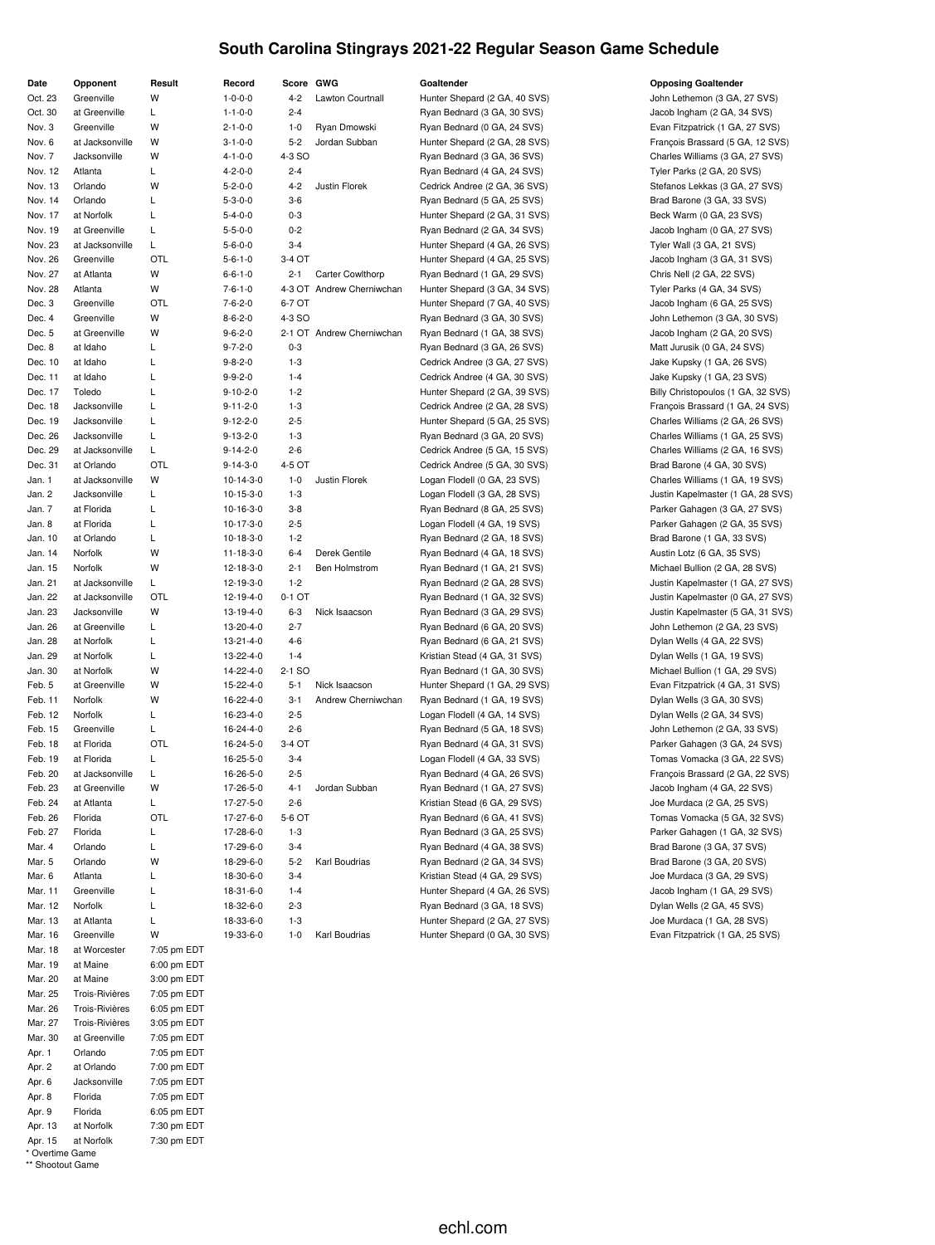## **South Carolina Stingrays 2021-22 Regular Season Game Schedule**

| Date              | Opponent              | Result                     | Record                              | Score GWG          |                           |
|-------------------|-----------------------|----------------------------|-------------------------------------|--------------------|---------------------------|
| Oct. 23           | Greenville            | W                          | $1 - 0 - 0 - 0$                     | $4 - 2$            | Lawton Courtnall          |
| Oct. 30           | at Greenville         | L                          | $1 - 1 - 0 - 0$                     | $2 - 4$            |                           |
| Nov. 3            | Greenville            | W                          | $2 - 1 - 0 - 0$                     | 1-0                | Ryan Dmowski              |
| Nov. 6            | at Jacksonville       | w                          | $3 - 1 - 0 - 0$                     | $5-2$              | Jordan Subban             |
| Nov. 7            | Jacksonville          | W                          | $4 - 1 - 0 - 0$                     | 4-3 SO             |                           |
| Nov. 12           | Atlanta               | L                          | $4 - 2 - 0 - 0$                     | $2 - 4$            |                           |
| Nov. 13           | Orlando               | W                          | $5 - 2 - 0 - 0$                     | $4 - 2$            | Justin Florek             |
| Nov. 14           | Orlando               | Г                          | $5 - 3 - 0 - 0$                     | $3-6$              |                           |
| Nov. 17           | at Norfolk            | Г                          | $5 - 4 - 0 - 0$                     | $0 - 3$            |                           |
| Nov. 19           | at Greenville         | Г                          | $5 - 5 - 0 - 0$                     | $0 - 2$            |                           |
| Nov. 23           | at Jacksonville       | L                          | $5 - 6 - 0 - 0$                     | $3 - 4$            |                           |
| Nov. 26           | Greenville            | OTL                        | $5 - 6 - 1 - 0$                     | 3-4 OT             |                           |
| Nov. 27           | at Atlanta            | W                          | $6 - 6 - 1 - 0$                     | $2 - 1$            | <b>Carter Cowlthorp</b>   |
| Nov. 28           | Atlanta               | W                          | $7 - 6 - 1 - 0$                     |                    | 4-3 OT Andrew Cherniwchan |
| Dec. 3            | Greenville            | OTL                        | $7 - 6 - 2 - 0$                     | 6-7 OT             |                           |
| Dec. 4            | Greenville            | W                          | $8 - 6 - 2 - 0$                     | 4-3 SO             |                           |
| Dec. 5            | at Greenville         | W<br>L                     | $9 - 6 - 2 - 0$                     |                    | 2-1 OT Andrew Cherniwchan |
| Dec. 8<br>Dec. 10 | at Idaho<br>at Idaho  | L                          | $9 - 7 - 2 - 0$<br>$9 - 8 - 2 - 0$  | $0 - 3$<br>$1 - 3$ |                           |
| Dec. 11           | at Idaho              | L                          |                                     | $1 - 4$            |                           |
| Dec. 17           | Toledo                | L                          | $9 - 9 - 2 - 0$<br>$9 - 10 - 2 - 0$ | $1 - 2$            |                           |
| Dec. 18           | Jacksonville          | L                          | $9 - 11 - 2 - 0$                    | $1-3$              |                           |
| Dec. 19           | Jacksonville          | L                          | $9 - 12 - 2 - 0$                    | $2 - 5$            |                           |
| Dec. 26           | Jacksonville          | L                          | $9 - 13 - 2 - 0$                    | $1 - 3$            |                           |
| Dec. 29           | at Jacksonville       | L                          | $9 - 14 - 2 - 0$                    | $2 - 6$            |                           |
| Dec. 31           | at Orlando            | OTL                        | $9 - 14 - 3 - 0$                    | 4-5 OT             |                           |
| Jan. 1            | at Jacksonville       | W                          | $10 - 14 - 3 - 0$                   | $1 - 0$            | Justin Florek             |
| Jan. 2            | Jacksonville          | Г                          | 10-15-3-0                           | $1 - 3$            |                           |
| Jan. 7            | at Florida            | L                          | 10-16-3-0                           | $3-8$              |                           |
| Jan. 8            | at Florida            | Г                          | 10-17-3-0                           | $2 - 5$            |                           |
| Jan. 10           | at Orlando            | L                          | 10-18-3-0                           | $1 - 2$            |                           |
| Jan. 14           | Norfolk               | W                          | 11-18-3-0                           | $6 - 4$            | Derek Gentile             |
| Jan. 15           | Norfolk               | W                          | 12-18-3-0                           | $2 - 1$            | Ben Holmstrom             |
| Jan. 21           | at Jacksonville       | L                          | 12-19-3-0                           | $1 - 2$            |                           |
| Jan. 22           | at Jacksonville       | OTL                        | 12-19-4-0                           | 0-1 OT             |                           |
| Jan. 23           | Jacksonville          | W                          | 13-19-4-0                           | $6 - 3$            | Nick Isaacson             |
| Jan. 26           | at Greenville         | L                          | 13-20-4-0                           | $2 - 7$            |                           |
| Jan. 28           | at Norfolk            | L                          | 13-21-4-0                           | $4-6$              |                           |
| Jan. 29           | at Norfolk            | L                          | 13-22-4-0                           | $1 - 4$            |                           |
| Jan. 30           | at Norfolk            | W                          | 14-22-4-0                           | 2-1 SO             |                           |
| Feb. 5            | at Greenville         | W                          | 15-22-4-0                           | 5-1                | Nick Isaacson             |
| Feb. 11           | Norfolk               | W                          | 16-22-4-0                           | $3 - 1$            | Andrew Cherniwchan        |
| Feb. 12           | Norfolk               | Г                          | 16-23-4-0                           | $2 - 5$            |                           |
| Feb. 15           | Greenville            | L                          | 16-24-4-0                           | $2 - 6$            |                           |
| Feb. 18           | at Florida            | OTL                        | 16-24-5-0                           | 3-4 OT             |                           |
| Feb. 19           | at Florida            | Г                          | 16-25-5-0                           | $3 - 4$            |                           |
| Feb. 20           | at Jacksonville       | L                          | 16-26-5-0                           | $2 - 5$            |                           |
| Feb. 23           | at Greenville         | W                          | 17-26-5-0                           | 4-1                | Jordan Subban             |
| Feb. 24           | at Atlanta            | L                          | 17-27-5-0                           | $2 - 6$            |                           |
| Feb. 26           | Florida               | OTL                        | 17-27-6-0                           | 5-6 OT             |                           |
| Feb. 27           | Florida               | Г                          | 17-28-6-0                           | 1-3                |                           |
| Mar. 4            | Orlando               | L                          | 17-29-6-0                           | $3 - 4$            |                           |
| Mar. 5            | Orlando               | W                          | 18-29-6-0                           | $5 - 2$            | Karl Boudrias             |
| Mar. 6            | Atlanta               | Г                          | 18-30-6-0                           | $3 - 4$            |                           |
| Mar. 11           | Greenville            | L                          | 18-31-6-0                           | $1 - 4$            |                           |
| Mar. 12           | Norfolk               | L                          | 18-32-6-0                           | $2 - 3$            |                           |
| Mar. 13           | at Atlanta            | L                          | 18-33-6-0                           | $1-3$              |                           |
| Mar. 16           | Greenville            | W                          | 19-33-6-0                           | $1 - 0$            | Karl Boudrias             |
| Mar. 18           | at Worcester          | 7:05 pm EDT                |                                     |                    |                           |
| Mar. 19           | at Maine              | 6:00 pm EDT                |                                     |                    |                           |
| Mar. 20           | at Maine              | 3:00 pm EDT                |                                     |                    |                           |
| Mar. 25           | Trois-Rivières        | 7:05 pm EDT                |                                     |                    |                           |
| Mar. 26           | Trois-Rivières        | 6:05 pm EDT                |                                     |                    |                           |
| Mar. 27           | Trois-Rivières        | 3:05 pm EDT                |                                     |                    |                           |
| Mar. 30           | at Greenville         | 7:05 pm EDT                |                                     |                    |                           |
| Apr. 1            | Orlando<br>at Orlando | 7:05 pm EDT                |                                     |                    |                           |
| Apr. 2<br>Apr. 6  | Jacksonville          | 7:00 pm EDT                |                                     |                    |                           |
| Apr. 8            | Florida               | 7:05 pm EDT<br>7:05 pm EDT |                                     |                    |                           |
| Apr. 9            | Florida               | 6:05 pm EDT                |                                     |                    |                           |
|                   |                       |                            |                                     |                    |                           |

Apr. 13 at Norfolk 7:30 pm EDT Apr. 15 at Norfolk 7:30 pm EDT

\* Overtime Game \*\* Shootout Game

**Discussed Burns and Score Extending Coaltender Constanting Coaltender Goaltender** Hunter Shepard (2 GA, 40 SVS) John Lethemon (3 GA, 27 SVS) Ryan Bednard (3 GA, 30 SVS) Jacob Ingham (2 GA, 34 SVS) Ryan Bednard (0 GA, 24 SVS) **Evan Fitzpatrick (1 GA, 27 SVS)** Ryan Bednard (4 GA, 24 SVS) Tyler Parks (2 GA, 20 SVS) Ryan Bednard (5 GA, 25 SVS) Brad Barone (3 GA, 33 SVS) Hunter Shepard (2 GA, 31 SVS) Beck Warm (0 GA, 23 SVS) Ryan Bednard (2 GA, 34 SVS)  $\qquad \qquad$  Jacob Ingham (0 GA, 27 SVS) Hunter Shepard (4 GA, 26 SVS) Tyler Wall (3 GA, 21 SVS) Hunter Shepard (4 GA, 25 SVS) Jacob Ingham (3 GA, 31 SVS) Ryan Bednard (1 GA, 29 SVS) Chris Nell (2 GA, 22 SVS) Hunter Shepard (3 GA, 34 SVS) Tyler Parks (4 GA, 34 SVS) Hunter Shepard (7 GA, 40 SVS) Jacob Ingham (6 GA, 25 SVS) Ryan Bednard (3 GA, 30 SVS) Some John Lethemon (3 GA, 30 SVS) Ryan Bednard (1 GA, 38 SVS) **19-1 Contract Chernikolan Bednard (1 GA, 38 SVS)** Jacob Ingham (2 GA, 20 SVS) Ryan Bednard (3 GA, 26 SVS) Matt Jurusik (0 GA, 24 SVS) Cedrick Andree (3 GA, 27 SVS) Jake Kupsky (1 GA, 26 SVS) Cedrick Andree (4 GA, 30 SVS) Jake Kupsky (1 GA, 23 SVS) Cedrick Andree (5 GA, 30 SVS) Brad Barone (4 GA, 30 SVS) Ryan Bednard (2 GA, 18 SVS) Brad Barone (1 GA, 33 SVS) Ryan Bednard (4 GA, 18 SVS) **Austin Lotz (6 GA, 35 SVS)** Austin Lotz (6 GA, 35 SVS) Ryan Bednard (1 GA, 21 SVS) **Michael Bullion (2 GA, 28 SVS)** Ryan Bednard (6 GA, 20 SVS) John Lethemon (2 GA, 23 SVS) Ryan Bednard (6 GA, 21 SVS) Dylan Wells (4 GA, 22 SVS) Kristian Stead (4 GA, 31 SVS) Dylan Wells (1 GA, 19 SVS) Ryan Bednard (1 GA, 30 SVS) **Michael Bullion (1 GA, 29 SVS)** Michael Bullion (1 GA, 29 SVS) Fig. 11 Norfolk W 16-22-4-0 16-22-4-0 16-22-20-20 Andrew Chernich Wells (3 GA, 30 SVS) Logan Flodell (4 GA, 14 SVS) Dylan Wells (2 GA, 34 SVS) Fixan Bednard (5 GA, 18 SVS) John Lethemon (2 GA, 33 SVS) Figuan Bednard (1 GA, 27 SVS) Jacob Ingham (4 GA, 22 SVS) Feb. 24 at Atlanta L 17-27-5-0 2-6 Kristian Stead (6 GA, 29 SVS) Joe Murdaca (2 GA, 25 SVS) Ryan Bednard (4 GA, 38 SVS) Brad Barone (3 GA, 37 SVS) Ryan Bednard (2 GA, 34 SVS) Brad Barone (3 GA, 20 SVS) Kristian Stead (4 GA, 29 SVS) Joe Murdaca (3 GA, 29 SVS) Hunter Shepard (4 GA, 26 SVS) Jacob Ingham (1 GA, 29 SVS) Ryan Bednard (3 GA, 18 SVS) Dylan Wells (2 GA, 45 SVS) Hunter Shepard (2 GA, 27 SVS) Joe Murdaca (1 GA, 28 SVS) Hunter Shepard (0 GA, 30 SVS) **Evan Fitzpatrick (1 GA, 25 SVS)** Evan Fitzpatrick (1 GA, 25 SVS)

Hunter Shepard (2 GA, 28 SVS) François Brassard (5 GA, 12 SVS) Ryan Bednard (3 GA, 36 SVS) Charles Williams (3 GA, 27 SVS) Cedrick Andree (2 GA, 36 SVS) Stefanos Lekkas (3 GA, 27 SVS) Hunter Shepard (2 GA, 39 SVS) Billy Christopoulos (1 GA, 32 SVS) Cedrick Andree (2 GA, 28 SVS) François Brassard (1 GA, 24 SVS) Dec. 19 Jacksonville L 9-12-2-0 2-5 Hunter Shepard (5 GA, 25 SVS) Charles Williams (2 GA, 26 SVS) Ryan Bednard (3 GA, 20 SVS) Charles Williams (1 GA, 25 SVS) Cedrick Andree (5 GA, 15 SVS) Charles Williams (2 GA, 16 SVS) Logan Flodell (0 GA, 23 SVS) Charles Williams (1 GA, 19 SVS) Logan Flodell (3 GA, 28 SVS) **Justin Kapelmaster (1 GA, 28 SVS)** Ryan Bednard (8 GA, 25 SVS) Parker Gahagen (3 GA, 27 SVS) Logan Flodell (4 GA, 19 SVS) **Parker Gahagen (2 GA, 35 SVS)** Parker Gahagen (2 GA, 35 SVS) Ryan Bednard (2 GA, 28 SVS) **For Convincing Least Convincing Least Convincing Convention** Justin Kapelmaster (1 GA, 27 SVS) Ryan Bednard (1 GA, 32 SVS) **Justin Kapelmaster (0 GA, 27 SVS)** Ryan Bednard (3 GA, 29 SVS) **13-19-2 Nick Islam Bednard (3 GA, 31 SVS)** Justin Kapelmaster (5 GA, 31 SVS) Hunter Shepard (1 GA, 29 SVS) Evan Fitzpatrick (4 GA, 31 SVS) Fram Bednard (4 GA, 31 SVS) The State Otlas Parker Gahagen (3 GA, 24 SVS) Logan Flodell (4 GA, 33 SVS) Tomas Vomacka (3 GA, 22 SVS) Francois Brassard (2 GA, 26 AVS) Francois Brassard (2 GA, 22 SVS) Fixan Bednard (6 GA, 41 SVS) Tomas Vomacka (5 GA, 32 SVS) Fig. 27 Florida Bednard (3 GA, 25 SVS) Parker Gahagen (1 GA, 32 SVS)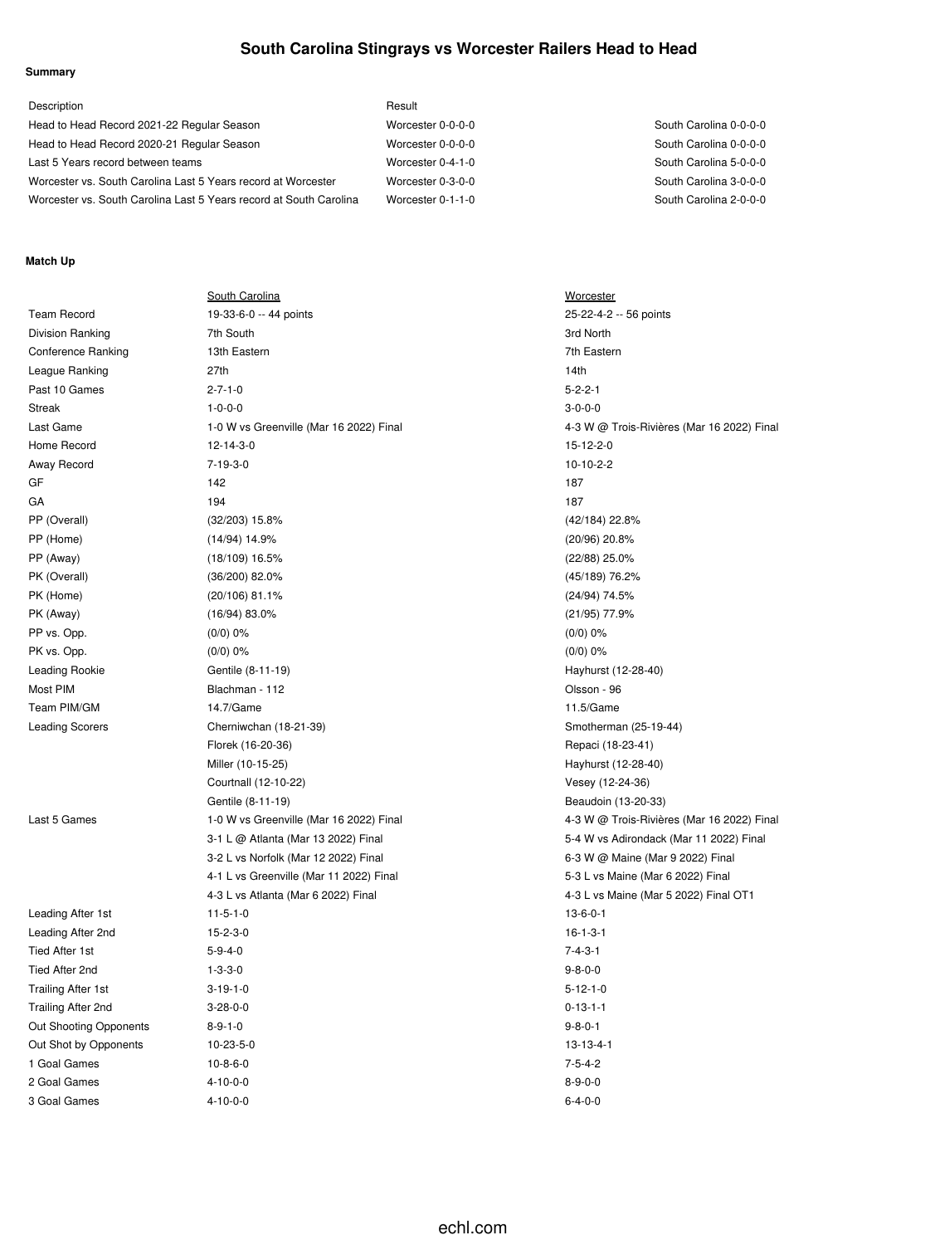# **South Carolina Stingrays vs Worcester Railers Head to Head**

## **Summary**

| Description                                                        | Result            |                        |
|--------------------------------------------------------------------|-------------------|------------------------|
| Head to Head Record 2021-22 Regular Season                         | Worcester 0-0-0-0 | South Carolina 0-0-0-0 |
| Head to Head Record 2020-21 Regular Season                         | Worcester 0-0-0-0 | South Carolina 0-0-0-0 |
| Last 5 Years record between teams                                  | Worcester 0-4-1-0 | South Carolina 5-0-0-0 |
| Worcester vs. South Carolina Last 5 Years record at Worcester      | Worcester 0-3-0-0 | South Carolina 3-0-0-0 |
| Worcester vs. South Carolina Last 5 Years record at South Carolina | Worcester 0-1-1-0 | South Carolina 2-0-0-0 |

#### **Match Up**

| <b>Team Record</b><br>25-22-4-2 -- 56 points<br>19-33-6-0 -- 44 points<br>Division Ranking<br>7th South<br>3rd North<br><b>Conference Ranking</b><br>13th Eastern<br>7th Eastern<br>League Ranking<br>27th<br>14th<br>Past 10 Games<br>$2 - 7 - 1 - 0$<br>$5 - 2 - 2 - 1$<br>$3 - 0 - 0 - 0$<br>Streak<br>$1 - 0 - 0 - 0$<br>Last Game<br>1-0 W vs Greenville (Mar 16 2022) Final<br>4-3 W @ Trois-Rivières (Mar 16 2022) Final<br>Home Record<br>12-14-3-0<br>15-12-2-0<br>$7 - 19 - 3 - 0$<br>10-10-2-2<br>Away Record<br>142<br>GF<br>187<br>194<br>GA<br>187<br>PP (Overall)<br>$(32/203)$ 15.8%<br>(42/184) 22.8%<br>PP (Home)<br>(14/94) 14.9%<br>$(20/96)$ 20.8%<br>PP (Away)<br>$(18/109)$ 16.5%<br>$(22/88)$ 25.0%<br>PK (Overall)<br>$(36/200)$ 82.0%<br>(45/189) 76.2%<br>PK (Home)<br>(20/106) 81.1%<br>(24/94) 74.5%<br>PK (Away)<br>(21/95) 77.9%<br>$(16/94)$ 83.0%<br>PP vs. Opp.<br>$(0/0)$ 0%<br>$(0/0)$ 0%<br>PK vs. Opp.<br>$(0/0)$ 0%<br>$(0/0)$ 0%<br><b>Leading Rookie</b><br>Gentile (8-11-19)<br>Hayhurst (12-28-40)<br>Most PIM<br>Blachman - 112<br>Olsson - 96<br>Team PIM/GM<br>14.7/Game<br>11.5/Game<br><b>Leading Scorers</b><br>Cherniwchan (18-21-39)<br>Smotherman (25-19-44)<br>Florek (16-20-36)<br>Repaci (18-23-41)<br>Miller (10-15-25)<br>Hayhurst (12-28-40)<br>Courtnall (12-10-22)<br>Vesey (12-24-36)<br>Beaudoin (13-20-33)<br>Gentile (8-11-19)<br>Last 5 Games<br>1-0 W vs Greenville (Mar 16 2022) Final<br>4-3 W @ Trois-Rivières (Mar 16 2022) Final<br>5-4 W vs Adirondack (Mar 11 2022) Final<br>3-1 L @ Atlanta (Mar 13 2022) Final<br>3-2 L vs Norfolk (Mar 12 2022) Final<br>6-3 W @ Maine (Mar 9 2022) Final<br>4-1 L vs Greenville (Mar 11 2022) Final<br>5-3 L vs Maine (Mar 6 2022) Final<br>4-3 L vs Atlanta (Mar 6 2022) Final<br>4-3 L vs Maine (Mar 5 2022) Final OT1<br>$11 - 5 - 1 - 0$<br>$13 - 6 - 0 - 1$<br>Leading After 1st<br>$15 - 2 - 3 - 0$<br>$16 - 1 - 3 - 1$<br>Leading After 2nd<br><b>Tied After 1st</b><br>$5 - 9 - 4 - 0$<br>$7 - 4 - 3 - 1$<br>Tied After 2nd<br>$1 - 3 - 3 - 0$<br>$9 - 8 - 0 - 0$<br>$5 - 12 - 1 - 0$<br>Trailing After 1st<br>$3-19-1-0$<br>Trailing After 2nd<br>$3 - 28 - 0 - 0$<br>$0 - 13 - 1 - 1$<br>$8 - 9 - 1 - 0$<br>$9 - 8 - 0 - 1$<br>Out Shooting Opponents<br>10-23-5-0<br>$13 - 13 - 4 - 1$<br>Out Shot by Opponents<br>$7 - 5 - 4 - 2$<br>1 Goal Games<br>$10 - 8 - 6 - 0$<br>2 Goal Games<br>$4 - 10 - 0 - 0$<br>$8 - 9 - 0 - 0$<br>$6 - 4 - 0 - 0$<br>3 Goal Games<br>$4 - 10 - 0 - 0$ | <b>South Carolina</b> | <b>Worcester</b> |
|--------------------------------------------------------------------------------------------------------------------------------------------------------------------------------------------------------------------------------------------------------------------------------------------------------------------------------------------------------------------------------------------------------------------------------------------------------------------------------------------------------------------------------------------------------------------------------------------------------------------------------------------------------------------------------------------------------------------------------------------------------------------------------------------------------------------------------------------------------------------------------------------------------------------------------------------------------------------------------------------------------------------------------------------------------------------------------------------------------------------------------------------------------------------------------------------------------------------------------------------------------------------------------------------------------------------------------------------------------------------------------------------------------------------------------------------------------------------------------------------------------------------------------------------------------------------------------------------------------------------------------------------------------------------------------------------------------------------------------------------------------------------------------------------------------------------------------------------------------------------------------------------------------------------------------------------------------------------------------------------------------------------------------------------------------------------------------------------------------------------------------------------------------------------------------------------------------------------------------------------------------------------------------------------------------------------------------------------------------------------------------------------------------------------------------------------------------------------------------------------------------------|-----------------------|------------------|
|                                                                                                                                                                                                                                                                                                                                                                                                                                                                                                                                                                                                                                                                                                                                                                                                                                                                                                                                                                                                                                                                                                                                                                                                                                                                                                                                                                                                                                                                                                                                                                                                                                                                                                                                                                                                                                                                                                                                                                                                                                                                                                                                                                                                                                                                                                                                                                                                                                                                                                              |                       |                  |
|                                                                                                                                                                                                                                                                                                                                                                                                                                                                                                                                                                                                                                                                                                                                                                                                                                                                                                                                                                                                                                                                                                                                                                                                                                                                                                                                                                                                                                                                                                                                                                                                                                                                                                                                                                                                                                                                                                                                                                                                                                                                                                                                                                                                                                                                                                                                                                                                                                                                                                              |                       |                  |
|                                                                                                                                                                                                                                                                                                                                                                                                                                                                                                                                                                                                                                                                                                                                                                                                                                                                                                                                                                                                                                                                                                                                                                                                                                                                                                                                                                                                                                                                                                                                                                                                                                                                                                                                                                                                                                                                                                                                                                                                                                                                                                                                                                                                                                                                                                                                                                                                                                                                                                              |                       |                  |
|                                                                                                                                                                                                                                                                                                                                                                                                                                                                                                                                                                                                                                                                                                                                                                                                                                                                                                                                                                                                                                                                                                                                                                                                                                                                                                                                                                                                                                                                                                                                                                                                                                                                                                                                                                                                                                                                                                                                                                                                                                                                                                                                                                                                                                                                                                                                                                                                                                                                                                              |                       |                  |
|                                                                                                                                                                                                                                                                                                                                                                                                                                                                                                                                                                                                                                                                                                                                                                                                                                                                                                                                                                                                                                                                                                                                                                                                                                                                                                                                                                                                                                                                                                                                                                                                                                                                                                                                                                                                                                                                                                                                                                                                                                                                                                                                                                                                                                                                                                                                                                                                                                                                                                              |                       |                  |
|                                                                                                                                                                                                                                                                                                                                                                                                                                                                                                                                                                                                                                                                                                                                                                                                                                                                                                                                                                                                                                                                                                                                                                                                                                                                                                                                                                                                                                                                                                                                                                                                                                                                                                                                                                                                                                                                                                                                                                                                                                                                                                                                                                                                                                                                                                                                                                                                                                                                                                              |                       |                  |
|                                                                                                                                                                                                                                                                                                                                                                                                                                                                                                                                                                                                                                                                                                                                                                                                                                                                                                                                                                                                                                                                                                                                                                                                                                                                                                                                                                                                                                                                                                                                                                                                                                                                                                                                                                                                                                                                                                                                                                                                                                                                                                                                                                                                                                                                                                                                                                                                                                                                                                              |                       |                  |
|                                                                                                                                                                                                                                                                                                                                                                                                                                                                                                                                                                                                                                                                                                                                                                                                                                                                                                                                                                                                                                                                                                                                                                                                                                                                                                                                                                                                                                                                                                                                                                                                                                                                                                                                                                                                                                                                                                                                                                                                                                                                                                                                                                                                                                                                                                                                                                                                                                                                                                              |                       |                  |
|                                                                                                                                                                                                                                                                                                                                                                                                                                                                                                                                                                                                                                                                                                                                                                                                                                                                                                                                                                                                                                                                                                                                                                                                                                                                                                                                                                                                                                                                                                                                                                                                                                                                                                                                                                                                                                                                                                                                                                                                                                                                                                                                                                                                                                                                                                                                                                                                                                                                                                              |                       |                  |
|                                                                                                                                                                                                                                                                                                                                                                                                                                                                                                                                                                                                                                                                                                                                                                                                                                                                                                                                                                                                                                                                                                                                                                                                                                                                                                                                                                                                                                                                                                                                                                                                                                                                                                                                                                                                                                                                                                                                                                                                                                                                                                                                                                                                                                                                                                                                                                                                                                                                                                              |                       |                  |
|                                                                                                                                                                                                                                                                                                                                                                                                                                                                                                                                                                                                                                                                                                                                                                                                                                                                                                                                                                                                                                                                                                                                                                                                                                                                                                                                                                                                                                                                                                                                                                                                                                                                                                                                                                                                                                                                                                                                                                                                                                                                                                                                                                                                                                                                                                                                                                                                                                                                                                              |                       |                  |
|                                                                                                                                                                                                                                                                                                                                                                                                                                                                                                                                                                                                                                                                                                                                                                                                                                                                                                                                                                                                                                                                                                                                                                                                                                                                                                                                                                                                                                                                                                                                                                                                                                                                                                                                                                                                                                                                                                                                                                                                                                                                                                                                                                                                                                                                                                                                                                                                                                                                                                              |                       |                  |
|                                                                                                                                                                                                                                                                                                                                                                                                                                                                                                                                                                                                                                                                                                                                                                                                                                                                                                                                                                                                                                                                                                                                                                                                                                                                                                                                                                                                                                                                                                                                                                                                                                                                                                                                                                                                                                                                                                                                                                                                                                                                                                                                                                                                                                                                                                                                                                                                                                                                                                              |                       |                  |
|                                                                                                                                                                                                                                                                                                                                                                                                                                                                                                                                                                                                                                                                                                                                                                                                                                                                                                                                                                                                                                                                                                                                                                                                                                                                                                                                                                                                                                                                                                                                                                                                                                                                                                                                                                                                                                                                                                                                                                                                                                                                                                                                                                                                                                                                                                                                                                                                                                                                                                              |                       |                  |
|                                                                                                                                                                                                                                                                                                                                                                                                                                                                                                                                                                                                                                                                                                                                                                                                                                                                                                                                                                                                                                                                                                                                                                                                                                                                                                                                                                                                                                                                                                                                                                                                                                                                                                                                                                                                                                                                                                                                                                                                                                                                                                                                                                                                                                                                                                                                                                                                                                                                                                              |                       |                  |
|                                                                                                                                                                                                                                                                                                                                                                                                                                                                                                                                                                                                                                                                                                                                                                                                                                                                                                                                                                                                                                                                                                                                                                                                                                                                                                                                                                                                                                                                                                                                                                                                                                                                                                                                                                                                                                                                                                                                                                                                                                                                                                                                                                                                                                                                                                                                                                                                                                                                                                              |                       |                  |
|                                                                                                                                                                                                                                                                                                                                                                                                                                                                                                                                                                                                                                                                                                                                                                                                                                                                                                                                                                                                                                                                                                                                                                                                                                                                                                                                                                                                                                                                                                                                                                                                                                                                                                                                                                                                                                                                                                                                                                                                                                                                                                                                                                                                                                                                                                                                                                                                                                                                                                              |                       |                  |
|                                                                                                                                                                                                                                                                                                                                                                                                                                                                                                                                                                                                                                                                                                                                                                                                                                                                                                                                                                                                                                                                                                                                                                                                                                                                                                                                                                                                                                                                                                                                                                                                                                                                                                                                                                                                                                                                                                                                                                                                                                                                                                                                                                                                                                                                                                                                                                                                                                                                                                              |                       |                  |
|                                                                                                                                                                                                                                                                                                                                                                                                                                                                                                                                                                                                                                                                                                                                                                                                                                                                                                                                                                                                                                                                                                                                                                                                                                                                                                                                                                                                                                                                                                                                                                                                                                                                                                                                                                                                                                                                                                                                                                                                                                                                                                                                                                                                                                                                                                                                                                                                                                                                                                              |                       |                  |
|                                                                                                                                                                                                                                                                                                                                                                                                                                                                                                                                                                                                                                                                                                                                                                                                                                                                                                                                                                                                                                                                                                                                                                                                                                                                                                                                                                                                                                                                                                                                                                                                                                                                                                                                                                                                                                                                                                                                                                                                                                                                                                                                                                                                                                                                                                                                                                                                                                                                                                              |                       |                  |
|                                                                                                                                                                                                                                                                                                                                                                                                                                                                                                                                                                                                                                                                                                                                                                                                                                                                                                                                                                                                                                                                                                                                                                                                                                                                                                                                                                                                                                                                                                                                                                                                                                                                                                                                                                                                                                                                                                                                                                                                                                                                                                                                                                                                                                                                                                                                                                                                                                                                                                              |                       |                  |
|                                                                                                                                                                                                                                                                                                                                                                                                                                                                                                                                                                                                                                                                                                                                                                                                                                                                                                                                                                                                                                                                                                                                                                                                                                                                                                                                                                                                                                                                                                                                                                                                                                                                                                                                                                                                                                                                                                                                                                                                                                                                                                                                                                                                                                                                                                                                                                                                                                                                                                              |                       |                  |
|                                                                                                                                                                                                                                                                                                                                                                                                                                                                                                                                                                                                                                                                                                                                                                                                                                                                                                                                                                                                                                                                                                                                                                                                                                                                                                                                                                                                                                                                                                                                                                                                                                                                                                                                                                                                                                                                                                                                                                                                                                                                                                                                                                                                                                                                                                                                                                                                                                                                                                              |                       |                  |
|                                                                                                                                                                                                                                                                                                                                                                                                                                                                                                                                                                                                                                                                                                                                                                                                                                                                                                                                                                                                                                                                                                                                                                                                                                                                                                                                                                                                                                                                                                                                                                                                                                                                                                                                                                                                                                                                                                                                                                                                                                                                                                                                                                                                                                                                                                                                                                                                                                                                                                              |                       |                  |
|                                                                                                                                                                                                                                                                                                                                                                                                                                                                                                                                                                                                                                                                                                                                                                                                                                                                                                                                                                                                                                                                                                                                                                                                                                                                                                                                                                                                                                                                                                                                                                                                                                                                                                                                                                                                                                                                                                                                                                                                                                                                                                                                                                                                                                                                                                                                                                                                                                                                                                              |                       |                  |
|                                                                                                                                                                                                                                                                                                                                                                                                                                                                                                                                                                                                                                                                                                                                                                                                                                                                                                                                                                                                                                                                                                                                                                                                                                                                                                                                                                                                                                                                                                                                                                                                                                                                                                                                                                                                                                                                                                                                                                                                                                                                                                                                                                                                                                                                                                                                                                                                                                                                                                              |                       |                  |
|                                                                                                                                                                                                                                                                                                                                                                                                                                                                                                                                                                                                                                                                                                                                                                                                                                                                                                                                                                                                                                                                                                                                                                                                                                                                                                                                                                                                                                                                                                                                                                                                                                                                                                                                                                                                                                                                                                                                                                                                                                                                                                                                                                                                                                                                                                                                                                                                                                                                                                              |                       |                  |
|                                                                                                                                                                                                                                                                                                                                                                                                                                                                                                                                                                                                                                                                                                                                                                                                                                                                                                                                                                                                                                                                                                                                                                                                                                                                                                                                                                                                                                                                                                                                                                                                                                                                                                                                                                                                                                                                                                                                                                                                                                                                                                                                                                                                                                                                                                                                                                                                                                                                                                              |                       |                  |
|                                                                                                                                                                                                                                                                                                                                                                                                                                                                                                                                                                                                                                                                                                                                                                                                                                                                                                                                                                                                                                                                                                                                                                                                                                                                                                                                                                                                                                                                                                                                                                                                                                                                                                                                                                                                                                                                                                                                                                                                                                                                                                                                                                                                                                                                                                                                                                                                                                                                                                              |                       |                  |
|                                                                                                                                                                                                                                                                                                                                                                                                                                                                                                                                                                                                                                                                                                                                                                                                                                                                                                                                                                                                                                                                                                                                                                                                                                                                                                                                                                                                                                                                                                                                                                                                                                                                                                                                                                                                                                                                                                                                                                                                                                                                                                                                                                                                                                                                                                                                                                                                                                                                                                              |                       |                  |
|                                                                                                                                                                                                                                                                                                                                                                                                                                                                                                                                                                                                                                                                                                                                                                                                                                                                                                                                                                                                                                                                                                                                                                                                                                                                                                                                                                                                                                                                                                                                                                                                                                                                                                                                                                                                                                                                                                                                                                                                                                                                                                                                                                                                                                                                                                                                                                                                                                                                                                              |                       |                  |
|                                                                                                                                                                                                                                                                                                                                                                                                                                                                                                                                                                                                                                                                                                                                                                                                                                                                                                                                                                                                                                                                                                                                                                                                                                                                                                                                                                                                                                                                                                                                                                                                                                                                                                                                                                                                                                                                                                                                                                                                                                                                                                                                                                                                                                                                                                                                                                                                                                                                                                              |                       |                  |
|                                                                                                                                                                                                                                                                                                                                                                                                                                                                                                                                                                                                                                                                                                                                                                                                                                                                                                                                                                                                                                                                                                                                                                                                                                                                                                                                                                                                                                                                                                                                                                                                                                                                                                                                                                                                                                                                                                                                                                                                                                                                                                                                                                                                                                                                                                                                                                                                                                                                                                              |                       |                  |
|                                                                                                                                                                                                                                                                                                                                                                                                                                                                                                                                                                                                                                                                                                                                                                                                                                                                                                                                                                                                                                                                                                                                                                                                                                                                                                                                                                                                                                                                                                                                                                                                                                                                                                                                                                                                                                                                                                                                                                                                                                                                                                                                                                                                                                                                                                                                                                                                                                                                                                              |                       |                  |
|                                                                                                                                                                                                                                                                                                                                                                                                                                                                                                                                                                                                                                                                                                                                                                                                                                                                                                                                                                                                                                                                                                                                                                                                                                                                                                                                                                                                                                                                                                                                                                                                                                                                                                                                                                                                                                                                                                                                                                                                                                                                                                                                                                                                                                                                                                                                                                                                                                                                                                              |                       |                  |
|                                                                                                                                                                                                                                                                                                                                                                                                                                                                                                                                                                                                                                                                                                                                                                                                                                                                                                                                                                                                                                                                                                                                                                                                                                                                                                                                                                                                                                                                                                                                                                                                                                                                                                                                                                                                                                                                                                                                                                                                                                                                                                                                                                                                                                                                                                                                                                                                                                                                                                              |                       |                  |
|                                                                                                                                                                                                                                                                                                                                                                                                                                                                                                                                                                                                                                                                                                                                                                                                                                                                                                                                                                                                                                                                                                                                                                                                                                                                                                                                                                                                                                                                                                                                                                                                                                                                                                                                                                                                                                                                                                                                                                                                                                                                                                                                                                                                                                                                                                                                                                                                                                                                                                              |                       |                  |
|                                                                                                                                                                                                                                                                                                                                                                                                                                                                                                                                                                                                                                                                                                                                                                                                                                                                                                                                                                                                                                                                                                                                                                                                                                                                                                                                                                                                                                                                                                                                                                                                                                                                                                                                                                                                                                                                                                                                                                                                                                                                                                                                                                                                                                                                                                                                                                                                                                                                                                              |                       |                  |
|                                                                                                                                                                                                                                                                                                                                                                                                                                                                                                                                                                                                                                                                                                                                                                                                                                                                                                                                                                                                                                                                                                                                                                                                                                                                                                                                                                                                                                                                                                                                                                                                                                                                                                                                                                                                                                                                                                                                                                                                                                                                                                                                                                                                                                                                                                                                                                                                                                                                                                              |                       |                  |
|                                                                                                                                                                                                                                                                                                                                                                                                                                                                                                                                                                                                                                                                                                                                                                                                                                                                                                                                                                                                                                                                                                                                                                                                                                                                                                                                                                                                                                                                                                                                                                                                                                                                                                                                                                                                                                                                                                                                                                                                                                                                                                                                                                                                                                                                                                                                                                                                                                                                                                              |                       |                  |
|                                                                                                                                                                                                                                                                                                                                                                                                                                                                                                                                                                                                                                                                                                                                                                                                                                                                                                                                                                                                                                                                                                                                                                                                                                                                                                                                                                                                                                                                                                                                                                                                                                                                                                                                                                                                                                                                                                                                                                                                                                                                                                                                                                                                                                                                                                                                                                                                                                                                                                              |                       |                  |
|                                                                                                                                                                                                                                                                                                                                                                                                                                                                                                                                                                                                                                                                                                                                                                                                                                                                                                                                                                                                                                                                                                                                                                                                                                                                                                                                                                                                                                                                                                                                                                                                                                                                                                                                                                                                                                                                                                                                                                                                                                                                                                                                                                                                                                                                                                                                                                                                                                                                                                              |                       |                  |
|                                                                                                                                                                                                                                                                                                                                                                                                                                                                                                                                                                                                                                                                                                                                                                                                                                                                                                                                                                                                                                                                                                                                                                                                                                                                                                                                                                                                                                                                                                                                                                                                                                                                                                                                                                                                                                                                                                                                                                                                                                                                                                                                                                                                                                                                                                                                                                                                                                                                                                              |                       |                  |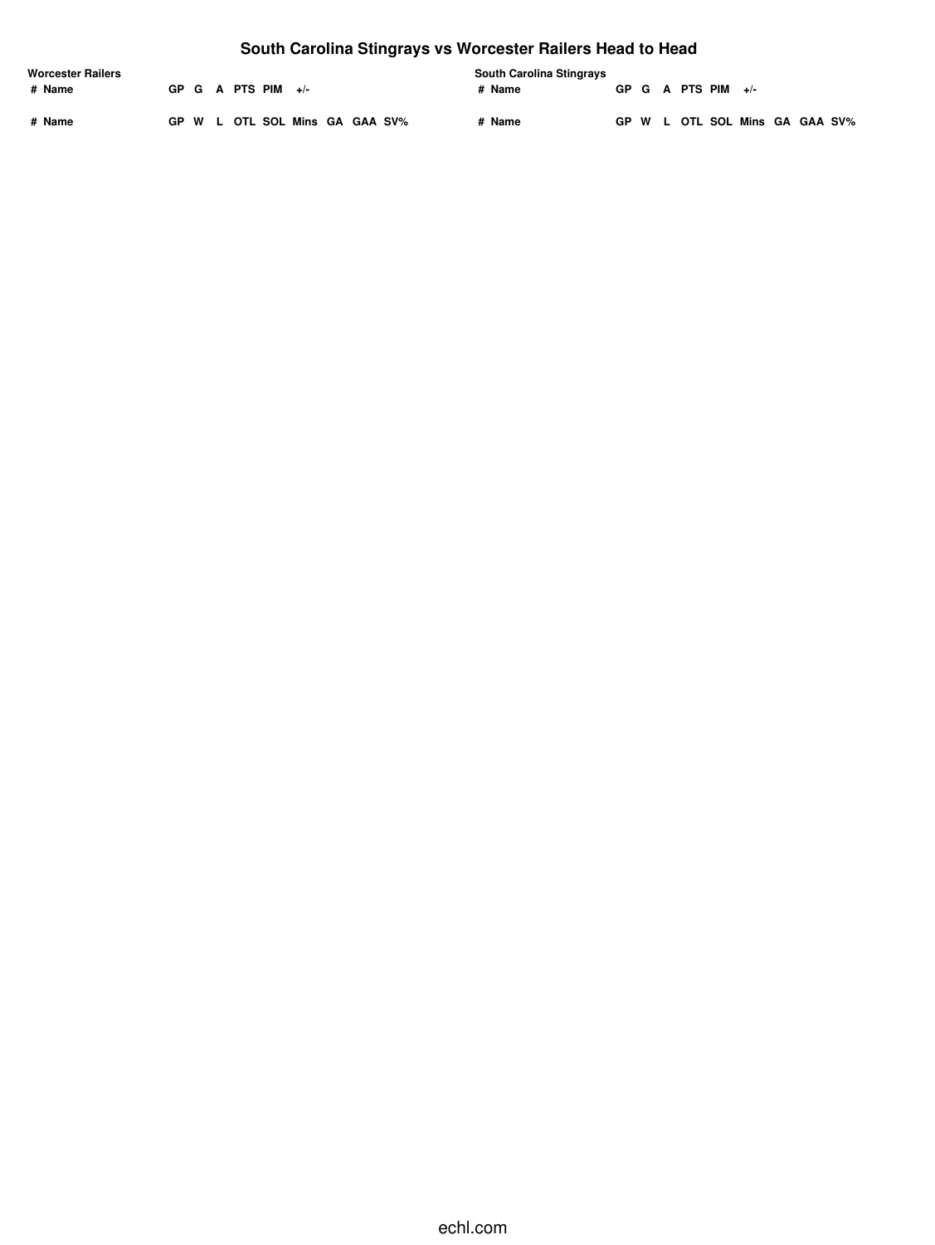# **South Carolina Stingrays vs Worcester Railers Head to Head**

| <b>Worcester Railers</b> |  |                |                                |  |  |        | <b>South Carolina Stingrays</b> |  |  |                      |                                |  |  |
|--------------------------|--|----------------|--------------------------------|--|--|--------|---------------------------------|--|--|----------------------|--------------------------------|--|--|
| # Name                   |  | GP G A PTS PIM | $+/-$                          |  |  | # Name |                                 |  |  | GP G A PTS PIM $+/-$ |                                |  |  |
| # Name                   |  |                | GP W L OTL SOL Mins GA GAA SV% |  |  | # Name |                                 |  |  |                      | GP W L OTL SOL Mins GA GAA SV% |  |  |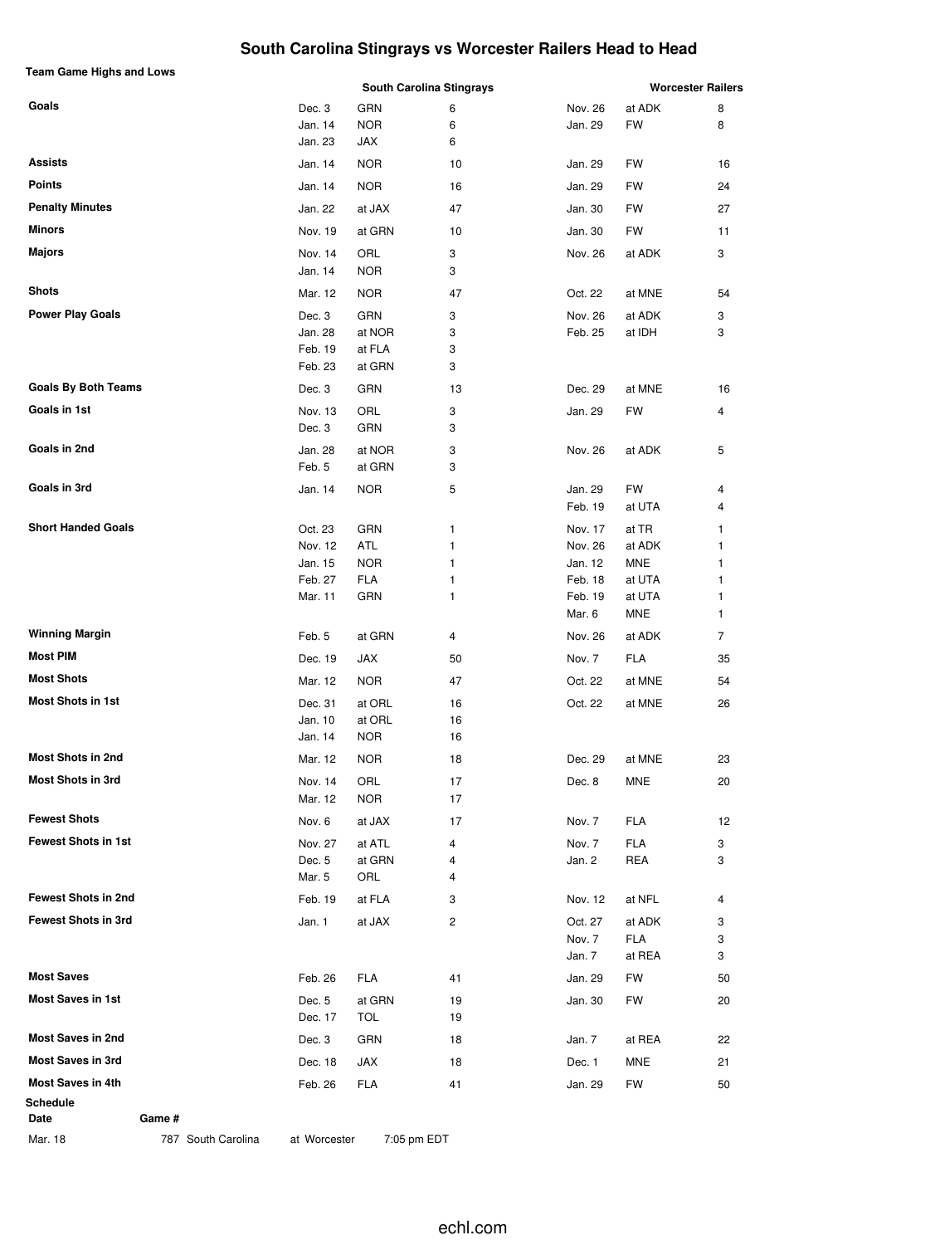# **South Carolina Stingrays vs Worcester Railers Head to Head**

| Team Game Highs and Lows   |         |            | <b>South Carolina Stingrays</b> |         |            | <b>Worcester Railers</b> |
|----------------------------|---------|------------|---------------------------------|---------|------------|--------------------------|
| Goals                      | Dec. 3  | GRN        | 6                               | Nov. 26 | at ADK     | 8                        |
|                            | Jan. 14 | <b>NOR</b> | 6                               | Jan. 29 | <b>FW</b>  | 8                        |
|                            | Jan. 23 | JAX        | 6                               |         |            |                          |
| <b>Assists</b>             | Jan. 14 | <b>NOR</b> | 10                              | Jan. 29 | FW         | 16                       |
| <b>Points</b>              | Jan. 14 | <b>NOR</b> | 16                              | Jan. 29 | FW         | 24                       |
| <b>Penalty Minutes</b>     | Jan. 22 | at JAX     | 47                              | Jan. 30 | FW         | 27                       |
| Minors                     | Nov. 19 | at GRN     | 10                              | Jan. 30 | FW         | 11                       |
| <b>Majors</b>              | Nov. 14 | ORL        | 3                               | Nov. 26 | at ADK     | 3                        |
|                            | Jan. 14 | <b>NOR</b> | 3                               |         |            |                          |
| Shots                      | Mar. 12 | <b>NOR</b> | 47                              | Oct. 22 | at MNE     | 54                       |
| <b>Power Play Goals</b>    | Dec. 3  | GRN        | 3                               | Nov. 26 | at ADK     | 3                        |
|                            | Jan. 28 | at NOR     | 3                               | Feb. 25 | at IDH     | 3                        |
|                            | Feb. 19 | at FLA     | 3                               |         |            |                          |
|                            | Feb. 23 | at GRN     | 3                               |         |            |                          |
| <b>Goals By Both Teams</b> | Dec. 3  | GRN        | 13                              | Dec. 29 | at MNE     | 16                       |
| Goals in 1st               | Nov. 13 | ORL        | 3                               | Jan. 29 | FW         | 4                        |
|                            | Dec. 3  | GRN        | 3                               |         |            |                          |
| Goals in 2nd               | Jan. 28 | at NOR     | 3                               | Nov. 26 | at ADK     | 5                        |
|                            | Feb. 5  | at GRN     | 3                               |         |            |                          |
| Goals in 3rd               | Jan. 14 | <b>NOR</b> | 5                               | Jan. 29 | FW         | 4                        |
|                            |         |            |                                 | Feb. 19 | at UTA     | 4                        |
| <b>Short Handed Goals</b>  | Oct. 23 | GRN        | 1                               | Nov. 17 | at TR      | 1                        |
|                            | Nov. 12 | ATL        | 1                               | Nov. 26 | at ADK     | 1                        |
|                            | Jan. 15 | <b>NOR</b> | 1                               | Jan. 12 | <b>MNE</b> | 1                        |
|                            | Feb. 27 | <b>FLA</b> | 1                               | Feb. 18 | at UTA     | 1                        |
|                            | Mar. 11 | GRN        | 1                               | Feb. 19 | at UTA     | 1                        |
|                            |         |            |                                 | Mar. 6  | <b>MNE</b> | 1                        |
| <b>Winning Margin</b>      | Feb. 5  | at GRN     | 4                               | Nov. 26 | at ADK     | 7                        |
| <b>Most PIM</b>            | Dec. 19 | <b>JAX</b> | 50                              | Nov. 7  | FLA        | 35                       |
| <b>Most Shots</b>          | Mar. 12 | <b>NOR</b> | 47                              | Oct. 22 | at MNE     | 54                       |
| <b>Most Shots in 1st</b>   | Dec. 31 | at ORL     | 16                              | Oct. 22 | at MNE     | 26                       |
|                            | Jan. 10 | at ORL     | 16                              |         |            |                          |
|                            | Jan. 14 | <b>NOR</b> | 16                              |         |            |                          |
| <b>Most Shots in 2nd</b>   | Mar. 12 | <b>NOR</b> | 18                              | Dec. 29 | at MNE     | 23                       |
| Most Shots in 3rd          | Nov. 14 | ORL        | 17                              | Dec. 8  | MNE        | 20                       |
|                            | Mar. 12 | <b>NOR</b> | 17                              |         |            |                          |
| <b>Fewest Shots</b>        | Nov. 6  | at JAX     | 17                              | Nov. 7  | FLA        | 12                       |
| <b>Fewest Shots in 1st</b> | Nov. 27 | at ATL     | 4                               | Nov. 7  | <b>FLA</b> | 3                        |
|                            | Dec. 5  | at GRN     | 4                               | Jan. 2  | REA        | 3                        |
|                            | Mar. 5  | ORL        | 4                               |         |            |                          |
| <b>Fewest Shots in 2nd</b> | Feb. 19 | at FLA     | 3                               | Nov. 12 | at NFL     | 4                        |
| <b>Fewest Shots in 3rd</b> | Jan. 1  | at JAX     | 2                               | Oct. 27 | at ADK     | 3                        |
|                            |         |            |                                 | Nov. 7  | FLA        | 3                        |
|                            |         |            |                                 | Jan. 7  | at REA     | 3                        |
| <b>Most Saves</b>          | Feb. 26 | FLA        | 41                              | Jan. 29 | FW         | 50                       |
| <b>Most Saves in 1st</b>   | Dec. 5  | at GRN     | 19                              | Jan. 30 | FW         | 20                       |
|                            | Dec. 17 | <b>TOL</b> | 19                              |         |            |                          |
| <b>Most Saves in 2nd</b>   | Dec. 3  | GRN        | 18                              | Jan. 7  | at REA     | 22                       |
| <b>Most Saves in 3rd</b>   | Dec. 18 | JAX        | 18                              | Dec. 1  | MNE        | 21                       |
| <b>Most Saves in 4th</b>   | Feb. 26 | FLA        | 41                              | Jan. 29 | FW         | 50                       |
| Schedule                   |         |            |                                 |         |            |                          |
| Game #<br>Date             |         |            |                                 |         |            |                          |

Mar. 18 787 South Carolina at Worcester 7:05 pm EDT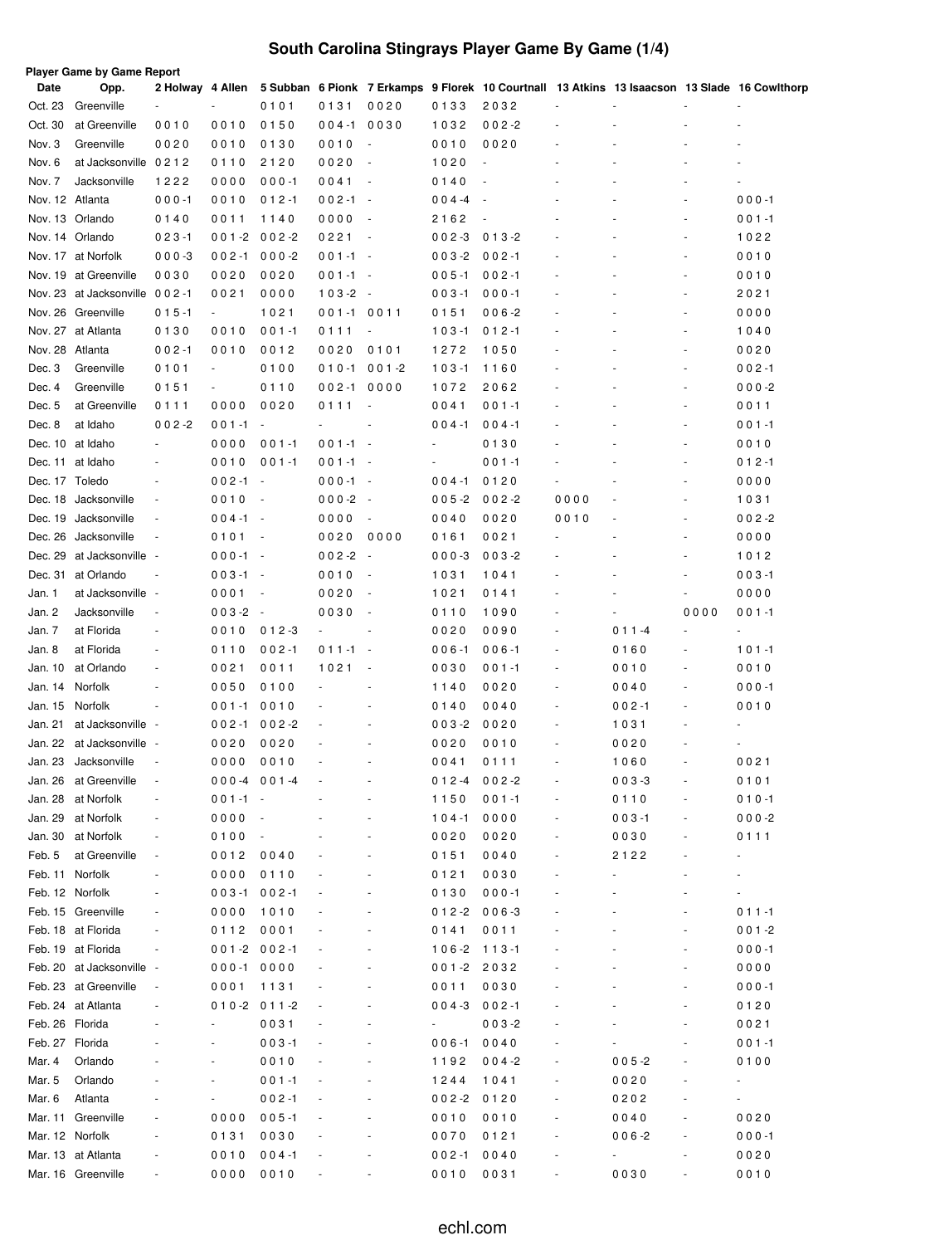# **South Carolina Stingrays Player Game By Game (1/4)**

| Date            | Opp.                                     | 2 Holway 4 Allen         |                        |                          |              |                                  |                          |                          |        |           |                              | 5 Subban 6 Pionk 7 Erkamps 9 Florek 10 Courtnall 13 Atkins 13 Isaacson 13 Slade 16 Cowlthorp |
|-----------------|------------------------------------------|--------------------------|------------------------|--------------------------|--------------|----------------------------------|--------------------------|--------------------------|--------|-----------|------------------------------|----------------------------------------------------------------------------------------------|
| Oct. 23         | Greenville                               |                          |                        | 0101                     | 0131         | 0020                             | 0133                     | 2032                     |        |           |                              | ä,                                                                                           |
| Oct. 30         | at Greenville                            | 0010                     | 0010                   | 0150                     | $004 - 1$    | 0030                             | 1032                     | $002 - 2$                |        |           |                              | ä,                                                                                           |
| Nov. 3          | Greenville                               | 0020                     | 0010                   | 0130                     | 0010         | $\sim$                           | 0010                     | 0020                     |        |           |                              |                                                                                              |
| Nov. 6          | at Jacksonville 0212                     |                          | 0110                   | 2120                     | 0020         | $\sim$                           | 1020                     | $\sim$                   |        |           |                              |                                                                                              |
| Nov. 7          | Jacksonville                             | 1222                     | 0000                   | $000 - 1$                | 0041         | $\overline{\phantom{a}}$         | 0140                     | $\sim$                   |        |           |                              | L,                                                                                           |
| Nov. 12 Atlanta |                                          | $000 - 1$                | 0010                   | $012 - 1$                | $002 - 1$    | $\sim$                           | $004 -4$                 | $\sim$                   |        |           |                              | $000 - 1$                                                                                    |
|                 | Nov. 13 Orlando                          | 0140                     | 0011                   | 1140                     | 0000         | $\sim$                           | 2162                     | $\overline{\phantom{a}}$ |        |           |                              | $001 - 1$                                                                                    |
|                 | Nov. 14 Orlando                          | $023 - 1$                | $001 - 2$              | $002 - 2$                | 0221         | $\sim$                           | $002 - 3$                | $013 - 2$                |        |           |                              | 1022                                                                                         |
|                 | Nov. 17 at Norfolk                       | $000 - 3$                | $002 - 1$              | $000 - 2$                | $001 - 1$    | $\sim$                           | $003 - 2$                | $002 - 1$                |        |           |                              | 0010                                                                                         |
|                 | Nov. 19 at Greenville                    | 0030                     | 0020                   | 0020                     | $001 - 1$    | $\sim$                           | $005 - 1$                | $002 - 1$                |        |           |                              | 0010                                                                                         |
|                 | Nov. 23 at Jacksonville 002-1            |                          | 0021                   | 0000                     | $103 - 2 -$  |                                  | $003 - 1$                | $000 - 1$                | ÷,     |           |                              | 2021                                                                                         |
|                 | Nov. 26 Greenville<br>Nov. 27 at Atlanta | $015 - 1$                | $\sim$<br>0010         | 1021<br>$001 - 1$        | $001 - 1$    | 0011                             | 0151<br>$103 - 1$        | $006 - 2$<br>$012 - 1$   |        |           |                              | 0000<br>1040                                                                                 |
| Nov. 28 Atlanta |                                          | 0130<br>$002 - 1$        |                        |                          | 0111<br>0020 | $\overline{\phantom{a}}$<br>0101 | 1272                     |                          |        |           |                              |                                                                                              |
| Dec. 3          | Greenville                               | 0101                     | 0010<br>$\blacksquare$ | 0012<br>0100             | $010 - 1$    | $001 - 2$                        | $103 - 1$                | 1050                     |        |           |                              | 0020<br>$002 - 1$                                                                            |
| Dec. 4          | Greenville                               | 0151                     | $\blacksquare$         | 0110                     | $002 - 1$    | 0000                             | 1072                     | 1160<br>2062             |        |           |                              | $000-2$                                                                                      |
| Dec. 5          | at Greenville                            | 0111                     | 0000                   | 0020                     | 0111         | $\overline{\phantom{a}}$         | 0041                     | $001 - 1$                |        |           |                              | 0011                                                                                         |
| Dec. 8          | at Idaho                                 | $002 - 2$                | $001 - 1$              | $\overline{\phantom{a}}$ |              | $\sim$                           | $004 - 1$                | $004 - 1$                |        |           | ٠                            | $001 - 1$                                                                                    |
| Dec. 10         | at Idaho                                 | $\overline{\phantom{a}}$ | 0000                   | $001 - 1$                | $001 - 1 -$  |                                  | $\blacksquare$           | 0130                     |        |           |                              | 0010                                                                                         |
| Dec. 11         | at Idaho                                 | $\overline{\phantom{a}}$ | 0010                   | $001 - 1$                | $001 - 1 -$  |                                  | $\overline{\phantom{a}}$ | $001 - 1$                |        |           |                              | $012 - 1$                                                                                    |
| Dec. 17 Toledo  |                                          | $\overline{\phantom{a}}$ | $002 - 1$              | $\overline{\phantom{a}}$ | $000 - 1 -$  |                                  | $004 - 1$                | 0120                     |        |           |                              | 0000                                                                                         |
| Dec. 18         | Jacksonville                             | $\blacksquare$           | 0010                   | $\overline{\phantom{a}}$ | $000-2$      | $\sim$                           | $005 - 2$                | $002 - 2$                | 0000   |           |                              | 1031                                                                                         |
| Dec. 19         | Jacksonville                             | $\overline{\phantom{a}}$ | $004 - 1$              | $\sim$                   | 0000         | $\overline{\phantom{a}}$         | 0040                     | 0020                     | 0010   |           |                              | $002 - 2$                                                                                    |
| Dec. 26         | Jacksonville                             | ÷,                       | 0101                   | $\overline{\phantom{a}}$ | 0020         | 0000                             | 0161                     | 0021                     |        |           |                              | 0000                                                                                         |
| Dec. 29         | at Jacksonville                          |                          | $000 - 1$              | $\sim$                   | $002 - 2$    | $\sim$                           | $000 - 3$                | $003 - 2$                |        |           |                              | 1012                                                                                         |
| Dec. 31         | at Orlando                               | ÷,                       | $003 - 1$              | $\sim$                   | 0010         | $\overline{\phantom{a}}$         | 1031                     | 1041                     |        |           |                              | $003 - 1$                                                                                    |
| Jan. 1          | at Jacksonville                          | $\overline{\phantom{a}}$ | 0001                   | $\overline{\phantom{a}}$ | 0020         | $\overline{\phantom{a}}$         | 1021                     | 0141                     |        |           | $\overline{\phantom{a}}$     | 0000                                                                                         |
| Jan. 2          | Jacksonville                             | $\overline{\phantom{a}}$ | $003 - 2$              | $\sim$                   | 0030         | $\overline{\phantom{a}}$         | 0110                     | 1090                     | ä,     |           | 0000                         | $001 - 1$                                                                                    |
| Jan. 7          | at Florida                               | $\sim$                   | 0010                   | $012 - 3$                |              | $\overline{\phantom{a}}$         | 0020                     | 0090                     | ÷,     | $011 - 4$ |                              | ä,                                                                                           |
| Jan. 8          | at Florida                               | $\overline{\phantom{a}}$ | 0110                   | $002 - 1$                | $011 - 1$    | $\overline{\phantom{a}}$         | $006 - 1$                | $006 - 1$                | $\sim$ | 0160      | $\sim$                       | $101 - 1$                                                                                    |
| Jan. 10         | at Orlando                               | ÷,                       | 0021                   | 0011                     | 1021         |                                  | 0030                     | $001 - 1$                | ÷,     | 0010      |                              | 0010                                                                                         |
| Jan. 14         | Norfolk                                  | ä,                       | 0050                   | 0100                     |              |                                  | 1140                     | 0020                     | ÷,     | 0040      |                              | $000 - 1$                                                                                    |
| Jan. 15         | Norfolk                                  | ÷,                       | $001 - 1$              | 0010                     |              |                                  | 0140                     | 0040                     | ÷,     | $002 - 1$ |                              | 0010                                                                                         |
| Jan. 21         | at Jacksonville                          | $\overline{\phantom{a}}$ | $002 - 1$              | $002 - 2$                |              |                                  | $003 - 2$                | 0020                     |        | 1031      |                              |                                                                                              |
| Jan. 22         | at Jacksonville                          | $\overline{\phantom{a}}$ | 0020                   | 0020                     |              |                                  | 0020                     | 0010                     | ÷,     | 0020      |                              | ÷                                                                                            |
| Jan. 23         | Jacksonville                             |                          | 0000                   | 0010                     |              |                                  | 0041                     | 0111                     | ٠      | 1060      |                              | 0021                                                                                         |
| Jan. 26         | at Greenville                            | $\overline{\phantom{m}}$ | $000-4$ 001-4          |                          |              |                                  | $012 - 4$                | $002 - 2$                |        | $003 - 3$ |                              | 0101                                                                                         |
| Jan. 28         | at Norfolk                               |                          | $001 - 1$              |                          |              |                                  | 1150                     | $001 - 1$                |        | 0110      |                              | $010 - 1$                                                                                    |
| Jan. 29         | at Norfolk                               | $\overline{\phantom{m}}$ | 0000                   |                          |              | $\overline{\phantom{m}}$         | $104 - 1$                | 0000                     | ۰      | $003 - 1$ |                              | $000 - 2$                                                                                    |
| Jan. 30         | at Norfolk                               | $\overline{\phantom{m}}$ | 0100                   |                          |              |                                  | 0020                     | 0020                     | ۰      | 0030      |                              | 0111                                                                                         |
| Feb. 5          | at Greenville                            | $\overline{\phantom{a}}$ | 0012                   | 0040                     |              |                                  | 0151                     | 0040                     |        | 2122      |                              | ۰                                                                                            |
|                 | Feb. 11 Norfolk                          | ÷,                       | 0000                   | 0110                     |              |                                  | 0121                     | 0030                     |        |           |                              | $\overline{\phantom{0}}$                                                                     |
| Feb. 12 Norfolk |                                          | ÷,                       | $003 - 1$              | $002 - 1$                |              |                                  | 0130                     | $000 - 1$                |        |           |                              | $\blacksquare$                                                                               |
|                 | Feb. 15 Greenville                       | ÷,                       | 0000                   | 1010                     |              |                                  | 0 1 2 -2                 | $006 - 3$                |        |           |                              | $011 - 1$                                                                                    |
|                 | Feb. 18 at Florida                       | ÷,                       | 0112                   | 0001                     |              |                                  | 0141                     | 0011                     |        |           |                              | $001 - 2$                                                                                    |
|                 | Feb. 19 at Florida                       | $\frac{1}{2}$            | $001 - 2002 - 1$       |                          |              |                                  | $106 - 2$                | $113 - 1$                |        |           | $\qquad \qquad \blacksquare$ | $000 - 1$                                                                                    |
|                 | Feb. 20 at Jacksonville                  |                          | $000 - 1 0000$         |                          |              |                                  | $001 - 2$                | 2032                     |        |           | $\qquad \qquad \blacksquare$ | 0000                                                                                         |
|                 | Feb. 23 at Greenville                    | $\overline{\phantom{m}}$ | 0001                   | 1131                     |              |                                  | 0011                     | 0030                     |        |           |                              | $000 - 1$                                                                                    |
|                 | Feb. 24 at Atlanta                       |                          |                        | $010-2$ 011-2            |              |                                  | $004 - 3$                | $002 - 1$                |        |           |                              | 0120                                                                                         |
| Feb. 26 Florida |                                          |                          |                        | 0031                     |              |                                  | ۰                        | $003 - 2$                |        |           |                              | 0021                                                                                         |
| Feb. 27 Florida |                                          |                          |                        | $003 - 1$                |              |                                  | $006 - 1$                | 0040                     |        |           |                              | $001 - 1$                                                                                    |
| Mar. 4          | Orlando                                  |                          |                        | 0010                     |              |                                  | 1192                     | $004 - 2$                |        | $005 - 2$ |                              | 0100                                                                                         |
| Mar. 5          | Orlando                                  |                          |                        | $001 - 1$                |              |                                  | 1244                     | 1041                     |        | 0020      |                              | ۰                                                                                            |
| Mar. 6          | Atlanta                                  |                          |                        | $002 - 1$                |              |                                  | $002 - 2$                | 0120                     |        | 0202      |                              | $\overline{\phantom{a}}$                                                                     |
| Mar. 11         | Greenville                               |                          | 0000                   | $005 - 1$                |              |                                  | 0010                     | 0010                     | ÷      | 0040      |                              | 0020                                                                                         |
|                 | Mar. 12 Norfolk                          | ÷                        | 0131                   | 0030                     |              |                                  | 0070                     | 0121                     | ÷      | $006 - 2$ |                              | $000 - 1$                                                                                    |
|                 | Mar. 13 at Atlanta                       |                          | 0010                   | $004 - 1$                |              |                                  | $002 - 1$                | 0040                     |        | ÷,        |                              | 0020                                                                                         |
|                 | Mar. 16 Greenville                       |                          | 0000                   | 0010                     |              |                                  | 0010                     | 0031                     |        | 0030      |                              | 0010                                                                                         |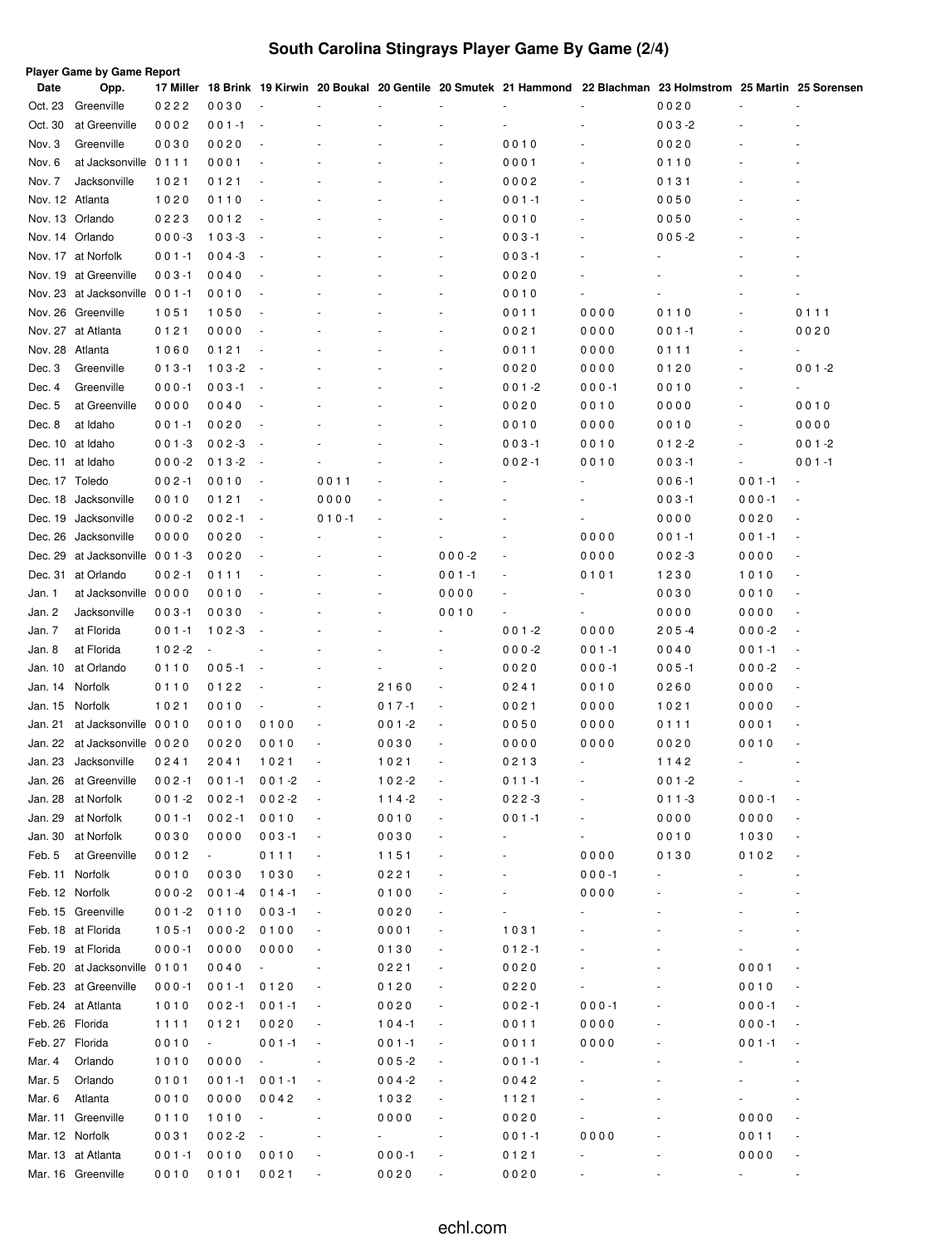# **South Carolina Stingrays Player Game By Game (2/4)**

| Date            | Player Game by Game Report<br>Opp. |           |           |                          |                          |           |                          |                              |           | 17 Miller 18 Brink 19 Kirwin 20 Boukal 20 Gentile 20 Smutek 21 Hammond 22 Blachman 23 Holmstrom 25 Martin 25 Sorensen |                          |                              |
|-----------------|------------------------------------|-----------|-----------|--------------------------|--------------------------|-----------|--------------------------|------------------------------|-----------|-----------------------------------------------------------------------------------------------------------------------|--------------------------|------------------------------|
| Oct. 23         | Greenville                         | 0222      | 0030      | $\sim$                   |                          |           |                          |                              |           | 0020                                                                                                                  |                          |                              |
| Oct. 30         | at Greenville                      | 0002      | $001 - 1$ | $\overline{\phantom{a}}$ |                          |           |                          |                              |           | $003 - 2$                                                                                                             |                          |                              |
| Nov. 3          | Greenville                         | 0030      | 0020      | ÷,                       |                          |           |                          | 0010                         |           | 0020                                                                                                                  |                          |                              |
| Nov. 6          | at Jacksonville 0111               |           | 0001      | ä,                       |                          |           |                          | 0001                         | ÷,        | 0110                                                                                                                  |                          |                              |
| Nov. 7          | Jacksonville                       | 1021      | 0121      |                          |                          |           |                          | 0002                         | ÷,        | 0131                                                                                                                  |                          |                              |
| Nov. 12 Atlanta |                                    | 1020      | 0110      | ÷,                       |                          |           |                          | $001 - 1$                    | ÷,        | 0050                                                                                                                  |                          |                              |
|                 | Nov. 13 Orlando                    | 0223      | 0012      | ÷,                       |                          |           |                          | 0010                         | ÷,        | 0050                                                                                                                  |                          |                              |
|                 | Nov. 14 Orlando                    | $000 - 3$ | $103 - 3$ | $\overline{\phantom{a}}$ |                          |           |                          | $003 - 1$                    | ÷,        | $005 - 2$                                                                                                             |                          |                              |
|                 | Nov. 17 at Norfolk                 | $001 - 1$ | $004 - 3$ | $\overline{\phantom{a}}$ |                          |           |                          | $003 - 1$                    | ÷,        |                                                                                                                       |                          |                              |
|                 | Nov. 19 at Greenville              | $003 - 1$ | 0040      | $\sim$                   |                          |           |                          | 0020                         |           |                                                                                                                       |                          |                              |
|                 | Nov. 23 at Jacksonville 001-1      |           | 0010      | ÷,                       |                          |           |                          | 0010                         | ٠         |                                                                                                                       |                          |                              |
|                 | Nov. 26 Greenville                 | 1051      | 1050      | ÷,                       |                          |           |                          | 0011                         | 0000      | 0110                                                                                                                  |                          | 0111                         |
|                 | Nov. 27 at Atlanta                 | 0121      | 0000      |                          |                          |           |                          | 0021                         | 0000      | $001 - 1$                                                                                                             |                          | 0020                         |
| Nov. 28 Atlanta |                                    | 1060      | 0121      |                          |                          |           |                          | 0011                         | 0000      | 0111                                                                                                                  |                          |                              |
| Dec. 3          | Greenville                         | $013 - 1$ | $103 - 2$ | $\overline{\phantom{a}}$ |                          |           |                          | 0020                         | 0000      | 0120                                                                                                                  |                          | $001 - 2$                    |
| Dec. 4          | Greenville                         | $000 - 1$ | $003 - 1$ |                          |                          |           |                          | $001 - 2$                    | $000 - 1$ | 0010                                                                                                                  |                          |                              |
| Dec. 5          | at Greenville                      | 0000      | 0040      |                          |                          |           |                          | 0020                         | 0010      | 0000                                                                                                                  |                          | 0010                         |
| Dec. 8          | at Idaho                           | $001 - 1$ | 0020      | $\overline{\phantom{a}}$ |                          |           |                          | 0010                         | 0000      | 0010                                                                                                                  |                          | 0000                         |
|                 | Dec. 10 at Idaho                   | $001 - 3$ | $002 - 3$ | $\overline{\phantom{a}}$ |                          |           |                          | $003 - 1$                    | 0010      | $012 - 2$                                                                                                             |                          | $001 - 2$                    |
|                 | Dec. 11 at Idaho                   | $000-2$   | $013 - 2$ | $\overline{\phantom{a}}$ |                          |           |                          | $002 - 1$                    | 0010      | $003 - 1$                                                                                                             | $\overline{\phantom{a}}$ | $001 - 1$                    |
| Dec. 17 Toledo  |                                    | $002 - 1$ | 0010      | $\overline{\phantom{a}}$ | 0011                     |           |                          |                              |           | $006 - 1$                                                                                                             | $001 - 1$                |                              |
| Dec. 18         | Jacksonville                       | 0010      | 0121      | $\overline{\phantom{a}}$ | 0000                     |           |                          |                              |           | $003 - 1$                                                                                                             | $000 - 1$                |                              |
| Dec. 19         | Jacksonville                       | $000-2$   | $002 - 1$ | $\overline{\phantom{a}}$ | $010 - 1$                |           |                          |                              |           | 0000                                                                                                                  | 0020                     |                              |
| Dec. 26         | Jacksonville                       | 0000      | 0020      |                          |                          |           |                          |                              | 0000      | $001 - 1$                                                                                                             | $001 - 1$                |                              |
| Dec. 29         | at Jacksonville 001-3              |           | 0020      |                          |                          |           | $000 - 2$                |                              | 0000      | $002 - 3$                                                                                                             | 0000                     |                              |
|                 | Dec. 31 at Orlando                 | $002 - 1$ | 0111      |                          |                          |           | $001 - 1$                |                              | 0101      | 1230                                                                                                                  | 1010                     | $\qquad \qquad \blacksquare$ |
| Jan. 1          | at Jacksonville 0000               |           | 0010      |                          |                          |           | 0000                     |                              |           | 0030                                                                                                                  | 0010                     |                              |
| Jan. 2          | Jacksonville                       | $003 - 1$ | 0030      |                          |                          |           | 0010                     |                              |           | 0000                                                                                                                  | 0000                     |                              |
| Jan. 7          | at Florida                         | $001 - 1$ | $102 - 3$ |                          |                          |           |                          | $001 - 2$                    | 0000      | $205 - 4$                                                                                                             | $000 -2$                 |                              |
| Jan. 8          | at Florida                         | $102 - 2$ |           |                          |                          |           |                          | $000 - 2$                    | $001 - 1$ | 0040                                                                                                                  | $001 - 1$                |                              |
| Jan. 10         | at Orlando                         | 0110      | $005 - 1$ | $\overline{\phantom{a}}$ |                          |           |                          | 0020                         | $000 - 1$ | $005 - 1$                                                                                                             | $000 -2$                 |                              |
| Jan. 14         | Norfolk                            | 0110      | 0122      |                          |                          | 2160      |                          | 0241                         | 0010      | 0260                                                                                                                  | 0000                     |                              |
| Jan. 15         | Norfolk                            | 1021      | 0010      |                          |                          | $017 - 1$ |                          | 0021                         | 0000      | 1021                                                                                                                  | 0000                     |                              |
| Jan. 21         | at Jacksonville 0010               |           | 0010      | 0100                     | ÷,                       | $001 - 2$ |                          | 0050                         | 0000      | 0111                                                                                                                  | 0001                     |                              |
| Jan. 22         | at Jacksonville 0020               |           | 0020      | 0010                     | ÷,                       | 0030      | $\overline{\phantom{a}}$ | 0000                         | 0000      | 0020                                                                                                                  | 0010                     |                              |
|                 | Jan. 23 Jacksonville               | 0241      | 2041      | 1021                     |                          | 1021      |                          | 0213                         | ÷,        | 1142                                                                                                                  |                          | $\overline{\phantom{a}}$     |
|                 | Jan. 26 at Greenville              | $002 - 1$ | $001 - 1$ | $001 - 2$                |                          | $102 - 2$ |                          | $011 - 1$                    |           | $001 - 2$                                                                                                             |                          |                              |
|                 | Jan. 28 at Norfolk                 | $001 - 2$ | $002 - 1$ | $002 - 2$                | $\overline{\phantom{a}}$ | $114-2$   |                          | $022-3$                      |           | $011 - 3$                                                                                                             | $000 - 1$                |                              |
|                 | Jan. 29 at Norfolk                 | $001 - 1$ | $002 - 1$ | 0010                     | $\overline{\phantom{a}}$ | 0010      |                          | $001 - 1$                    | ÷,        | 0000                                                                                                                  | 0000                     |                              |
|                 | Jan. 30 at Norfolk                 | 0030      | 0000      | $003 - 1$                | $\overline{\phantom{a}}$ | 0030      |                          |                              | ÷,        | 0010                                                                                                                  | 1030                     |                              |
| Feb. 5          | at Greenville                      | 0012      | ٠         | 0111                     | $\overline{\phantom{a}}$ | 1151      |                          |                              | 0000      | 0130                                                                                                                  | 0102                     |                              |
| Feb. 11 Norfolk |                                    | 0010      | 0030      | 1030                     | $\overline{\phantom{a}}$ | 0221      |                          |                              | $000 - 1$ |                                                                                                                       |                          |                              |
|                 | Feb. 12 Norfolk                    | $000 - 2$ | $001 - 4$ | $014 - 1$                | $\overline{\phantom{a}}$ | 0100      |                          |                              | 0000      |                                                                                                                       |                          |                              |
|                 | Feb. 15 Greenville                 | $001 - 2$ | 0110      | $003 - 1$                | $\overline{\phantom{a}}$ | 0020      |                          | $\qquad \qquad \blacksquare$ |           |                                                                                                                       |                          |                              |
|                 | Feb. 18 at Florida                 | $105 - 1$ | $000 - 2$ | 0100                     | $\overline{\phantom{a}}$ | 0001      |                          | 1031                         |           |                                                                                                                       |                          |                              |
|                 | Feb. 19 at Florida                 | $000 - 1$ | 0000      | 0000                     | $\overline{\phantom{a}}$ | 0130      |                          | $012 - 1$                    |           |                                                                                                                       |                          |                              |
|                 | Feb. 20 at Jacksonville 0101       |           | 0040      | $\sim$                   | $\overline{\phantom{a}}$ | 0221      |                          | 0020                         |           | $\qquad \qquad \blacksquare$                                                                                          | 0001                     |                              |
|                 | Feb. 23 at Greenville              | $000 - 1$ | $001 - 1$ | 0120                     | $\overline{\phantom{a}}$ | 0120      |                          | 0220                         |           |                                                                                                                       | 0010                     |                              |
|                 | Feb. 24 at Atlanta                 | 1010      | 002-1     | $001 - 1$                | $\overline{\phantom{a}}$ | 0020      |                          | $002 - 1$                    | $000 - 1$ |                                                                                                                       | $000 - 1$                |                              |
| Feb. 26 Florida |                                    | 1111      | 0121      | 0020                     | $\overline{\phantom{a}}$ | $104 - 1$ |                          | 0011                         | 0000      |                                                                                                                       | $000 - 1$                |                              |
| Feb. 27 Florida |                                    | 0010      | $\sim$    | $001 - 1$                | $\overline{\phantom{a}}$ | $001 - 1$ |                          | 0011                         | 0000      |                                                                                                                       | $001 - 1$                |                              |
| Mar. 4          | Orlando                            | 1010      | 0000      | $\sim$                   |                          | $005 - 2$ |                          | $001 - 1$                    |           |                                                                                                                       |                          |                              |
| Mar. 5          | Orlando                            | 0101      | 001-1     | $001 - 1$                |                          | $004 - 2$ |                          | 0042                         |           |                                                                                                                       |                          |                              |
| Mar. 6          | Atlanta                            | 0010      | 0000      | 0042                     |                          | 1032      |                          | 1121                         |           |                                                                                                                       |                          |                              |
|                 | Mar. 11 Greenville                 | 0110      | 1010      |                          |                          | 0000      |                          | 0020                         |           |                                                                                                                       | 0000                     |                              |
| Mar. 12 Norfolk |                                    | 0031      | $002 - 2$ | $\overline{\phantom{a}}$ |                          |           |                          | $001 - 1$                    | 0000      |                                                                                                                       | 0011                     |                              |
|                 | Mar. 13 at Atlanta                 | $001 - 1$ | 0010      | 0010                     | $\overline{\phantom{a}}$ | $000 - 1$ |                          | 0121                         |           |                                                                                                                       | 0000                     |                              |
|                 | Mar. 16 Greenville                 | 0010      | 0101      | 0021                     |                          | 0020      |                          | 0020                         |           |                                                                                                                       |                          |                              |
|                 |                                    |           |           |                          |                          |           |                          |                              |           |                                                                                                                       |                          |                              |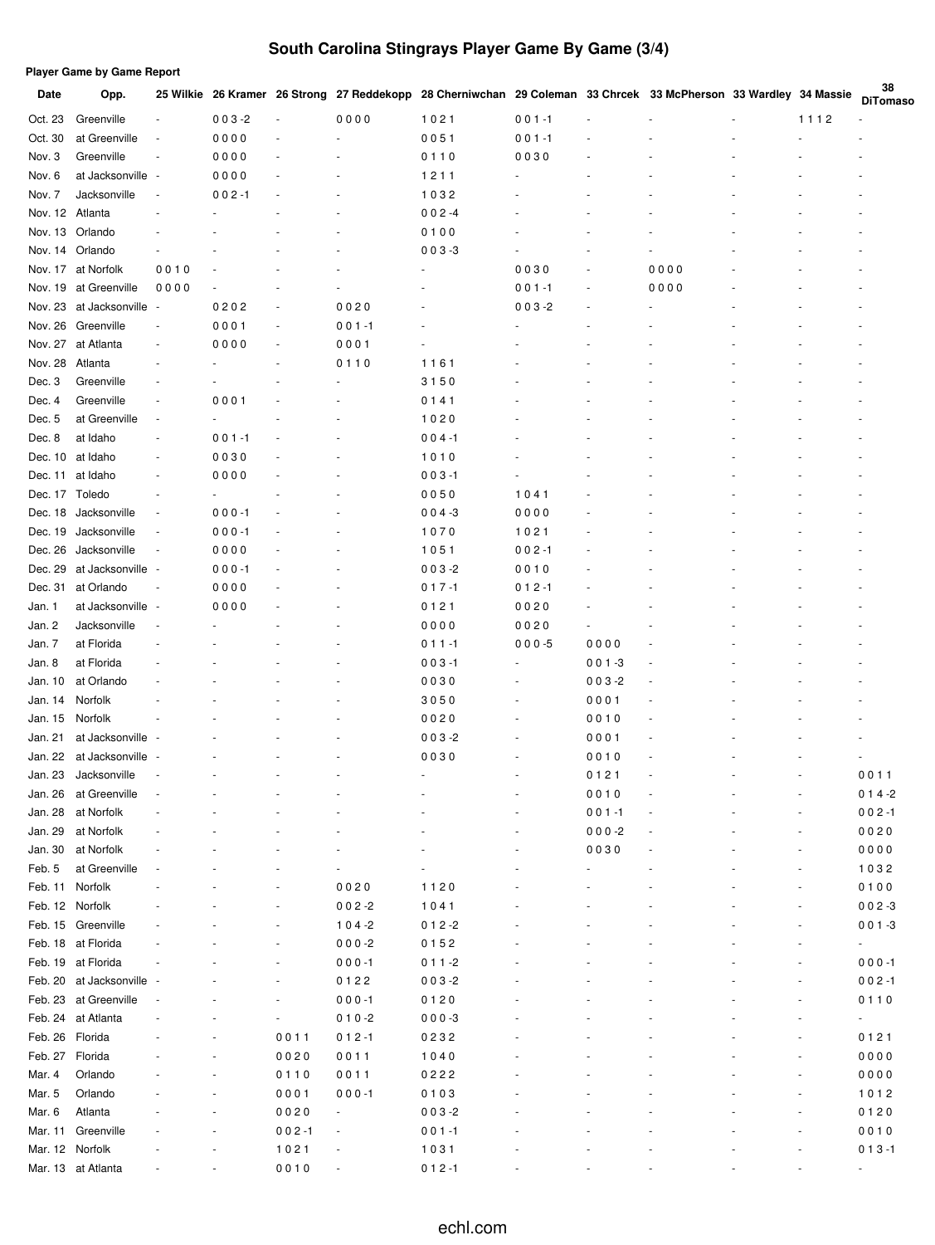# **South Carolina Stingrays Player Game By Game (3/4)**

|                 | <b>Player Game by Game Report</b> |                          |           |                          |                          |                                                                                                                  |           |           |      |      |                       |
|-----------------|-----------------------------------|--------------------------|-----------|--------------------------|--------------------------|------------------------------------------------------------------------------------------------------------------|-----------|-----------|------|------|-----------------------|
| Date            | Opp.                              |                          |           |                          |                          | 25 Wilkie 26 Kramer 26 Strong 27 Reddekopp 28 Cherniwchan 29 Coleman 33 Chrcek 33 McPherson 33 Wardley 34 Massie |           |           |      |      | 38<br><b>DiTomaso</b> |
| Oct. 23         | Greenville                        | $\overline{\phantom{a}}$ | $003 - 2$ | ÷,                       | 0000                     | 1021                                                                                                             | $001 - 1$ |           |      | 1112 |                       |
| Oct. 30         | at Greenville                     | $\overline{\phantom{a}}$ | 0000      |                          |                          | 0051                                                                                                             | $001 - 1$ |           |      |      |                       |
| Nov. 3          | Greenville                        | $\overline{\phantom{a}}$ | 0000      |                          |                          | 0110                                                                                                             | 0030      |           |      |      |                       |
| Nov. 6          | at Jacksonville                   | $\overline{\phantom{a}}$ | 0000      |                          |                          | 1211                                                                                                             |           |           |      |      |                       |
| Nov. 7          | Jacksonville                      | $\overline{\phantom{a}}$ | $002 - 1$ |                          |                          | 1032                                                                                                             |           |           |      |      |                       |
| Nov. 12         | Atlanta                           |                          |           |                          |                          | $002 -4$                                                                                                         |           |           |      |      |                       |
| Nov. 13         | Orlando                           |                          |           |                          |                          | 0100                                                                                                             |           |           |      |      |                       |
| Nov. 14         | Orlando                           |                          |           |                          |                          | $003 - 3$                                                                                                        |           |           |      |      |                       |
| Nov. 17         | at Norfolk                        | 0010                     |           |                          |                          |                                                                                                                  | 0030      | $\sim$    | 0000 |      |                       |
| Nov. 19         | at Greenville                     | 0000                     |           |                          |                          |                                                                                                                  | $001 - 1$ | $\sim$    | 0000 |      |                       |
| Nov. 23         | at Jacksonville                   | $\sim$                   | 0202      | $\overline{\phantom{a}}$ | 0020                     |                                                                                                                  | $003 - 2$ |           |      |      |                       |
| Nov. 26         | Greenville                        | $\overline{\phantom{a}}$ | 0001      | $\blacksquare$           | 001-1                    |                                                                                                                  |           |           |      |      |                       |
| Nov. 27         | at Atlanta                        | $\overline{\phantom{a}}$ | 0000      | $\overline{\phantom{a}}$ | 0001                     |                                                                                                                  |           |           |      |      |                       |
| Nov. 28         | Atlanta                           | ٠                        |           |                          | 0110                     | 1161                                                                                                             |           |           |      |      |                       |
| Dec. 3          | Greenville                        | $\overline{\phantom{a}}$ |           |                          |                          | 3150                                                                                                             |           |           |      |      |                       |
| Dec. 4          | Greenville                        | $\overline{\phantom{a}}$ | 0001      |                          |                          | 0141                                                                                                             |           |           |      |      |                       |
| Dec. 5          | at Greenville                     | $\overline{\phantom{a}}$ |           |                          |                          | 1020                                                                                                             |           |           |      |      |                       |
| Dec. 8          | at Idaho                          | $\overline{\phantom{a}}$ | $001 - 1$ |                          |                          | $004 - 1$                                                                                                        |           |           |      |      |                       |
| Dec. 10         | at Idaho                          | $\overline{\phantom{a}}$ | 0030      |                          |                          | 1010                                                                                                             |           |           |      |      |                       |
| Dec. 11         | at Idaho                          | $\overline{\phantom{a}}$ | 0000      |                          |                          | $003 - 1$                                                                                                        |           |           |      |      |                       |
| Dec. 17         | Toledo                            | $\overline{\phantom{a}}$ | -         |                          |                          | 0050                                                                                                             | 1041      |           |      |      |                       |
| Dec. 18         | Jacksonville                      | $\blacksquare$           | $000 - 1$ |                          |                          | $004 - 3$                                                                                                        | 0000      |           |      |      |                       |
| Dec. 19         | Jacksonville                      | ÷,                       | $000 - 1$ |                          |                          | 1070                                                                                                             | 1021      |           |      |      |                       |
| Dec. 26         | Jacksonville                      | ÷,                       | 0000      |                          |                          | 1051                                                                                                             | $002 - 1$ |           |      |      |                       |
| Dec. 29         | at Jacksonville                   | $\overline{\phantom{a}}$ | $000 - 1$ |                          |                          | $003 - 2$                                                                                                        | 0010      |           |      |      |                       |
| Dec. 31         | at Orlando                        | $\sim$                   | 0000      |                          |                          | $017 - 1$                                                                                                        | $012 - 1$ |           |      |      |                       |
| Jan. 1          | at Jacksonville -                 |                          | 0000      |                          |                          | 0121                                                                                                             | 0020      |           |      |      |                       |
| Jan. 2          | Jacksonville                      | $\overline{\phantom{a}}$ |           |                          |                          | 0000                                                                                                             | 0020      |           |      |      |                       |
| Jan. 7          | at Florida                        |                          |           |                          |                          | $011 - 1$                                                                                                        | $000 - 5$ | 0000      |      |      |                       |
| Jan. 8          | at Florida                        |                          |           |                          |                          | $003 - 1$                                                                                                        | ÷,        | $001 - 3$ |      |      |                       |
| Jan. 10         | at Orlando                        |                          |           |                          |                          | 0030                                                                                                             | ÷,        | $003 - 2$ |      |      |                       |
| Jan. 14         | Norfolk                           |                          |           |                          |                          | 3050                                                                                                             |           | 0001      |      |      |                       |
| Jan. 15         | Norfolk                           |                          |           |                          |                          | 0020                                                                                                             |           | 0010      |      |      |                       |
| Jan. 21         | at Jacksonville                   |                          |           |                          |                          | $003 - 2$                                                                                                        |           | 0001      |      |      |                       |
| Jan. 22         | at Jacksonville                   |                          |           |                          |                          | 0030                                                                                                             |           | 0010      |      |      |                       |
| Jan. 23         | Jacksonville                      |                          |           |                          |                          |                                                                                                                  |           | 0121      |      |      | 0011                  |
|                 | Jan. 26 at Greenville             |                          |           |                          |                          |                                                                                                                  |           | 0010      |      |      | $014-2$               |
|                 | Jan. 28 at Norfolk                |                          |           |                          |                          |                                                                                                                  |           | $001 - 1$ |      |      | $002 - 1$             |
|                 | Jan. 29 at Norfolk                |                          |           |                          |                          |                                                                                                                  |           | $000 - 2$ |      | ٠    | 0020                  |
| Jan. 30         | at Norfolk                        |                          |           |                          |                          |                                                                                                                  |           | 0030      |      | ٠    | 0000                  |
| Feb. 5          | at Greenville                     |                          |           |                          |                          |                                                                                                                  |           |           |      |      | 1032                  |
| Feb. 11 Norfolk |                                   |                          |           |                          | 0020                     | 1120                                                                                                             |           |           |      |      | 0100                  |
| Feb. 12 Norfolk |                                   |                          |           |                          | $002 - 2$                | 1041                                                                                                             |           |           |      |      | $002 - 3$             |
|                 | Feb. 15 Greenville                |                          |           | ٠                        | $104 - 2$                | $012 - 2$                                                                                                        |           |           |      |      | $001 - 3$             |
|                 | Feb. 18 at Florida                |                          |           | ÷,                       | $000 - 2$                | 0152                                                                                                             |           |           |      |      | $\sim$                |
|                 | Feb. 19 at Florida                |                          |           | $\overline{a}$           | $000 - 1$                | $011 - 2$                                                                                                        |           |           |      | ä,   | $000 - 1$             |
|                 | Feb. 20 at Jacksonville           |                          |           | $\overline{a}$           | 0122                     | $003 - 2$                                                                                                        |           |           |      |      | $002 - 1$             |
|                 | Feb. 23 at Greenville             |                          |           | ä,                       | $000 - 1$                | 0120                                                                                                             |           |           |      |      | 0110                  |
|                 | Feb. 24 at Atlanta                |                          |           | ÷,                       | $010 - 2$                | $000 - 3$                                                                                                        |           |           |      |      | $\sim$                |
| Feb. 26 Florida |                                   |                          |           | 0011                     | $012 - 1$                | 0232                                                                                                             |           |           |      |      | 0121                  |
| Feb. 27 Florida |                                   |                          |           | 0020                     | 0011                     | 1040                                                                                                             |           |           |      |      | 0000                  |
| Mar. 4          | Orlando                           |                          |           | 0110                     | 0011                     | 0222                                                                                                             |           |           |      |      | 0000                  |
| Mar. 5          | Orlando                           |                          |           | 0001                     | $000 - 1$                | 0103                                                                                                             |           |           |      |      | 1012                  |
| Mar. 6          | Atlanta                           |                          |           | 0020                     | $\overline{\phantom{a}}$ | $003 - 2$                                                                                                        |           |           |      |      | 0120                  |
|                 | Mar. 11 Greenville                |                          |           | $002 - 1$                |                          | $001 - 1$                                                                                                        |           |           |      | ÷    | 0010                  |
| Mar. 12 Norfolk |                                   |                          |           | 1021                     |                          | 1031                                                                                                             |           |           |      |      | $013 - 1$             |
|                 | Mar. 13 at Atlanta                |                          |           | 0010                     |                          | $012 - 1$                                                                                                        |           |           |      |      |                       |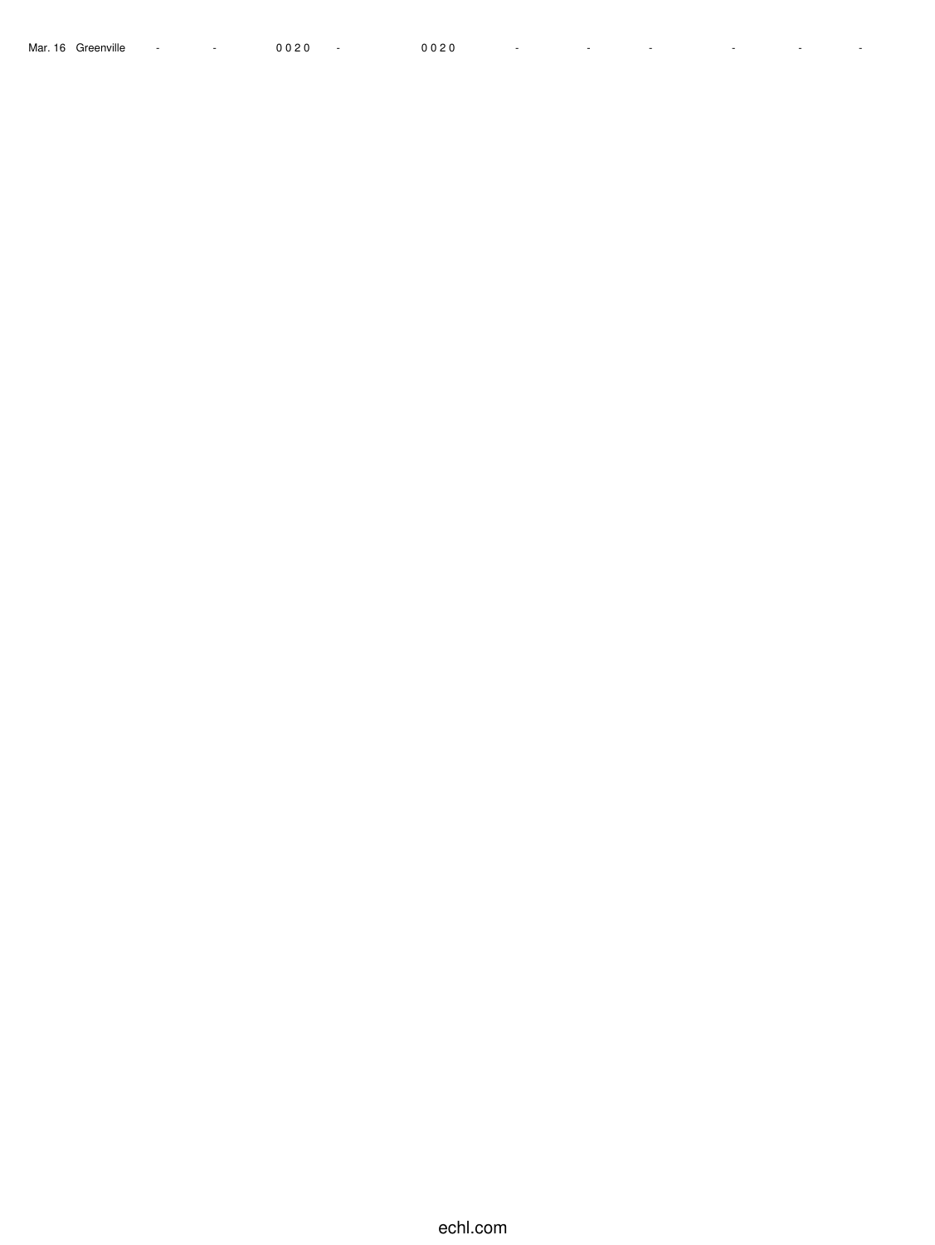Mar. 16 Greenville - - 0 0 2 0 - 0 0 2 0 - - - - - -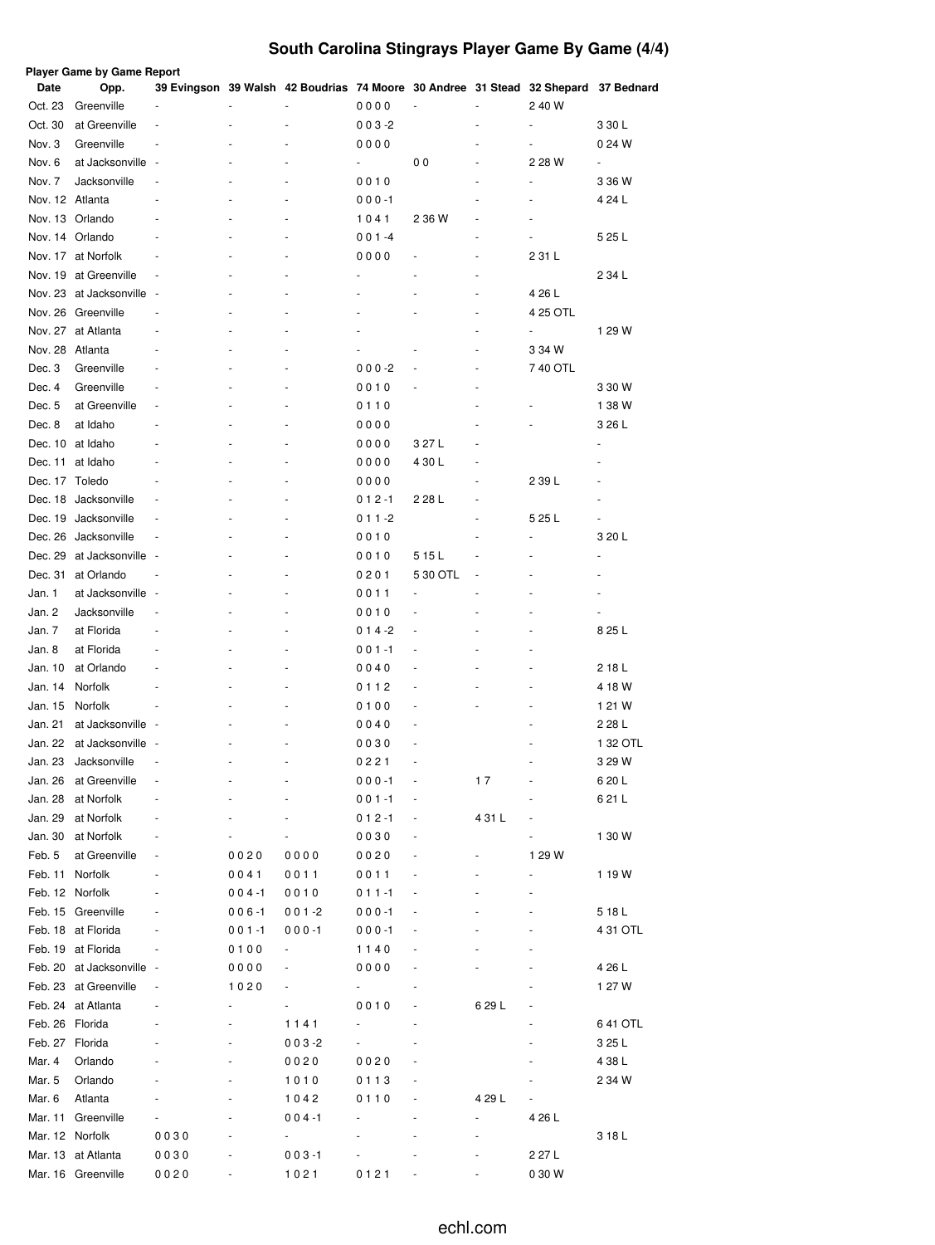# **South Carolina Stingrays Player Game By Game (4/4)**

|                  | Player Game by Game Report  |                          |           |                                                                                    |                                  |                          |        |                          |                         |
|------------------|-----------------------------|--------------------------|-----------|------------------------------------------------------------------------------------|----------------------------------|--------------------------|--------|--------------------------|-------------------------|
| Date<br>Oct. 23  | Opp.<br>Greenville          |                          |           | 39 Evingson 39 Walsh 42 Boudrias 74 Moore 30 Andree 31 Stead 32 Shepard 37 Bednard | 0000                             |                          |        | 2 40 W                   |                         |
|                  |                             | ä,                       |           |                                                                                    |                                  |                          |        | $\overline{\phantom{a}}$ |                         |
| Oct. 30          | at Greenville<br>Greenville |                          |           |                                                                                    | $003 - 2$                        |                          |        |                          | 3 30 L                  |
| Nov. 3           | at Jacksonville             | $\overline{\phantom{a}}$ |           |                                                                                    | 0000<br>$\overline{\phantom{a}}$ | 00                       |        | ÷,                       | 0 24 W<br>$\frac{1}{2}$ |
| Nov. 6<br>Nov. 7 | Jacksonville                |                          |           |                                                                                    | 0010                             |                          |        | 2 28 W<br>÷,             | 3 36 W                  |
| Nov. 12 Atlanta  |                             |                          |           |                                                                                    |                                  |                          |        | ÷,                       | 4 24 L                  |
|                  | Nov. 13 Orlando             |                          |           |                                                                                    | $000 - 1$<br>1041                |                          |        | ٠                        |                         |
|                  | Nov. 14 Orlando             |                          |           |                                                                                    | $001 - 4$                        | 2 36 W                   | ٠      | ٠                        | 5 25 L                  |
|                  | Nov. 17 at Norfolk          |                          |           |                                                                                    | 0000                             |                          |        | 2 31 L                   |                         |
|                  | Nov. 19 at Greenville       |                          |           |                                                                                    |                                  |                          | ٠      |                          | 2 34 L                  |
|                  | Nov. 23 at Jacksonville     | $\sim$                   |           |                                                                                    |                                  |                          | ٠      | 4 26 L                   |                         |
|                  | Nov. 26 Greenville          |                          |           |                                                                                    |                                  |                          | ä,     | 4 25 OTL                 |                         |
|                  | Nov. 27 at Atlanta          |                          |           |                                                                                    |                                  |                          |        |                          | 1 29 W                  |
| Nov. 28 Atlanta  |                             |                          |           |                                                                                    |                                  |                          |        | 3 34 W                   |                         |
| Dec. 3           | Greenville                  |                          |           |                                                                                    | $000 - 2$                        |                          |        | 740 OTL                  |                         |
| Dec. 4           | Greenville                  |                          |           |                                                                                    | 0010                             |                          |        |                          | 3 30 W                  |
| Dec. 5           | at Greenville               |                          |           |                                                                                    | 0110                             |                          |        |                          | 1 38 W                  |
| Dec. 8           | at Idaho                    |                          |           |                                                                                    | 0000                             |                          |        |                          | 3 26 L                  |
|                  | Dec. 10 at Idaho            |                          |           |                                                                                    | 0000                             | 3 27 L                   |        |                          |                         |
|                  | Dec. 11 at Idaho            |                          |           |                                                                                    | 0000                             | 4 30 L                   |        |                          |                         |
| Dec. 17 Toledo   |                             |                          |           |                                                                                    | 0000                             |                          |        | 2 39 L                   |                         |
|                  | Dec. 18 Jacksonville        |                          |           |                                                                                    | $012 - 1$                        | 2 28 L                   |        |                          |                         |
| Dec. 19          | Jacksonville                |                          |           |                                                                                    | 0 1 1 -2                         |                          |        | 5 25 L                   |                         |
|                  | Dec. 26 Jacksonville        |                          |           |                                                                                    | 0010                             |                          |        |                          | 3 20 L                  |
| Dec. 29          | at Jacksonville             |                          |           |                                                                                    | 0010                             | 515L                     |        |                          |                         |
| Dec. 31          | at Orlando                  |                          |           |                                                                                    | 0201                             | 5 30 OTL                 |        |                          |                         |
| Jan. 1           | at Jacksonville             | ٠.                       |           |                                                                                    | 0011                             |                          |        |                          |                         |
| Jan. 2           | Jacksonville                |                          |           |                                                                                    | 0010                             | ä,                       |        |                          |                         |
| Jan. 7           | at Florida                  |                          |           |                                                                                    | 0 1 4 -2                         | ä,                       |        | ÷,                       | 8 25 L                  |
| Jan. 8           | at Florida                  |                          |           |                                                                                    | $001 - 1$                        |                          |        | ÷,                       |                         |
| Jan. 10          | at Orlando                  |                          |           |                                                                                    | 0040                             |                          |        | ÷,                       | 218 L                   |
| Jan. 14          | Norfolk                     |                          |           |                                                                                    | 0112                             |                          |        | ÷,                       | 4 18 W                  |
| Jan. 15          | Norfolk                     | ä,                       |           |                                                                                    | 0100                             |                          |        |                          | 1 21 W                  |
| Jan. 21          | at Jacksonville             | ٠.                       |           |                                                                                    | 0040                             |                          |        |                          | 2 28 L                  |
| Jan. 22          | at Jacksonville             | ٠.                       |           |                                                                                    | 0030                             | ٠                        |        |                          | 1 32 OTL                |
| Jan. 23          | Jacksonville                | ÷,                       | ٠         | $\overline{\phantom{a}}$                                                           | 0221                             | $\overline{\phantom{a}}$ |        | $\blacksquare$           | 3 29 W                  |
| Jan. 26          | at Greenville               |                          |           |                                                                                    | $000 - 1$                        |                          | 17     |                          | 6 20 L                  |
| Jan. 28          | at Norfolk                  |                          |           |                                                                                    | $001 - 1$                        |                          |        |                          | 6 21 L                  |
| Jan. 29          | at Norfolk                  |                          |           |                                                                                    | 0 1 2 -1                         |                          | 431 L  |                          |                         |
| Jan. 30          | at Norfolk                  |                          |           |                                                                                    | 0030                             |                          |        |                          | 1 30 W                  |
| Feb. 5           | at Greenville               |                          | 0020      | 0000                                                                               | 0020                             |                          |        | 1 29 W                   |                         |
| Feb. 11          | Norfolk                     |                          | 0041      | 0011                                                                               | 0011                             |                          |        |                          | 1 19 W                  |
| Feb. 12 Norfolk  |                             |                          | $004 - 1$ | 0010                                                                               | $011 - 1$                        |                          |        |                          |                         |
|                  | Feb. 15 Greenville          |                          | 006-1     | $001 - 2$                                                                          | $000 - 1$                        |                          |        | $\overline{\phantom{m}}$ | 5 18 L                  |
|                  | Feb. 18 at Florida          |                          | 001-1     | $000 - 1$                                                                          | $000 - 1$                        |                          |        |                          | 4 31 OTL                |
|                  | Feb. 19 at Florida          |                          | 0100      | $\overline{\phantom{a}}$                                                           | 1140                             |                          |        |                          |                         |
|                  | Feb. 20 at Jacksonville     | $\sim$                   | 0000      |                                                                                    | 0000                             |                          |        |                          | 4 26 L                  |
|                  | Feb. 23 at Greenville       |                          | 1020      |                                                                                    | ۰                                |                          |        |                          | 1 27 W                  |
|                  | Feb. 24 at Atlanta          |                          |           |                                                                                    | 0010                             |                          | 6 29 L |                          |                         |
| Feb. 26 Florida  |                             |                          |           | 1141                                                                               |                                  |                          |        |                          | 6 41 OTL                |
| Feb. 27 Florida  |                             |                          |           | $003 - 2$                                                                          | ۰                                |                          |        |                          | 3 25 L                  |
| Mar. 4           | Orlando                     |                          |           | 0020                                                                               | 0020                             |                          |        |                          | 4 38 L                  |
| Mar. 5           | Orlando                     |                          |           | 1010                                                                               | 0113                             |                          |        |                          | 2 34 W                  |
| Mar. 6           | Atlanta                     |                          |           | 1042                                                                               | 0110                             |                          | 4 29 L |                          |                         |
|                  | Mar. 11 Greenville          |                          |           | $004 - 1$                                                                          |                                  |                          |        | 4 26 L                   |                         |
| Mar. 12 Norfolk  |                             | 0030                     |           | $\overline{\phantom{0}}$                                                           |                                  |                          |        |                          | 3 18 L                  |
|                  | Mar. 13 at Atlanta          | 0030                     |           | $003 - 1$                                                                          |                                  |                          |        | 2 27 L                   |                         |
|                  | Mar. 16 Greenville          | 0020                     |           | 1021                                                                               | 0121                             |                          |        | 0 30 W                   |                         |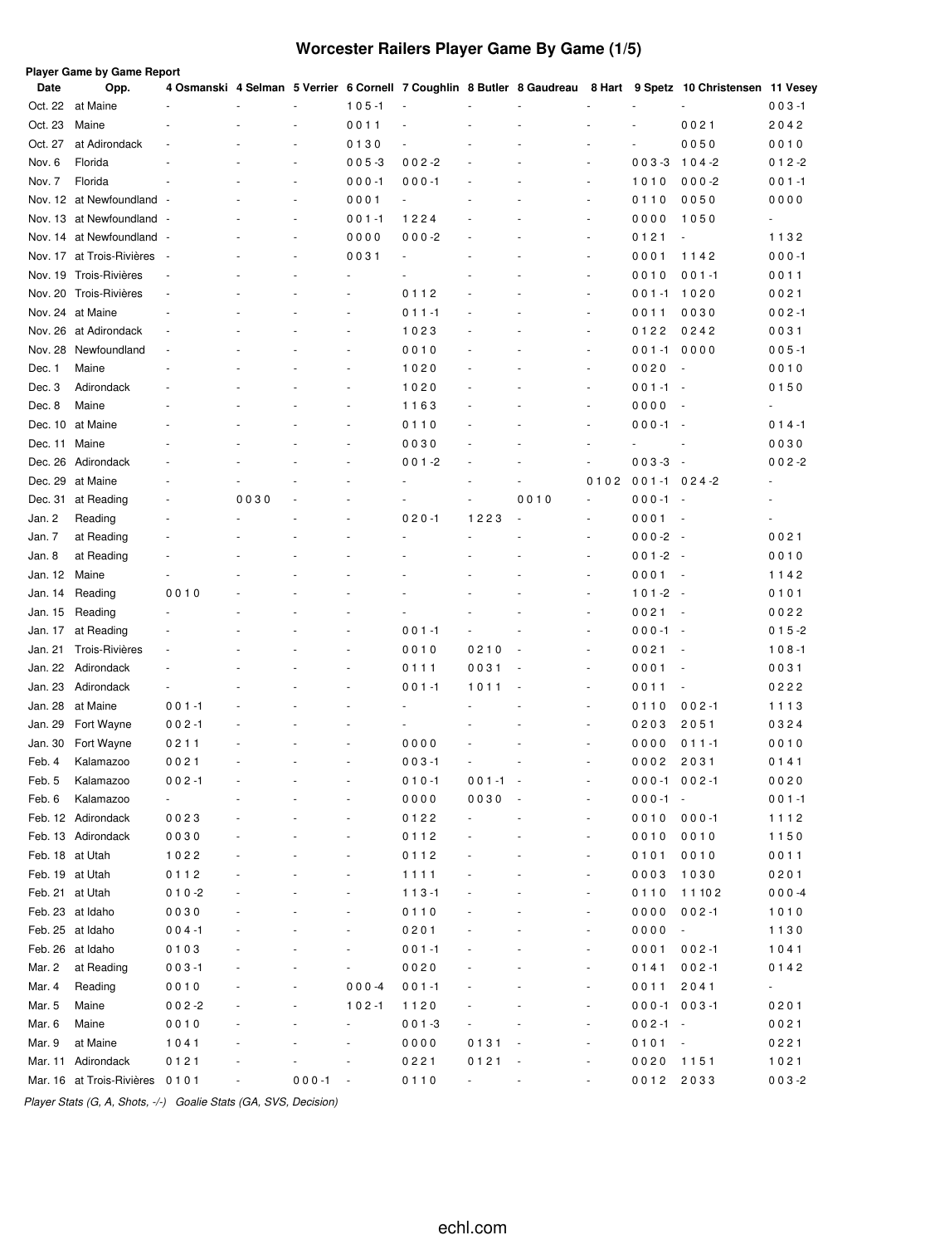# **Worcester Railers Player Game By Game (1/5)**

| Date            | Opp.                      |                          |      |                          |                              |           |                          |                          |                          |                  | 4 Osmanski 4 Selman 5 Verrier 6 Cornell 7 Coughlin 8 Butler 8 Gaudreau 8 Hart 9 Spetz 10 Christensen 11 Vesey |                          |
|-----------------|---------------------------|--------------------------|------|--------------------------|------------------------------|-----------|--------------------------|--------------------------|--------------------------|------------------|---------------------------------------------------------------------------------------------------------------|--------------------------|
| Oct. 22         | at Maine                  |                          |      |                          | $105 - 1$                    | ÷,        |                          |                          |                          |                  |                                                                                                               | $003 - 1$                |
| Oct. 23         | Maine                     |                          |      |                          | 0011                         |           |                          |                          |                          |                  | 0021                                                                                                          | 2042                     |
| Oct. 27         | at Adirondack             | $\ddot{\phantom{1}}$     |      | $\overline{a}$           | 0130                         |           |                          |                          |                          | $\overline{a}$   | 0050                                                                                                          | 0010                     |
| Nov. 6          | Florida                   |                          |      | $\overline{a}$           | $005 - 3$                    | $002 - 2$ |                          |                          | $\ddot{\phantom{1}}$     | $003 - 3$        | $104 - 2$                                                                                                     | 0 1 2 -2                 |
| Nov. 7          | Florida                   |                          |      | $\overline{\phantom{a}}$ | $000 - 1$                    | $000 - 1$ |                          |                          | ٠                        | 1010             | $000 - 2$                                                                                                     | $001 - 1$                |
|                 | Nov. 12 at Newfoundland - |                          |      | $\overline{\phantom{a}}$ | 0001                         | ÷,        |                          |                          | $\overline{a}$           | 0110             | 0050                                                                                                          | 0000                     |
|                 | Nov. 13 at Newfoundland - |                          |      | $\overline{\phantom{a}}$ | $001 - 1$                    | 1224      |                          |                          | ä,                       | 0000             | 1050                                                                                                          | $\overline{\phantom{0}}$ |
|                 | Nov. 14 at Newfoundland - |                          |      | $\overline{\phantom{a}}$ | 0000                         | $000 - 2$ | ÷                        |                          | ä,                       | 0121             | ä,                                                                                                            | 1132                     |
| Nov. 17         | at Trois-Rivières         | $\overline{\phantom{a}}$ |      | ٠                        | 0031                         | $\sim$    |                          |                          | $\overline{\phantom{a}}$ | 0001             | 1142                                                                                                          | $000 - 1$                |
| Nov. 19         | Trois-Rivières            | ä,                       |      |                          |                              |           |                          |                          | ä,                       | 0010             | $001 - 1$                                                                                                     | 0011                     |
| Nov. 20         | Trois-Rivières            | $\overline{\phantom{a}}$ |      |                          |                              | 0112      |                          |                          | $\overline{\phantom{a}}$ | $001 - 1$        | 1020                                                                                                          | 0021                     |
|                 | Nov. 24 at Maine          |                          |      |                          |                              | $011 - 1$ |                          |                          | ä,                       | 0011             | 0030                                                                                                          | $002 - 1$                |
|                 | Nov. 26 at Adirondack     |                          |      |                          |                              | 1023      |                          |                          | ÷,                       | 0122             | 0242                                                                                                          | 0031                     |
| Nov. 28         | Newfoundland              |                          |      |                          |                              | 0010      |                          |                          | ÷,                       | $001 - 1$        | 0000                                                                                                          | $005 - 1$                |
| Dec. 1          | Maine                     |                          |      |                          |                              | 1020      |                          |                          | ÷,                       | 0020             |                                                                                                               | 0010                     |
| Dec. 3          | Adirondack                |                          |      |                          |                              | 1020      |                          |                          | ÷,                       | 001-1            | $\sim$                                                                                                        | 0150                     |
| Dec. 8          | Maine                     |                          |      |                          |                              | 1163      |                          |                          | ÷,                       | 0000             |                                                                                                               |                          |
| Dec. 10         | at Maine                  |                          |      |                          |                              | 0110      |                          |                          | $\overline{\phantom{a}}$ | $000 - 1$        | . —                                                                                                           | $014 - 1$                |
| Dec. 11         | Maine                     |                          |      |                          |                              | 0030      |                          |                          | $\overline{a}$           |                  |                                                                                                               | 0030                     |
| Dec. 26         | Adirondack                |                          |      |                          |                              | $001 - 2$ |                          |                          | ÷,                       | $003 - 3$        | $\sim$                                                                                                        | $002 - 2$                |
| Dec. 29         | at Maine                  |                          |      |                          |                              |           |                          | ÷,                       | 0102                     | $001 - 1024 - 2$ |                                                                                                               | ٠                        |
| Dec. 31         | at Reading                |                          | 0030 |                          |                              |           |                          | 0010                     | $\overline{\phantom{a}}$ | $000 - 1$        | $\sim$                                                                                                        |                          |
| Jan. 2          | Reading                   |                          |      |                          |                              | $020 - 1$ | 1223                     |                          | $\overline{\phantom{a}}$ | 0001             | $\sim$                                                                                                        | ä,                       |
| Jan. 7          | at Reading                |                          |      |                          |                              |           |                          |                          | ٠                        | $000-2 -$        |                                                                                                               | 0021                     |
| Jan. 8          | at Reading                |                          |      |                          |                              |           |                          |                          | $\overline{\phantom{a}}$ | $001 - 2 -$      |                                                                                                               | 0010                     |
| Jan. 12         | Maine                     |                          |      |                          |                              |           |                          |                          | ÷,                       | 0001             | $\overline{\phantom{a}}$                                                                                      | 1142                     |
| Jan. 14         | Reading                   | 0010                     |      |                          |                              |           |                          |                          | $\overline{\phantom{a}}$ | 101-2            | . —                                                                                                           | 0101                     |
| Jan. 15         | Reading                   |                          |      |                          |                              |           |                          |                          | ÷,                       | 0021             | $\overline{\phantom{a}}$                                                                                      | 0022                     |
| Jan. 17         | at Reading                |                          |      |                          |                              | $001 - 1$ |                          |                          | $\overline{\phantom{a}}$ | $000 - 1$        | $\overline{\phantom{a}}$                                                                                      | $015 - 2$                |
| Jan. 21         | <b>Trois-Rivières</b>     |                          |      |                          |                              | 0010      | 0210                     |                          | ÷,                       | 0021             | $\overline{\phantom{a}}$                                                                                      | $108 - 1$                |
| Jan. 22         | Adirondack                |                          |      |                          |                              | 0111      | 0031                     |                          | ÷,                       | 0001             |                                                                                                               | 0031                     |
| Jan. 23         | Adirondack                |                          |      |                          |                              | $001 - 1$ | 1011                     |                          | ÷,                       | 0011             | ÷,                                                                                                            | 0222                     |
| Jan. 28         | at Maine                  | $001 - 1$                |      |                          |                              |           |                          |                          | ÷,                       | 0110             | $002 - 1$                                                                                                     | 1113                     |
|                 |                           |                          |      |                          |                              |           |                          |                          | ÷,                       | 0203             | 2051                                                                                                          |                          |
| Jan. 29         | Fort Wayne                | $002 - 1$                |      |                          |                              |           |                          |                          | ٠                        |                  |                                                                                                               | 0324                     |
| Jan. 30         | Fort Wayne                | 0211                     |      |                          |                              | 0000      |                          |                          |                          | 0000             | 0 1 1 -1                                                                                                      | 0010                     |
| Feb. 4          | Kalamazoo                 | 0021                     |      |                          |                              | $003 - 1$ |                          |                          | $\sim$                   | 0002             | 2031                                                                                                          | 0141                     |
| Feb. 5          | Kalamazoo                 | $002 - 1$                |      |                          |                              | $010 - 1$ | $001 - 1$                | $\overline{\phantom{a}}$ |                          | $000 - 1002 - 1$ |                                                                                                               | 0020                     |
| Feb. 6          | Kalamazoo                 | $\blacksquare$           |      |                          |                              | 0000      | 0030                     |                          | ä,                       | $000 - 1 -$      |                                                                                                               | $001 - 1$                |
|                 | Feb. 12 Adirondack        | 0023                     |      |                          | ٠                            | 0122      |                          |                          | $\frac{1}{2}$            | 0010             | $000 - 1$                                                                                                     | 1112                     |
|                 | Feb. 13 Adirondack        | 0030                     |      |                          | $\qquad \qquad \blacksquare$ | 0112      |                          |                          | ÷,                       | 0010             | 0010                                                                                                          | 1150                     |
| Feb. 18 at Utah |                           | 1022                     |      |                          | ٠                            | 0112      |                          |                          | $\frac{1}{2}$            | 0101             | 0010                                                                                                          | 0011                     |
| Feb. 19 at Utah |                           | 0112                     |      |                          | $\qquad \qquad \blacksquare$ | 1111      |                          |                          | ÷,                       | 0003             | 1030                                                                                                          | 0201                     |
| Feb. 21 at Utah |                           | $010 - 2$                |      |                          | ٠                            | $113 - 1$ |                          |                          | $\frac{1}{2}$            | 0110             | 11102                                                                                                         | $000 - 4$                |
|                 | Feb. 23 at Idaho          | 0030                     |      |                          | $\qquad \qquad \blacksquare$ | 0110      |                          |                          | $\blacksquare$           | 0000             | $002 - 1$                                                                                                     | 1010                     |
|                 | Feb. 25 at Idaho          | $004 - 1$                |      |                          | $\blacksquare$               | 0201      |                          |                          | $\blacksquare$           | 0000             | $\overline{\phantom{a}}$                                                                                      | 1130                     |
|                 | Feb. 26 at Idaho          | 0103                     |      |                          | $\blacksquare$               | $001 - 1$ |                          |                          | $\blacksquare$           | 0001             | $002 - 1$                                                                                                     | 1041                     |
| Mar. 2          | at Reading                | $003 - 1$                |      | $\frac{1}{2}$            | $\overline{\phantom{a}}$     | 0020      |                          |                          | $\blacksquare$           | 0141             | $002 - 1$                                                                                                     | 0142                     |
| Mar. 4          | Reading                   | 0010                     |      | $\frac{1}{2}$            | $000 - 4$                    | $001 - 1$ |                          |                          | ÷,                       | 0011             | 2041                                                                                                          | $\sim$                   |
| Mar. 5          | Maine                     | $002 - 2$                |      |                          | $102 - 1$                    | 1120      |                          |                          | ÷,                       | $000 - 1003 - 1$ |                                                                                                               | 0201                     |
| Mar. 6          | Maine                     | 0010                     |      |                          | ÷                            | $001 - 3$ |                          |                          | ÷,                       | $002 - 1 -$      |                                                                                                               | 0021                     |
| Mar. 9          | at Maine                  | 1041                     |      |                          |                              | 0000      | 0131                     |                          | ÷,                       | $0101 -$         |                                                                                                               | 0221                     |
|                 | Mar. 11 Adirondack        | 0121                     |      |                          |                              | 0221      | 0121                     |                          | ÷                        | 0020             | 1151                                                                                                          | 1021                     |
|                 | Mar. 16 at Trois-Rivières | 0101                     |      | $000 - 1$                | $\overline{\phantom{a}}$     | 0110      | $\overline{\phantom{a}}$ |                          | $\blacksquare$           | 0012             | 2033                                                                                                          | $003 - 2$                |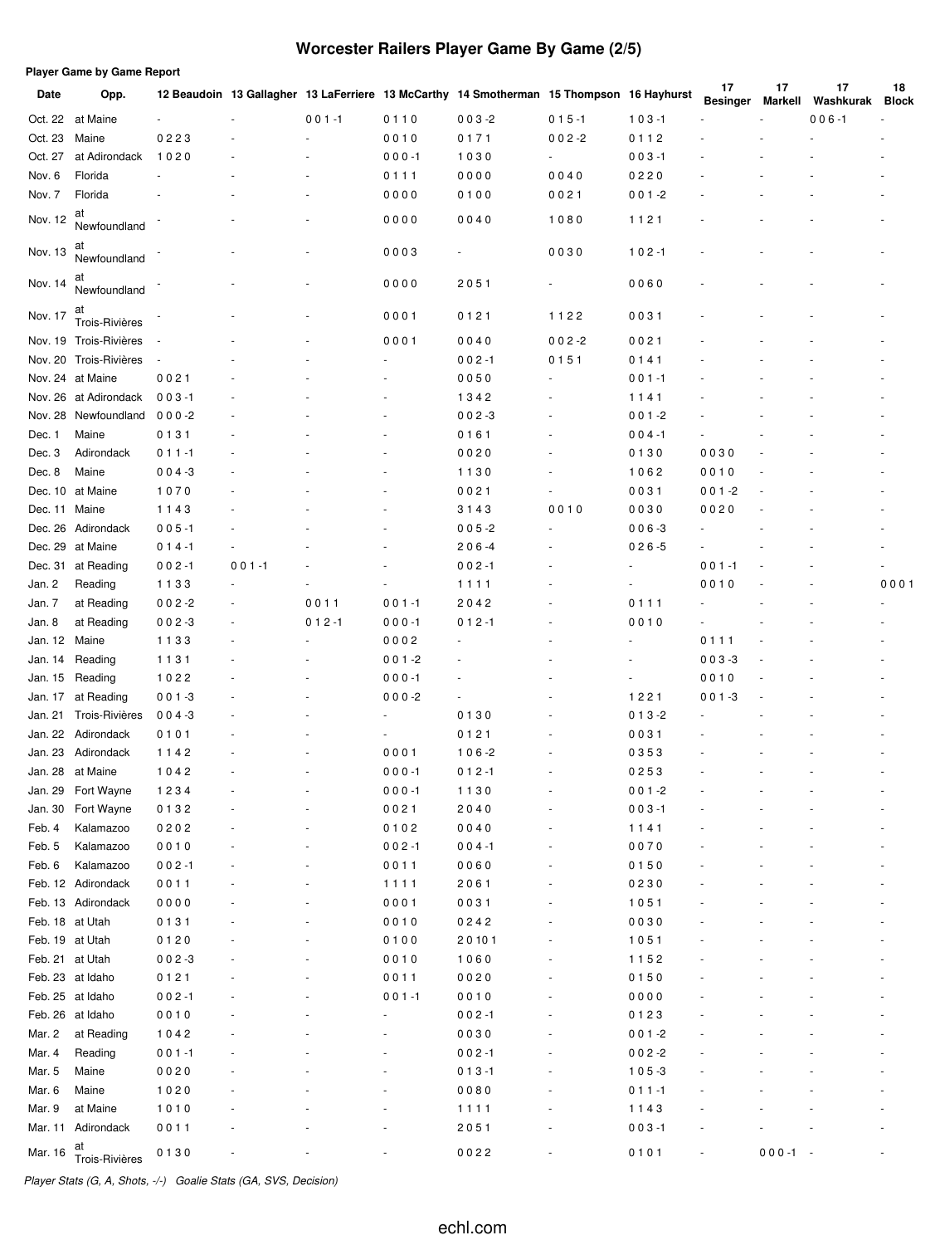# **Worcester Railers Player Game By Game (2/5)**

|  |  | Player Game by Game Report |
|--|--|----------------------------|
|  |  |                            |

| Date    | Opp.                   |           |           |           |           | 12 Beaudoin 13 Gallagher 13 LaFerriere 13 McCarthy 14 Smotherman 15 Thompson 16 Hayhurst |           |           | 17<br><b>Besinger</b> | 17<br>Markell | 17<br>Washkurak | 18<br><b>Block</b> |
|---------|------------------------|-----------|-----------|-----------|-----------|------------------------------------------------------------------------------------------|-----------|-----------|-----------------------|---------------|-----------------|--------------------|
|         | Oct. 22 at Maine       |           |           | $001 - 1$ | 0110      | $003 - 2$                                                                                | $015 - 1$ | $103 - 1$ |                       |               | $006 - 1$       |                    |
| Oct. 23 | Maine                  | 0223      |           |           | 0010      | 0171                                                                                     | $002 - 2$ | 0112      |                       |               |                 |                    |
| Oct. 27 | at Adirondack          | 1020      |           |           | $000 - 1$ | 1030                                                                                     |           | $003 - 1$ |                       |               |                 |                    |
| Nov. 6  | Florida                |           |           |           | 0111      | 0000                                                                                     | 0040      | 0220      |                       |               |                 |                    |
| Nov. 7  | Florida                |           |           |           | 0000      | 0100                                                                                     | 0021      | $001 - 2$ |                       |               |                 |                    |
| Nov. 12 | at<br>Newfoundland     |           |           |           | 0000      | 0040                                                                                     | 1080      | 1121      |                       |               |                 |                    |
| Nov. 13 | at<br>Newfoundland     |           |           |           | 0003      |                                                                                          | 0030      | $102 - 1$ |                       |               |                 |                    |
| Nov. 14 | at<br>Newfoundland     |           |           |           | 0000      | 2051                                                                                     |           | 0060      |                       |               |                 |                    |
| Nov. 17 | at<br>Trois-Rivières   |           |           |           | 0001      | 0121                                                                                     | 1122      | 0031      |                       |               |                 |                    |
|         | Nov. 19 Trois-Rivières |           |           |           | 0001      | 0040                                                                                     | $002 - 2$ | 0021      |                       |               |                 |                    |
|         | Nov. 20 Trois-Rivières |           |           |           |           | $002 - 1$                                                                                | 0151      | 0141      |                       |               |                 |                    |
|         | Nov. 24 at Maine       | 0021      |           |           |           | 0050                                                                                     |           | $001 - 1$ |                       |               |                 |                    |
|         | Nov. 26 at Adirondack  | $003 - 1$ |           |           |           | 1342                                                                                     |           | 1141      |                       |               |                 |                    |
| Nov. 28 | Newfoundland           | $000 - 2$ |           |           |           | $002 - 3$                                                                                |           | $001 - 2$ |                       |               |                 |                    |
| Dec. 1  | Maine                  | 0131      |           |           |           | 0161                                                                                     |           | $004 - 1$ |                       |               |                 |                    |
|         |                        |           |           |           |           |                                                                                          |           |           |                       |               |                 |                    |
| Dec. 3  | Adirondack             | $011 - 1$ |           |           |           | 0020                                                                                     |           | 0130      | 0030                  |               |                 |                    |
| Dec. 8  | Maine                  | $004 - 3$ |           |           |           | 1130                                                                                     |           | 1062      | 0010                  |               |                 |                    |
|         | Dec. 10 at Maine       | 1070      |           |           |           | 0021                                                                                     |           | 0031      | $001 - 2$             |               |                 |                    |
| Dec. 11 | Maine                  | 1143      |           |           |           | 3143                                                                                     | 0010      | 0030      | 0020                  |               |                 |                    |
|         | Dec. 26 Adirondack     | $005 - 1$ |           |           |           | $005 - 2$                                                                                |           | $006 - 3$ |                       |               |                 |                    |
|         | Dec. 29 at Maine       | $014 - 1$ |           |           |           | $206 - 4$                                                                                |           | $026 - 5$ |                       |               |                 |                    |
| Dec. 31 | at Reading             | $002 - 1$ | $001 - 1$ |           |           | $002 - 1$                                                                                |           |           | $001 - 1$             |               |                 |                    |
| Jan. 2  | Reading                | 1133      |           |           |           | 1111                                                                                     |           |           | 0010                  |               |                 | 0001               |
| Jan. 7  | at Reading             | $002 - 2$ |           | 0011      | $001 - 1$ | 2042                                                                                     |           | 0111      |                       |               |                 |                    |
| Jan. 8  | at Reading             | $002 - 3$ |           | $012 - 1$ | $000 - 1$ | $012 - 1$                                                                                |           | 0010      |                       |               |                 |                    |
| Jan. 12 | Maine                  | 1133      |           |           | 0002      |                                                                                          |           |           | 0111                  |               |                 |                    |
| Jan. 14 | Reading                | 1131      |           |           | $001 - 2$ |                                                                                          |           |           | $003 - 3$             |               |                 |                    |
| Jan. 15 | Reading                | 1022      |           |           | $000 - 1$ |                                                                                          |           |           | 0010                  |               |                 |                    |
| Jan. 17 | at Reading             | $001 - 3$ |           |           | $000-2$   |                                                                                          |           | 1221      | $001 - 3$             |               |                 |                    |
| Jan. 21 | Trois-Rivières         | $004 - 3$ |           |           |           | 0130                                                                                     |           | $013 - 2$ |                       |               |                 |                    |
| Jan. 22 | Adirondack             | 0101      |           |           |           | 0121                                                                                     |           | 0031      |                       |               |                 |                    |
|         |                        |           |           |           |           |                                                                                          |           |           |                       |               |                 |                    |
| Jan. 23 | Adirondack             | 1142      |           |           | 0001      | $106 - 2$                                                                                |           | 0353      |                       |               |                 |                    |
|         | Jan. 28 at Maine       | 1042      |           |           | $000 - 1$ | $012 - 1$                                                                                |           | 0253      |                       |               |                 |                    |
| Jan. 29 | Fort Wayne             | 1234      |           |           | $000 - 1$ | 1130                                                                                     |           | $001 - 2$ |                       |               |                 |                    |
| Jan. 30 | Fort Wayne             | 0132      |           |           | 0021      | 2040                                                                                     |           | $003 - 1$ |                       |               |                 |                    |
| Feb. 4  | Kalamazoo              | 0202      |           |           | 0102      | 0040                                                                                     |           | 1141      |                       |               |                 |                    |
| Feb. 5  | Kalamazoo              | 0010      |           |           | $002 - 1$ | $004 - 1$                                                                                |           | 0070      |                       |               |                 |                    |
| Feb. 6  | Kalamazoo              | $002 - 1$ |           |           | 0011      | 0060                                                                                     |           | 0150      |                       |               |                 |                    |
|         | Feb. 12 Adirondack     | 0011      |           |           | 1111      | 2061                                                                                     |           | 0230      |                       |               |                 |                    |
|         | Feb. 13 Adirondack     | 0000      |           |           | 0001      | 0031                                                                                     |           | 1051      |                       |               |                 |                    |
|         | Feb. 18 at Utah        | 0131      |           |           | 0010      | 0242                                                                                     |           | 0030      |                       |               |                 |                    |
|         | Feb. 19 at Utah        | 0120      |           |           | 0100      | 20101                                                                                    |           | 1051      |                       |               |                 |                    |
|         | Feb. 21 at Utah        | $002 - 3$ |           |           | 0010      | 1060                                                                                     |           | 1152      |                       |               |                 |                    |
|         | Feb. 23 at Idaho       | 0121      |           |           | 0011      | 0020                                                                                     |           | 0150      |                       |               |                 |                    |
|         | Feb. 25 at Idaho       | $002 - 1$ |           |           | $001 - 1$ | 0010                                                                                     |           | 0000      |                       |               |                 |                    |
|         |                        |           |           |           |           |                                                                                          |           |           |                       |               |                 |                    |
|         | Feb. 26 at Idaho       | 0010      |           |           |           | $002 - 1$                                                                                |           | 0123      |                       |               |                 |                    |
| Mar. 2  | at Reading             | 1042      |           |           |           | 0030                                                                                     |           | $001 - 2$ |                       |               |                 |                    |
| Mar. 4  | Reading                | $001 - 1$ |           |           |           | $002 - 1$                                                                                |           | $002 - 2$ |                       |               |                 |                    |
| Mar. 5  | Maine                  | 0020      |           |           |           | $013 - 1$                                                                                |           | $105 - 3$ |                       |               |                 |                    |
| Mar. 6  | Maine                  | 1020      |           |           |           | 0080                                                                                     |           | $011 - 1$ |                       |               |                 |                    |
| Mar. 9  | at Maine               | 1010      |           |           |           | 1111                                                                                     |           | 1143      |                       |               |                 |                    |
|         | Mar. 11 Adirondack     | 0011      |           |           |           | 2051                                                                                     |           | $003 - 1$ |                       |               |                 |                    |
| Mar. 16 | at<br>Trois-Rivières   | 0130      |           |           |           | 0022                                                                                     |           | 0101      |                       | $000 - 1 -$   |                 |                    |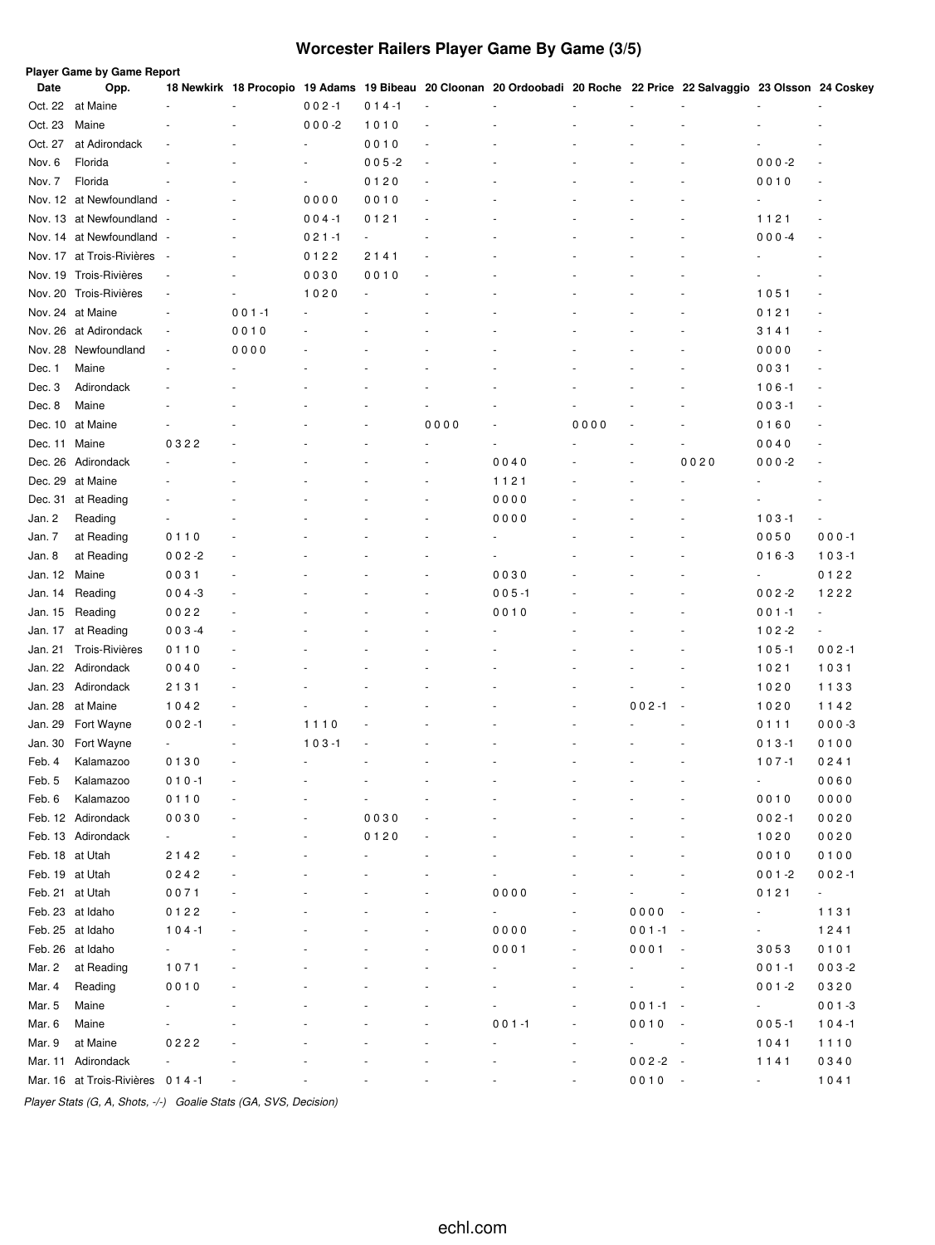# **Worcester Railers Player Game By Game (3/5)**

|                 | Player Game by Game Report         |                          |                          |                |           |        |                                                                                                                      |                |             |                          |           |                          |
|-----------------|------------------------------------|--------------------------|--------------------------|----------------|-----------|--------|----------------------------------------------------------------------------------------------------------------------|----------------|-------------|--------------------------|-----------|--------------------------|
| Date            | Opp.                               |                          |                          |                |           | ÷,     | 18 Newkirk 18 Procopio 19 Adams 19 Bibeau 20 Cloonan 20 Ordoobadi 20 Roche 22 Price 22 Salvaggio 23 Olsson 24 Coskey |                |             |                          |           |                          |
| Oct. 22         | at Maine                           |                          |                          | $002 - 1$      | $014 - 1$ |        |                                                                                                                      |                |             |                          |           |                          |
| Oct. 23         | Maine                              |                          |                          | $000 - 2$      | 1010      | ä,     |                                                                                                                      |                |             |                          |           |                          |
| Oct. 27         | at Adirondack                      |                          |                          |                | 0010      |        |                                                                                                                      |                |             |                          |           |                          |
| Nov. 6          | Florida                            |                          |                          |                | $005 - 2$ | $\sim$ |                                                                                                                      |                |             |                          | $000 - 2$ | $\overline{a}$           |
| Nov. 7          | Florida                            |                          |                          |                | 0120      | ÷,     |                                                                                                                      |                |             |                          | 0010      |                          |
|                 | Nov. 12 at Newfoundland            | . .                      |                          | 0000           | 0010      |        |                                                                                                                      |                |             |                          |           |                          |
|                 | Nov. 13 at Newfoundland -          |                          |                          | $004 - 1$      | 0121      |        |                                                                                                                      |                |             |                          | 1121      | ÷,                       |
|                 | Nov. 14 at Newfoundland -          |                          |                          | $021 - 1$      | ä,        |        |                                                                                                                      |                |             |                          | $000 -4$  | ÷,                       |
|                 | Nov. 17 at Trois-Rivières          | $\overline{\phantom{a}}$ |                          | 0122           | 2141      |        |                                                                                                                      |                |             |                          |           |                          |
|                 | Nov. 19 Trois-Rivières             | $\overline{\phantom{a}}$ |                          | 0030           | 0010      |        |                                                                                                                      |                |             |                          |           |                          |
|                 | Nov. 20 Trois-Rivières             | ÷,                       | $\overline{\phantom{a}}$ | 1020           |           |        |                                                                                                                      |                |             |                          | 1051      | ٠                        |
|                 | Nov. 24 at Maine                   | ÷.                       | $001 - 1$                |                |           |        |                                                                                                                      |                |             |                          | 0121      | ٠                        |
|                 | Nov. 26 at Adirondack              | $\overline{\phantom{a}}$ | 0010                     |                |           |        |                                                                                                                      |                |             |                          | 3141      |                          |
|                 | Nov. 28 Newfoundland               | $\overline{\phantom{a}}$ | 0000                     |                |           |        |                                                                                                                      |                |             |                          | 0000      |                          |
| Dec. 1          | Maine                              |                          |                          |                |           |        |                                                                                                                      |                |             |                          | 0031      |                          |
| Dec. 3          | Adirondack                         |                          |                          |                |           |        |                                                                                                                      |                |             |                          | $106 - 1$ | ä,                       |
| Dec. 8          | Maine                              |                          |                          |                |           |        |                                                                                                                      |                |             |                          | $003 - 1$ |                          |
|                 | Dec. 10 at Maine                   |                          |                          |                |           | 0000   |                                                                                                                      | 0000           |             |                          | 0160      |                          |
| Dec. 11         | Maine                              | 0322                     |                          |                |           |        | ä,                                                                                                                   |                |             |                          | 0040      | ä,                       |
| Dec. 26         | Adirondack                         |                          |                          |                |           |        | 0040                                                                                                                 |                |             | 0020                     | $000 - 2$ | ٠                        |
| Dec. 29         | at Maine                           |                          |                          |                |           |        | 1121                                                                                                                 |                |             |                          |           | ä,                       |
| Dec. 31         | at Reading                         |                          |                          |                |           |        | 0000                                                                                                                 |                |             |                          |           | ä,                       |
| Jan. 2          | Reading                            |                          |                          |                |           |        | 0000                                                                                                                 |                |             |                          | $103 - 1$ | $\overline{\phantom{a}}$ |
| Jan. 7          | at Reading                         | 0110                     |                          |                |           |        |                                                                                                                      |                |             |                          | 0050      | $000 - 1$                |
| Jan. 8          | at Reading                         | $002 - 2$                |                          |                |           |        |                                                                                                                      |                |             |                          | $016 - 3$ | $103 - 1$                |
| Jan. 12         | Maine                              | 0031                     |                          |                |           |        | 0030                                                                                                                 |                |             |                          |           | 0122                     |
| Jan. 14         | Reading                            | $004 - 3$                |                          |                |           |        | $005 - 1$                                                                                                            |                |             |                          | $002 - 2$ | 1222                     |
| Jan. 15         | Reading                            | 0022                     |                          |                |           |        | 0010                                                                                                                 |                |             |                          | $001 - 1$ | ÷,                       |
| Jan. 17         | at Reading                         | $003 -4$                 |                          |                |           |        |                                                                                                                      |                |             |                          | $102 - 2$ | $\blacksquare$           |
| Jan. 21         | Trois-Rivières                     | 0110                     |                          |                |           |        |                                                                                                                      |                |             |                          | $105 - 1$ | $002 - 1$                |
| Jan. 22         | Adirondack                         | 0040                     |                          |                |           |        |                                                                                                                      |                |             |                          | 1021      | 1031                     |
| Jan. 23         | Adirondack                         | 2131                     |                          |                |           |        |                                                                                                                      |                |             |                          | 1020      | 1133                     |
|                 |                                    |                          |                          |                |           |        |                                                                                                                      |                |             |                          |           |                          |
| Jan. 28         | at Maine                           | 1042                     |                          |                |           |        |                                                                                                                      |                | $002 - 1$   |                          | 1020      | 1142                     |
| Jan. 29         | Fort Wayne                         | $002 - 1$                | ÷,                       | 1110           |           |        |                                                                                                                      |                |             |                          | 0111      | $000-3$                  |
| Jan. 30         | Fort Wayne                         |                          |                          | $103 - 1$      |           |        |                                                                                                                      |                |             |                          | $013 - 1$ | 0100                     |
| Feb. 4          | Kalamazoo                          | 0130                     | $\ddot{\phantom{1}}$     | $\overline{a}$ |           |        |                                                                                                                      |                |             |                          | $107 - 1$ | 0241                     |
| Feb. 5          | Kalamazoo                          | $010 - 1$                |                          |                |           |        |                                                                                                                      |                |             |                          | ÷         | 0060                     |
| Feb. 6          | Kalamazoo                          | 0110                     |                          |                |           |        |                                                                                                                      |                |             |                          | 0010      | 0000                     |
|                 | Feb. 12 Adirondack                 | 0030                     |                          |                | 0030      |        |                                                                                                                      |                |             |                          | $002 - 1$ | 0020                     |
|                 | Feb. 13 Adirondack                 | ÷                        |                          |                | 0120      |        |                                                                                                                      |                |             |                          | 1020      | 0020                     |
| Feb. 18 at Utah |                                    | 2142                     |                          |                |           |        |                                                                                                                      |                |             |                          | 0010      | 0100                     |
| Feb. 19 at Utah |                                    | 0242                     | ٠                        |                |           |        |                                                                                                                      |                |             |                          | $001 - 2$ | $002 - 1$                |
| Feb. 21 at Utah |                                    | 0071                     |                          |                |           |        | 0000                                                                                                                 |                |             |                          | 0121      | $\sigma_{\rm{max}}$      |
|                 | Feb. 23 at Idaho                   | 0122                     |                          |                |           |        | ÷,                                                                                                                   |                | 0000        | $\overline{\phantom{a}}$ | ÷         | 1131                     |
|                 | Feb. 25 at Idaho                   | $104 - 1$                |                          |                |           |        | 0000                                                                                                                 | ä,             | $001 - 1 -$ |                          | ÷         | 1241                     |
|                 | Feb. 26 at Idaho                   |                          |                          |                |           |        | 0001                                                                                                                 | $\frac{1}{2}$  | 0001        | $\sim$                   | 3053      | 0101                     |
| Mar. 2          | at Reading                         | 1071                     |                          |                |           |        | ä,                                                                                                                   | ٠              |             |                          | $001 - 1$ | $003 - 2$                |
| Mar. 4          | Reading                            | 0010                     |                          |                |           |        |                                                                                                                      | ÷,             |             |                          | $001 - 2$ | 0320                     |
| Mar. 5          | Maine                              |                          |                          |                |           |        |                                                                                                                      | ÷              | $001 - 1 -$ |                          | ۰         | $001 - 3$                |
| Mar. 6          | Maine                              |                          |                          |                |           |        | $001 - 1$                                                                                                            |                | 0010        | $\sim$ $\sim$            | $005 - 1$ | $104 - 1$                |
| Mar. 9          | at Maine                           | 0222                     |                          |                |           |        |                                                                                                                      | ÷              | ÷           | $\sim$                   | 1041      | 1110                     |
|                 | Mar. 11 Adirondack                 | $\overline{\phantom{a}}$ |                          |                |           |        |                                                                                                                      | $\overline{a}$ | $002 - 2 -$ |                          | 1141      | 0340                     |
|                 | Mar. 16 at Trois-Rivières 0 1 4 -1 |                          |                          |                |           |        |                                                                                                                      | $\frac{1}{2}$  | $0010 -$    |                          | $\sim$    | 1041                     |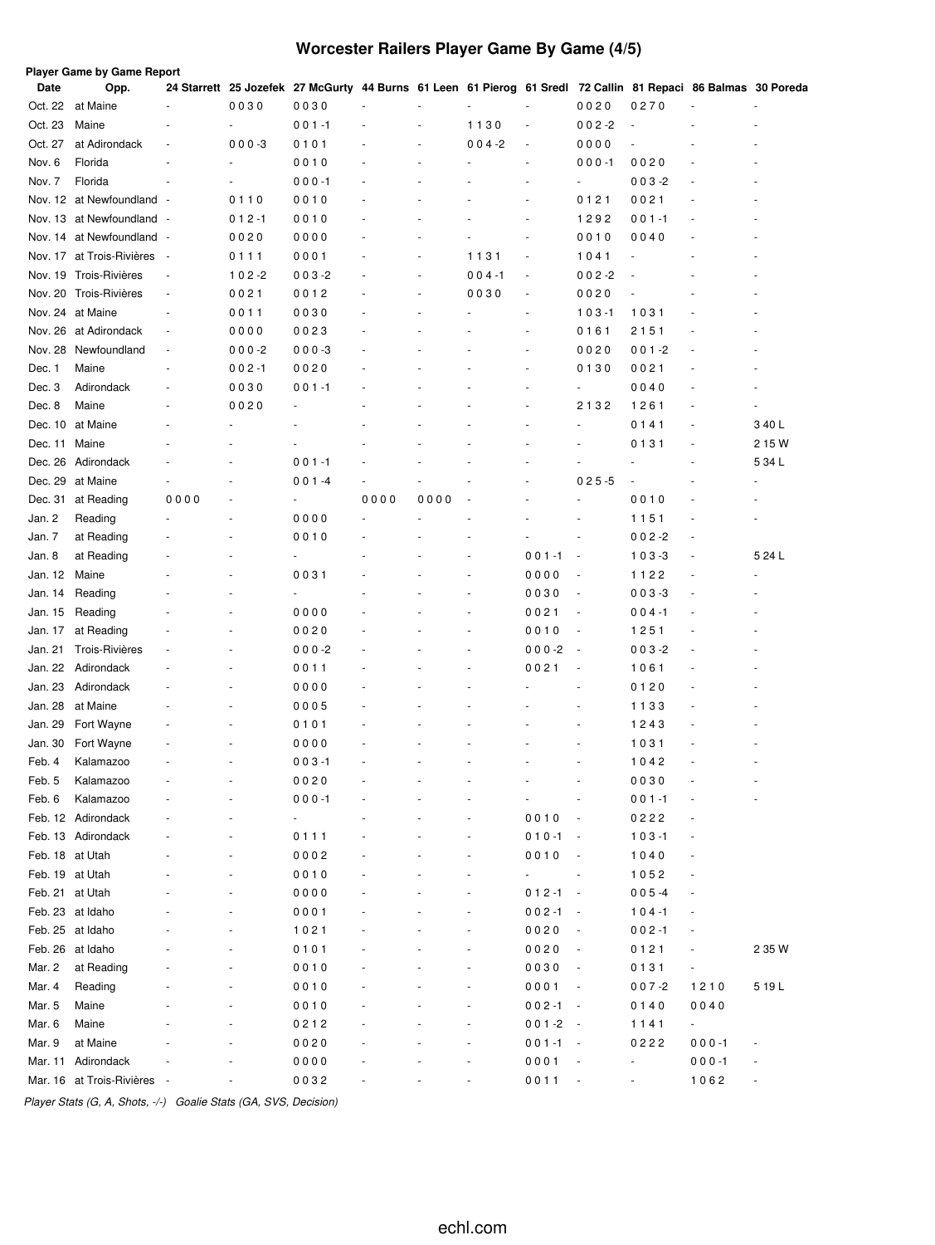# **Worcester Railers Player Game By Game (4/5)**

| Date            | <b>Player Game by Game Report</b><br>Opp. |                          |           | 24 Starrett 25 Jozefek 27 McGurty 44 Burns 61 Leen 61 Pierog 61 Sredl 72 Callin 81 Repaci 86 Balmas 30 Poreda |      |      |           |                          |                          |                |                          |                |
|-----------------|-------------------------------------------|--------------------------|-----------|---------------------------------------------------------------------------------------------------------------|------|------|-----------|--------------------------|--------------------------|----------------|--------------------------|----------------|
| Oct. 22         | at Maine                                  |                          | 0030      | 0030                                                                                                          |      |      |           |                          | 0020                     | 0270           | ÷,                       |                |
| Oct. 23         | Maine                                     |                          | ÷,        | $001 - 1$                                                                                                     |      |      | 1130      | $\overline{\phantom{a}}$ | $002 -2$                 | $\blacksquare$ |                          | ٠              |
| Oct. 27         | at Adirondack                             | $\overline{\phantom{a}}$ | $000 - 3$ | 0101                                                                                                          |      | ä,   | $004 - 2$ | ä,                       | 0000                     |                |                          |                |
| Nov. 6          | Florida                                   |                          | ä,        | 0010                                                                                                          |      |      |           |                          | $000 - 1$                | 0020           | ٠                        |                |
| Nov. 7          | Florida                                   |                          |           | $000 - 1$                                                                                                     |      |      |           |                          |                          | $003 - 2$      | ÷,                       |                |
|                 | Nov. 12 at Newfoundland -                 |                          | 0110      | 0010                                                                                                          |      |      |           |                          | 0121                     | 0021           |                          |                |
|                 | Nov. 13 at Newfoundland                   |                          | $012 - 1$ | 0010                                                                                                          |      |      |           |                          | 1292                     | $001 - 1$      | ÷,                       |                |
|                 | Nov. 14 at Newfoundland -                 |                          | 0020      | 0000                                                                                                          |      |      |           | $\overline{\phantom{a}}$ | 0010                     | 0040           |                          | ä,             |
|                 | Nov. 17 at Trois-Rivières                 | $\overline{\phantom{a}}$ | 0111      | 0001                                                                                                          |      | ٠    | 1131      | $\overline{\phantom{a}}$ | 1041                     | ÷,             |                          |                |
|                 | Nov. 19 Trois-Rivières                    | $\overline{\phantom{a}}$ | $102 - 2$ | $003 - 2$                                                                                                     |      |      | $004 - 1$ | $\frac{1}{2}$            | $002 - 2$                |                |                          |                |
|                 | Nov. 20 Trois-Rivières                    | $\overline{\phantom{a}}$ | 0021      | 0012                                                                                                          |      | ٠    | 0030      | ÷,                       | 0020                     | ÷,             |                          |                |
|                 | Nov. 24 at Maine                          | $\sim$                   | 0011      | 0030                                                                                                          |      |      |           | $\overline{\phantom{a}}$ | $103 - 1$                | 1031           | ٠                        |                |
|                 | Nov. 26 at Adirondack                     | $\overline{\phantom{a}}$ | 0000      | 0023                                                                                                          |      |      |           |                          | 0161                     | 2151           | ٠                        |                |
| Nov. 28         | Newfoundland                              | $\sim$                   | $000 - 2$ | $000-3$                                                                                                       |      |      |           | ä,                       | 0020                     | $001 - 2$      | ٠                        |                |
| Dec. 1          | Maine                                     |                          | $002 - 1$ | 0020                                                                                                          |      |      |           |                          | 0130                     | 0021           |                          |                |
| Dec. 3          | Adirondack                                |                          | 0030      | $001 - 1$                                                                                                     |      |      |           |                          |                          | 0040           |                          |                |
| Dec. 8          | Maine                                     |                          | 0020      |                                                                                                               |      |      |           |                          | 2132                     | 1261           | ٠                        |                |
| Dec. 10         | at Maine                                  |                          |           |                                                                                                               |      |      |           |                          |                          | 0141           | ٠                        | 340L           |
| Dec. 11         | Maine                                     |                          |           |                                                                                                               |      |      |           |                          |                          | 0131           | ٠                        | 2 15 W         |
|                 | Dec. 26 Adirondack                        |                          |           | $001 - 1$                                                                                                     |      |      |           |                          |                          | ÷,             |                          | 5 34 L         |
| Dec. 29         | at Maine                                  |                          |           | $001 - 4$                                                                                                     |      |      |           |                          | $025 - 5$                | $\frac{1}{2}$  |                          |                |
| Dec. 31         | at Reading                                | 0000                     |           | ÷,                                                                                                            | 0000 | 0000 |           |                          |                          | 0010           |                          |                |
| Jan. 2          | Reading                                   |                          |           | 0000                                                                                                          |      |      |           |                          |                          | 1151           |                          |                |
| Jan. 7          | at Reading                                |                          |           | 0010                                                                                                          |      |      |           |                          |                          | $002 - 2$      | $\overline{\phantom{a}}$ |                |
| Jan. 8          | at Reading                                |                          |           |                                                                                                               |      |      |           | $001 - 1$                | $\overline{\phantom{a}}$ | $103 - 3$      | ÷,                       | 5 24 L         |
| Jan. 12         | Maine                                     |                          |           | 0031                                                                                                          |      |      |           | 0000                     | $\overline{\phantom{a}}$ | 1122           | $\overline{a}$           |                |
| Jan. 14         | Reading                                   |                          |           | $\overline{\phantom{a}}$                                                                                      |      |      |           | 0030                     | $\overline{\phantom{a}}$ | $003 - 3$      | ÷,                       | ٠              |
| Jan. 15         | Reading                                   |                          |           | 0000                                                                                                          |      |      |           | 0021                     | $\overline{\phantom{a}}$ | 004-1          | ٠                        |                |
| Jan. 17         | at Reading                                |                          |           | 0020                                                                                                          |      |      |           | 0010                     | $\overline{\phantom{a}}$ | 1251           | ٠                        |                |
| Jan. 21         | Trois-Rivières                            |                          |           | $000 - 2$                                                                                                     |      |      |           | $000 - 2$                | $\overline{\phantom{a}}$ | $003 - 2$      | ٠                        |                |
|                 | Jan. 22 Adirondack                        |                          |           | 0011                                                                                                          |      |      |           | 0021                     | $\overline{\phantom{a}}$ | 1061           | ÷,                       |                |
| Jan. 23         | Adirondack                                |                          |           | 0000                                                                                                          |      |      |           |                          |                          | 0120           | ÷,                       |                |
| Jan. 28         | at Maine                                  |                          |           | 0005                                                                                                          |      |      |           |                          |                          | 1133           | ÷,                       |                |
| Jan. 29         | Fort Wayne                                |                          |           | 0101                                                                                                          |      |      |           |                          |                          | 1243           |                          |                |
| Jan. 30         | Fort Wayne                                |                          |           | 0000                                                                                                          |      |      |           |                          |                          | 1031           |                          |                |
| Feb. 4          | Kalamazoo                                 |                          |           | $003 - 1$                                                                                                     |      |      |           |                          |                          | 1042           |                          |                |
| Feb. 5          | Kalamazoo                                 |                          |           | 0020                                                                                                          |      |      |           |                          |                          | 0030           |                          |                |
| Feb. 6          | Kalamazoo                                 |                          |           | $000 - 1$                                                                                                     |      |      |           |                          | $\overline{\phantom{a}}$ | $001 - 1$      |                          |                |
|                 | Feb. 12 Adirondack                        |                          |           | $\overline{\phantom{a}}$                                                                                      |      |      |           | 0010                     | $\overline{\phantom{a}}$ | 0222           | $\overline{\phantom{a}}$ |                |
|                 | Feb. 13 Adirondack                        |                          |           | 0111                                                                                                          |      |      |           | $010 - 1$                | $\sim$                   | $103 - 1$      | $\overline{a}$           |                |
| Feb. 18 at Utah |                                           |                          |           | 0002                                                                                                          |      |      |           | 0010                     | $\overline{\phantom{a}}$ | 1040           | ÷,                       |                |
| Feb. 19 at Utah |                                           |                          |           | 0010                                                                                                          |      |      |           | ÷,                       |                          | 1052           | $\blacksquare$           |                |
| Feb. 21 at Utah |                                           |                          |           | 0000                                                                                                          |      |      |           | $012 - 1 -$              |                          | $005 - 4$      | $\blacksquare$           |                |
|                 | Feb. 23 at Idaho                          |                          |           | 0001                                                                                                          |      |      |           | $002 - 1$                | $\sim$                   | $104 - 1$      | $\overline{a}$           |                |
|                 | Feb. 25 at Idaho                          |                          |           | 1021                                                                                                          |      |      |           | 0020                     |                          | $002 - 1$      | $\overline{\phantom{a}}$ |                |
|                 | Feb. 26 at Idaho                          |                          |           | 0101                                                                                                          |      |      |           | 0020                     |                          | 0121           | $\blacksquare$           | 2 35 W         |
| Mar. 2          | at Reading                                |                          |           | 0010                                                                                                          |      |      |           | 0030                     |                          | 0131           | ä,                       |                |
| Mar. 4          | Reading                                   |                          |           | 0010                                                                                                          |      |      |           | 0001                     | $\overline{\phantom{a}}$ | $007 - 2$      | 1210                     | 519 L          |
| Mar. 5          | Maine                                     |                          |           | 0010                                                                                                          |      |      |           | $002 - 1$                | $\sim$                   | 0140           | 0040                     |                |
| Mar. 6          | Maine                                     |                          |           | 0212                                                                                                          |      |      |           | $001 - 2$                | $\sim$                   | 1141           | ÷,                       |                |
| Mar. 9          | at Maine                                  |                          |           | 0020                                                                                                          |      |      |           | $001 - 1$                | $\sim$                   | 0222           | $000 - 1$                | $\blacksquare$ |
| Mar. 11         | Adirondack                                |                          |           | 0000                                                                                                          |      |      |           | 0001                     |                          | ÷,             | $000 - 1$                | ÷,             |
|                 | Mar. 16 at Trois-Rivières                 |                          |           | 0032                                                                                                          |      |      |           | 0011                     |                          | $\frac{1}{2}$  | 1062                     | ÷,             |
|                 |                                           |                          |           |                                                                                                               |      |      |           |                          |                          |                |                          |                |